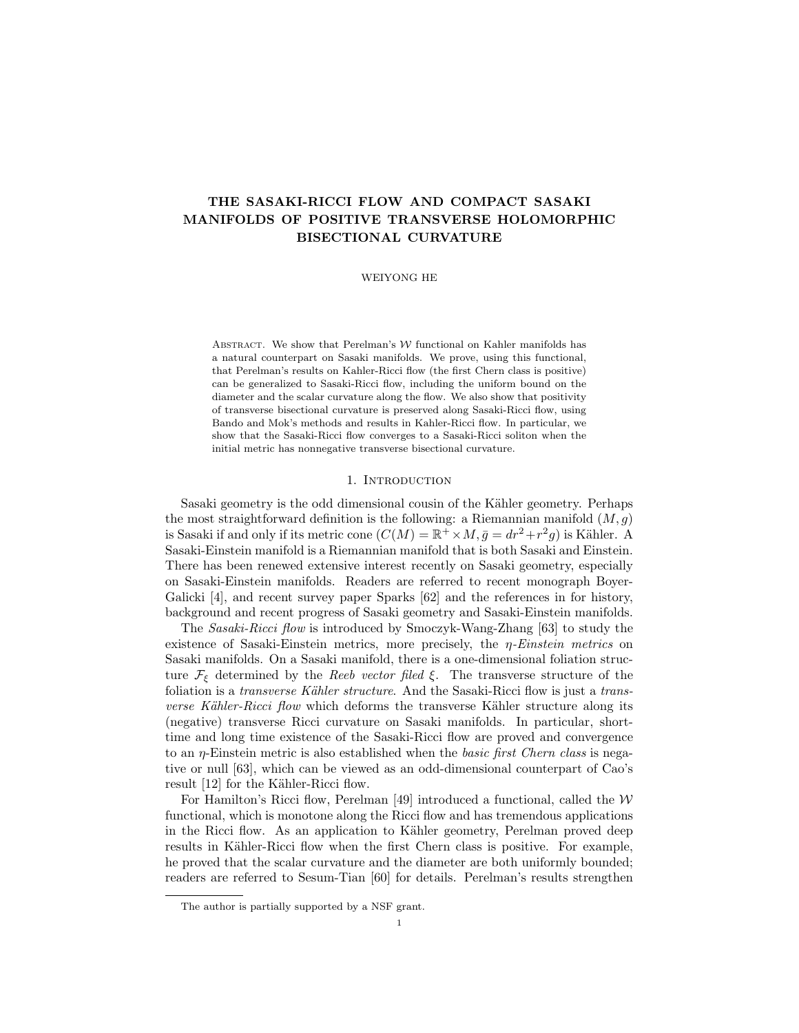# THE SASAKI-RICCI FLOW AND COMPACT SASAKI MANIFOLDS OF POSITIVE TRANSVERSE HOLOMORPHIC BISECTIONAL CURVATURE

WEIYONG HE

ABSTRACT. We show that Perelman's  $W$  functional on Kahler manifolds has a natural counterpart on Sasaki manifolds. We prove, using this functional, that Perelman's results on Kahler-Ricci flow (the first Chern class is positive) can be generalized to Sasaki-Ricci flow, including the uniform bound on the diameter and the scalar curvature along the flow. We also show that positivity of transverse bisectional curvature is preserved along Sasaki-Ricci flow, using Bando and Mok's methods and results in Kahler-Ricci flow. In particular, we show that the Sasaki-Ricci flow converges to a Sasaki-Ricci soliton when the initial metric has nonnegative transverse bisectional curvature.

### 1. INTRODUCTION

Sasaki geometry is the odd dimensional cousin of the Kähler geometry. Perhaps the most straightforward definition is the following: a Riemannian manifold  $(M, q)$ is Sasaki if and only if its metric cone  $(C(M) = \mathbb{R}^+ \times M, \bar{g} = dr^2 + r^2 g)$  is Kähler. A Sasaki-Einstein manifold is a Riemannian manifold that is both Sasaki and Einstein. There has been renewed extensive interest recently on Sasaki geometry, especially on Sasaki-Einstein manifolds. Readers are referred to recent monograph Boyer-Galicki [4], and recent survey paper Sparks [62] and the references in for history, background and recent progress of Sasaki geometry and Sasaki-Einstein manifolds.

The Sasaki-Ricci flow is introduced by Smoczyk-Wang-Zhang [63] to study the existence of Sasaki-Einstein metrics, more precisely, the  $\eta$ -Einstein metrics on Sasaki manifolds. On a Sasaki manifold, there is a one-dimensional foliation structure  $\mathcal{F}_{\xi}$  determined by the Reeb vector filed  $\xi$ . The transverse structure of the foliation is a *transverse Kähler structure*. And the Sasaki-Ricci flow is just a *trans*verse Kähler-Ricci flow which deforms the transverse Kähler structure along its (negative) transverse Ricci curvature on Sasaki manifolds. In particular, shorttime and long time existence of the Sasaki-Ricci flow are proved and convergence to an η-Einstein metric is also established when the basic first Chern class is negative or null [63], which can be viewed as an odd-dimensional counterpart of Cao's result [12] for the Kähler-Ricci flow.

For Hamilton's Ricci flow, Perelman [49] introduced a functional, called the  $W$ functional, which is monotone along the Ricci flow and has tremendous applications in the Ricci flow. As an application to Kähler geometry, Perelman proved deep results in Kähler-Ricci flow when the first Chern class is positive. For example, he proved that the scalar curvature and the diameter are both uniformly bounded; readers are referred to Sesum-Tian [60] for details. Perelman's results strengthen

The author is partially supported by a NSF grant.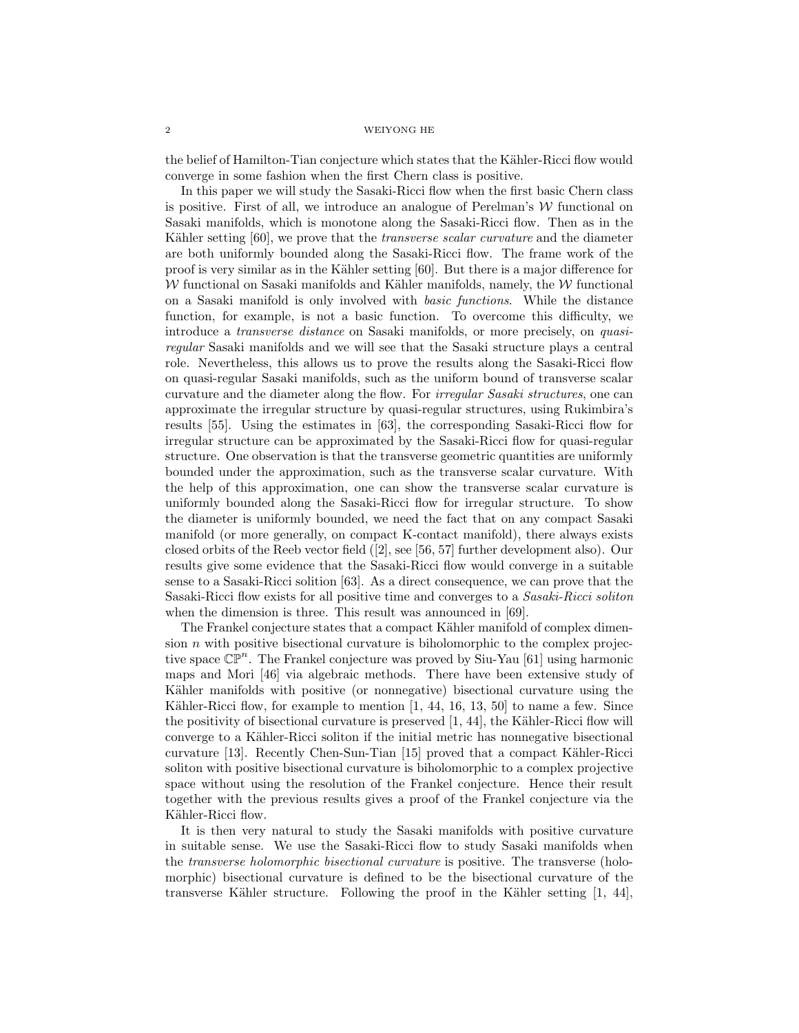the belief of Hamilton-Tian conjecture which states that the Kähler-Ricci flow would converge in some fashion when the first Chern class is positive.

In this paper we will study the Sasaki-Ricci flow when the first basic Chern class is positive. First of all, we introduce an analogue of Perelman's  $W$  functional on Sasaki manifolds, which is monotone along the Sasaki-Ricci flow. Then as in the Kähler setting [60], we prove that the *transverse scalar curvature* and the diameter are both uniformly bounded along the Sasaki-Ricci flow. The frame work of the proof is very similar as in the Kähler setting [60]. But there is a major difference for W functional on Sasaki manifolds and Kähler manifolds, namely, the  $W$  functional on a Sasaki manifold is only involved with basic functions. While the distance function, for example, is not a basic function. To overcome this difficulty, we introduce a transverse distance on Sasaki manifolds, or more precisely, on quasiregular Sasaki manifolds and we will see that the Sasaki structure plays a central role. Nevertheless, this allows us to prove the results along the Sasaki-Ricci flow on quasi-regular Sasaki manifolds, such as the uniform bound of transverse scalar curvature and the diameter along the flow. For irregular Sasaki structures, one can approximate the irregular structure by quasi-regular structures, using Rukimbira's results [55]. Using the estimates in [63], the corresponding Sasaki-Ricci flow for irregular structure can be approximated by the Sasaki-Ricci flow for quasi-regular structure. One observation is that the transverse geometric quantities are uniformly bounded under the approximation, such as the transverse scalar curvature. With the help of this approximation, one can show the transverse scalar curvature is uniformly bounded along the Sasaki-Ricci flow for irregular structure. To show the diameter is uniformly bounded, we need the fact that on any compact Sasaki manifold (or more generally, on compact K-contact manifold), there always exists closed orbits of the Reeb vector field ([2], see [56, 57] further development also). Our results give some evidence that the Sasaki-Ricci flow would converge in a suitable sense to a Sasaki-Ricci solition [63]. As a direct consequence, we can prove that the Sasaki-Ricci flow exists for all positive time and converges to a Sasaki-Ricci soliton when the dimension is three. This result was announced in [69].

The Frankel conjecture states that a compact Kähler manifold of complex dimension  $n$  with positive bisectional curvature is biholomorphic to the complex projective space  $\mathbb{CP}^n$ . The Frankel conjecture was proved by Siu-Yau [61] using harmonic maps and Mori [46] via algebraic methods. There have been extensive study of Kähler manifolds with positive (or nonnegative) bisectional curvature using the Kähler-Ricci flow, for example to mention  $[1, 44, 16, 13, 50]$  to name a few. Since the positivity of bisectional curvature is preserved  $[1, 44]$ , the Kähler-Ricci flow will converge to a Kähler-Ricci soliton if the initial metric has nonnegative bisectional curvature  $[13]$ . Recently Chen-Sun-Tian  $[15]$  proved that a compact Kähler-Ricci soliton with positive bisectional curvature is biholomorphic to a complex projective space without using the resolution of the Frankel conjecture. Hence their result together with the previous results gives a proof of the Frankel conjecture via the Kähler-Ricci flow.

It is then very natural to study the Sasaki manifolds with positive curvature in suitable sense. We use the Sasaki-Ricci flow to study Sasaki manifolds when the transverse holomorphic bisectional curvature is positive. The transverse (holomorphic) bisectional curvature is defined to be the bisectional curvature of the transverse Kähler structure. Following the proof in the Kähler setting  $[1, 44]$ ,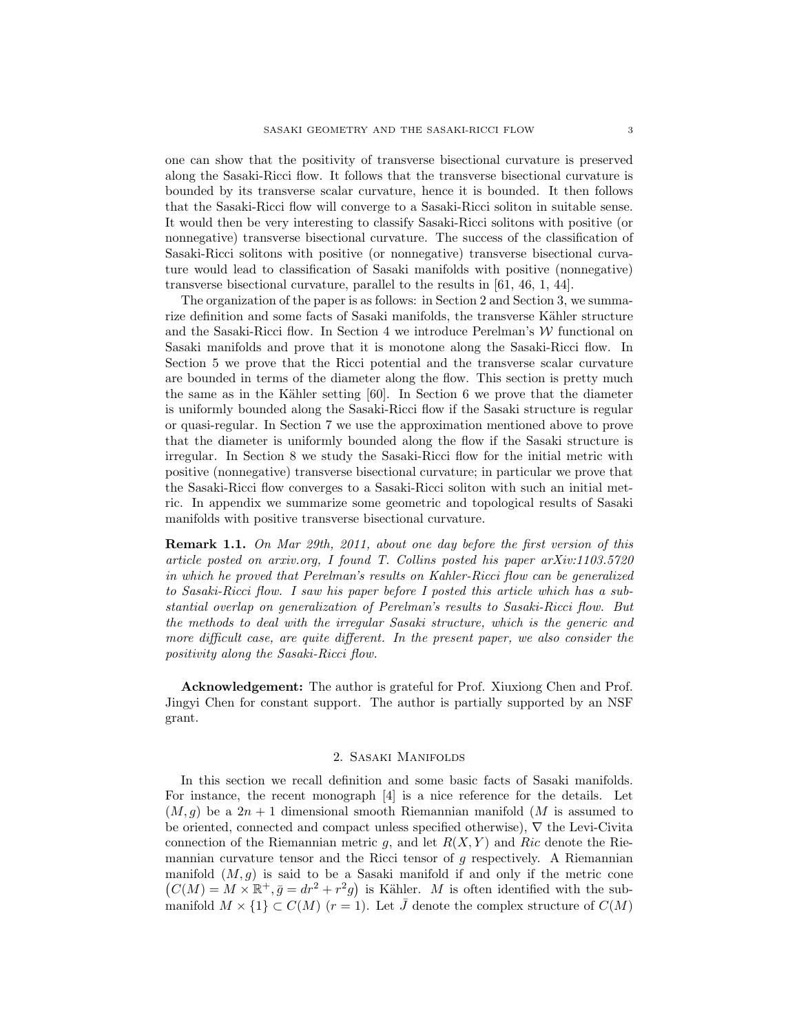one can show that the positivity of transverse bisectional curvature is preserved along the Sasaki-Ricci flow. It follows that the transverse bisectional curvature is bounded by its transverse scalar curvature, hence it is bounded. It then follows that the Sasaki-Ricci flow will converge to a Sasaki-Ricci soliton in suitable sense. It would then be very interesting to classify Sasaki-Ricci solitons with positive (or nonnegative) transverse bisectional curvature. The success of the classification of Sasaki-Ricci solitons with positive (or nonnegative) transverse bisectional curvature would lead to classification of Sasaki manifolds with positive (nonnegative) transverse bisectional curvature, parallel to the results in [61, 46, 1, 44].

The organization of the paper is as follows: in Section 2 and Section 3, we summarize definition and some facts of Sasaki manifolds, the transverse Kähler structure and the Sasaki-Ricci flow. In Section 4 we introduce Perelman's  $W$  functional on Sasaki manifolds and prove that it is monotone along the Sasaki-Ricci flow. In Section 5 we prove that the Ricci potential and the transverse scalar curvature are bounded in terms of the diameter along the flow. This section is pretty much the same as in the Kähler setting  $[60]$ . In Section 6 we prove that the diameter is uniformly bounded along the Sasaki-Ricci flow if the Sasaki structure is regular or quasi-regular. In Section 7 we use the approximation mentioned above to prove that the diameter is uniformly bounded along the flow if the Sasaki structure is irregular. In Section 8 we study the Sasaki-Ricci flow for the initial metric with positive (nonnegative) transverse bisectional curvature; in particular we prove that the Sasaki-Ricci flow converges to a Sasaki-Ricci soliton with such an initial metric. In appendix we summarize some geometric and topological results of Sasaki manifolds with positive transverse bisectional curvature.

Remark 1.1. On Mar 29th, 2011, about one day before the first version of this article posted on arxiv.org, I found T. Collins posted his paper arXiv:1103.5720 in which he proved that Perelman's results on Kahler-Ricci flow can be generalized to Sasaki-Ricci flow. I saw his paper before I posted this article which has a substantial overlap on generalization of Perelman's results to Sasaki-Ricci flow. But the methods to deal with the irregular Sasaki structure, which is the generic and more difficult case, are quite different. In the present paper, we also consider the positivity along the Sasaki-Ricci flow.

Acknowledgement: The author is grateful for Prof. Xiuxiong Chen and Prof. Jingyi Chen for constant support. The author is partially supported by an NSF grant.

### 2. Sasaki Manifolds

In this section we recall definition and some basic facts of Sasaki manifolds. For instance, the recent monograph [4] is a nice reference for the details. Let  $(M, g)$  be a  $2n + 1$  dimensional smooth Riemannian manifold (M is assumed to be oriented, connected and compact unless specified otherwise), ∇ the Levi-Civita connection of the Riemannian metric g, and let  $R(X, Y)$  and Ric denote the Riemannian curvature tensor and the Ricci tensor of  $g$  respectively. A Riemannian manifold  $(M, g)$  is said to be a Sasaki manifold if and only if the metric cone  $(C(M) = M \times \mathbb{R}^+, \bar{g} = dr^2 + r^2 g)$  is Kähler. M is often identified with the submanifold  $M \times \{1\} \subset C(M)$   $(r = 1)$ . Let  $\overline{J}$  denote the complex structure of  $C(M)$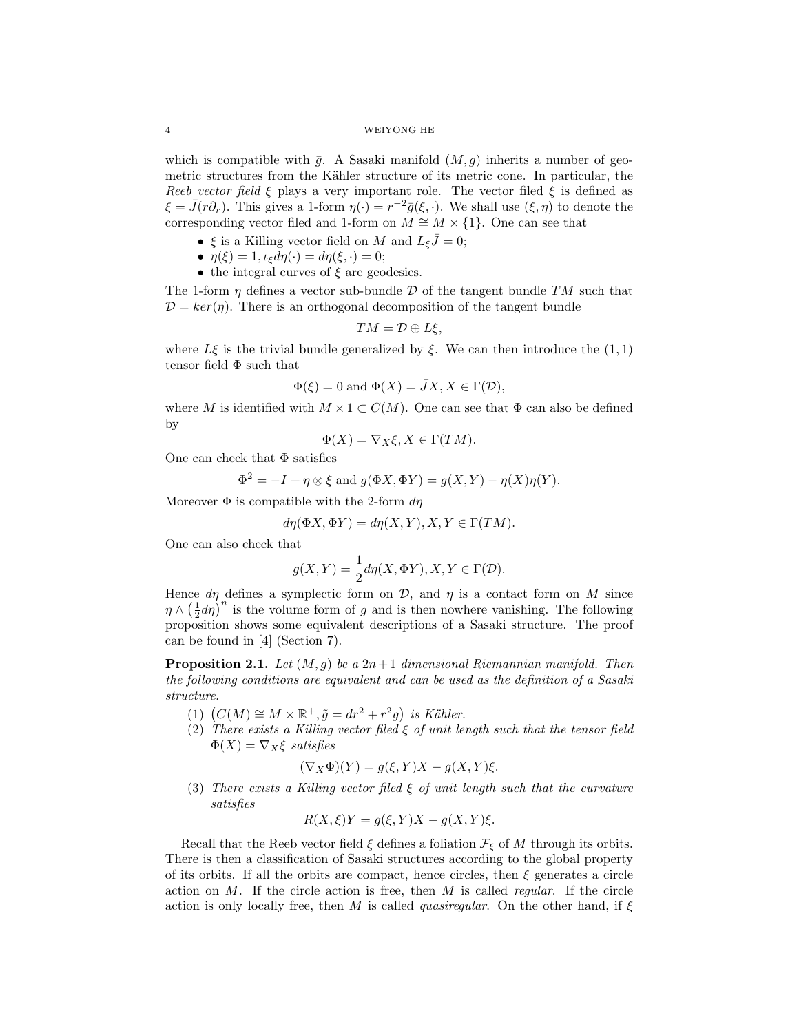which is compatible with  $\bar{g}$ . A Sasaki manifold  $(M, g)$  inherits a number of geometric structures from the Kähler structure of its metric cone. In particular, the Reeb vector field  $\xi$  plays a very important role. The vector filed  $\xi$  is defined as  $\xi = \bar{J}(r\partial_r)$ . This gives a 1-form  $\eta(\cdot) = r^{-2}\bar{g}(\xi, \cdot)$ . We shall use  $(\xi, \eta)$  to denote the corresponding vector filed and 1-form on  $M \cong M \times \{1\}$ . One can see that

- $\xi$  is a Killing vector field on M and  $L_{\xi} \bar{J} = 0$ ;
- $\eta(\xi) = 1, \iota_{\xi} d\eta(\cdot) = d\eta(\xi, \cdot) = 0;$
- the integral curves of  $\xi$  are geodesics.

The 1-form  $\eta$  defines a vector sub-bundle D of the tangent bundle TM such that  $\mathcal{D} = \text{ker}(\eta)$ . There is an orthogonal decomposition of the tangent bundle

$$
TM=\mathcal{D}\oplus L\xi,
$$

where  $L\xi$  is the trivial bundle generalized by  $\xi$ . We can then introduce the  $(1, 1)$ tensor field  $\Phi$  such that

$$
\Phi(\xi) = 0
$$
 and  $\Phi(X) = \overline{J}X, X \in \Gamma(\mathcal{D}),$ 

where M is identified with  $M \times 1 \subset C(M)$ . One can see that  $\Phi$  can also be defined by

$$
\Phi(X) = \nabla_X \xi, X \in \Gamma(TM).
$$

One can check that  $\Phi$  satisfies

$$
\Phi^2 = -I + \eta \otimes \xi \text{ and } g(\Phi X, \Phi Y) = g(X, Y) - \eta(X)\eta(Y).
$$

Moreover  $\Phi$  is compatible with the 2-form  $d\eta$ 

$$
d\eta(\Phi X, \Phi Y) = d\eta(X, Y), X, Y \in \Gamma(TM).
$$

One can also check that

$$
g(X,Y) = \frac{1}{2}d\eta(X,\Phi Y), X, Y \in \Gamma(\mathcal{D}).
$$

Hence  $d\eta$  defines a symplectic form on D, and  $\eta$  is a contact form on M since  $\eta \wedge (\frac{1}{2}d\eta)^n$  is the volume form of g and is then nowhere vanishing. The following proposition shows some equivalent descriptions of a Sasaki structure. The proof can be found in [4] (Section 7).

**Proposition 2.1.** Let  $(M, g)$  be a  $2n+1$  dimensional Riemannian manifold. Then the following conditions are equivalent and can be used as the definition of a Sasaki structure.

- (1)  $(C(M) \cong M \times \mathbb{R}^+, \tilde{g} = dr^2 + r^2 g)$  is Kähler.
- (2) There exists a Killing vector filed  $\xi$  of unit length such that the tensor field  $\Phi(X) = \nabla_X \xi$  satisfies

$$
(\nabla_X \Phi)(Y) = g(\xi, Y)X - g(X, Y)\xi.
$$

(3) There exists a Killing vector filed  $\xi$  of unit length such that the curvature satisfies

$$
R(X,\xi)Y = g(\xi,Y)X - g(X,Y)\xi.
$$

Recall that the Reeb vector field  $\xi$  defines a foliation  $\mathcal{F}_{\xi}$  of M through its orbits. There is then a classification of Sasaki structures according to the global property of its orbits. If all the orbits are compact, hence circles, then  $\xi$  generates a circle action on  $M$ . If the circle action is free, then  $M$  is called *regular*. If the circle action is only locally free, then M is called *quasiregular*. On the other hand, if  $\xi$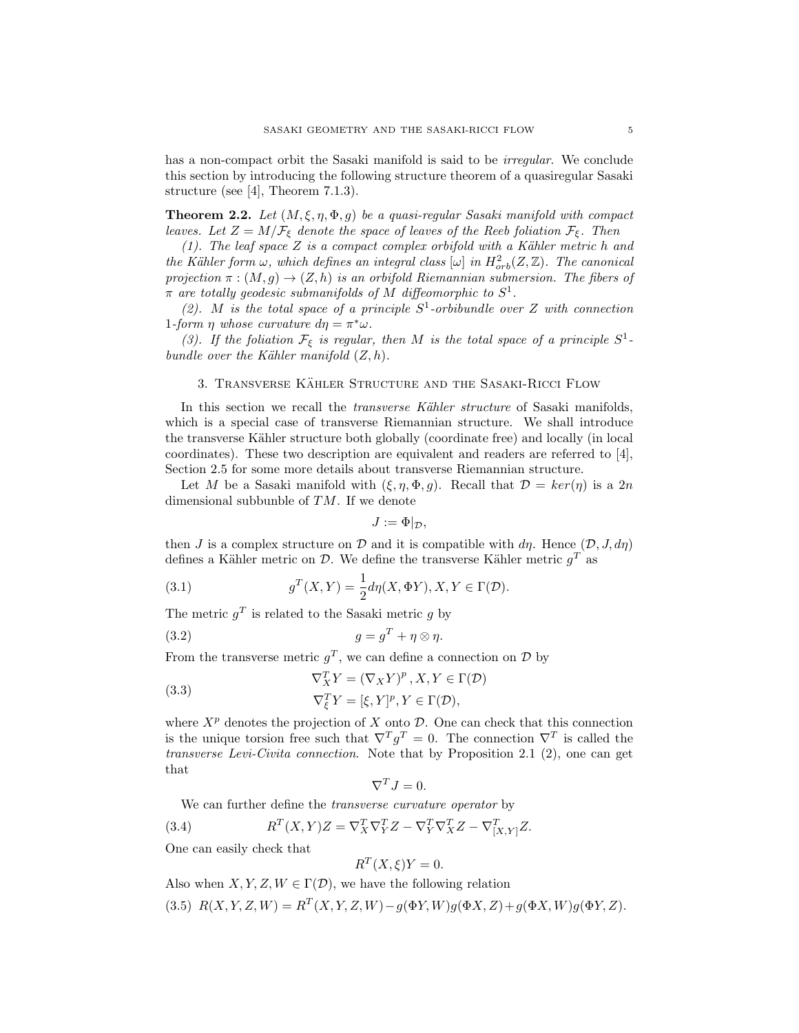has a non-compact orbit the Sasaki manifold is said to be *irregular*. We conclude this section by introducing the following structure theorem of a quasiregular Sasaki structure (see [4], Theorem 7.1.3).

**Theorem 2.2.** Let  $(M, \xi, \eta, \Phi, g)$  be a quasi-regular Sasaki manifold with compact leaves. Let  $Z = M/\mathcal{F}_{\xi}$  denote the space of leaves of the Reeb foliation  $\mathcal{F}_{\xi}$ . Then

(1). The leaf space  $Z$  is a compact complex orbifold with a Kähler metric  $h$  and the Kähler form  $\omega$ , which defines an integral class  $[\omega]$  in  $H^2_{orb}(Z, \mathbb{Z})$ . The canonical projection  $\pi$  :  $(M, g) \rightarrow (Z, h)$  is an orbifold Riemannian submersion. The fibers of  $\pi$  are totally geodesic submanifolds of M diffeomorphic to  $S^1$ .

(2). M is the total space of a principle  $S^1$ -orbibundle over Z with connection 1-form  $\eta$  whose curvature  $d\eta = \pi^* \omega$ .

(3). If the foliation  $\mathcal{F}_{\xi}$  is regular, then M is the total space of a principle  $S^1$ bundle over the Kähler manifold  $(Z, h)$ .

### 3. TRANSVERSE KÄHLER STRUCTURE AND THE SASAKI-RICCI FLOW

In this section we recall the *transverse Kähler structure* of Sasaki manifolds, which is a special case of transverse Riemannian structure. We shall introduce the transverse Kähler structure both globally (coordinate free) and locally (in local coordinates). These two description are equivalent and readers are referred to [4], Section 2.5 for some more details about transverse Riemannian structure.

Let M be a Sasaki manifold with  $(\xi, \eta, \Phi, g)$ . Recall that  $\mathcal{D} = \ker(\eta)$  is a 2n dimensional subbunble of  $TM$ . If we denote

$$
J:=\Phi|_{\mathcal{D}},
$$

then J is a complex structure on D and it is compatible with  $d\eta$ . Hence  $(D, J, d\eta)$ defines a Kähler metric on  $\mathcal{D}$ . We define the transverse Kähler metric  $g^T$  as

(3.1) 
$$
g^T(X,Y) = \frac{1}{2}d\eta(X,\Phi Y), X, Y \in \Gamma(\mathcal{D}).
$$

The metric  $g<sup>T</sup>$  is related to the Sasaki metric g by

$$
(3.2) \t\t g = g^T + \eta \otimes \eta.
$$

From the transverse metric  $g^T$ , we can define a connection on  $\mathcal D$  by

(3.3) 
$$
\nabla_X^T Y = (\nabla_X Y)^p, X, Y \in \Gamma(\mathcal{D})
$$

$$
\nabla_{\xi}^T Y = [\xi, Y]^p, Y \in \Gamma(\mathcal{D}),
$$

where  $X^p$  denotes the projection of X onto  $\mathcal D$ . One can check that this connection is the unique torsion free such that  $\nabla^T g^T = 0$ . The connection  $\nabla^T$  is called the transverse Levi-Civita connection. Note that by Proposition 2.1 (2), one can get that

$$
\nabla^T J = 0.
$$

We can further define the *transverse curvature operator* by

(3.4) 
$$
R^T(X,Y)Z = \nabla_X^T \nabla_Y^T Z - \nabla_Y^T \nabla_X^T Z - \nabla_{[X,Y]}^T Z.
$$

One can easily check that

$$
R^T(X,\xi)Y = 0.
$$

Also when  $X, Y, Z, W \in \Gamma(\mathcal{D})$ , we have the following relation

(3.5)  $R(X, Y, Z, W) = R^{T}(X, Y, Z, W) - g(\Phi Y, W)g(\Phi X, Z) + g(\Phi X, W)g(\Phi Y, Z).$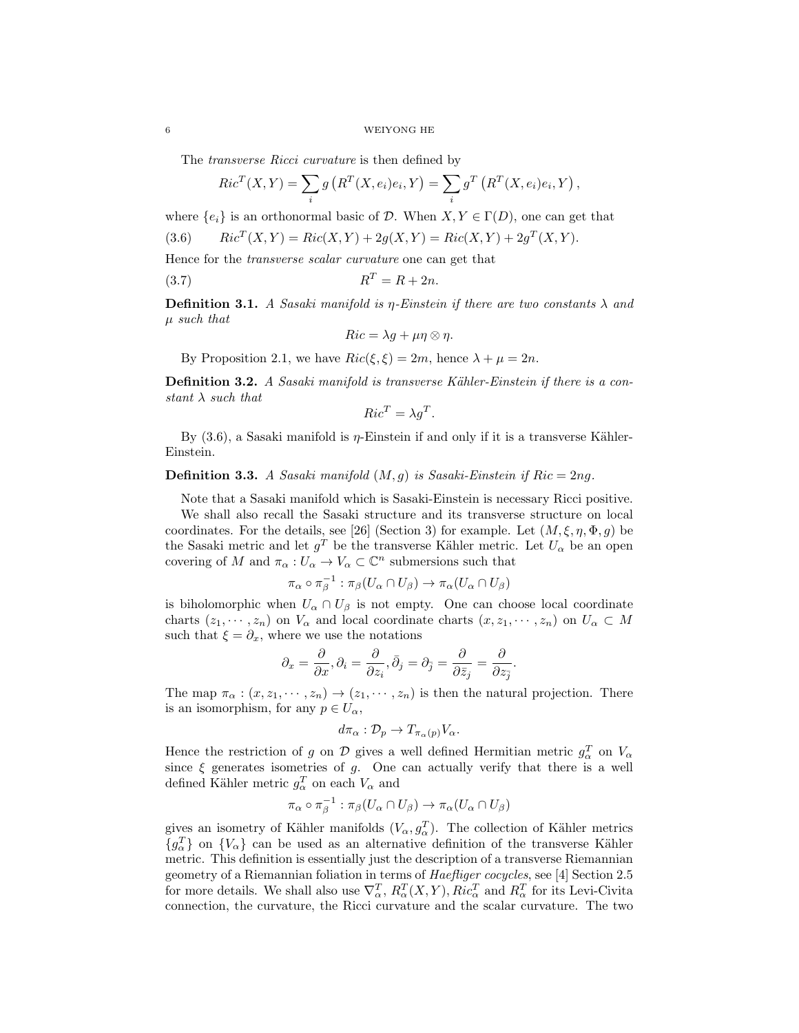The *transverse Ricci curvature* is then defined by

$$
Ric^{T}(X,Y) = \sum_{i} g\left(R^{T}(X,e_i)e_i, Y\right) = \sum_{i} g^{T}\left(R^{T}(X,e_i)e_i, Y\right),
$$

where  $\{e_i\}$  is an orthonormal basic of D. When  $X, Y \in \Gamma(D)$ , one can get that

(3.6) 
$$
Ric^{T}(X,Y) = Ric(X,Y) + 2g(X,Y) = Ric(X,Y) + 2g^{T}(X,Y).
$$

Hence for the transverse scalar curvature one can get that

$$
R^T = R + 2n.
$$

**Definition 3.1.** A Sasaki manifold is  $\eta$ -Einstein if there are two constants  $\lambda$  and µ such that

$$
Ric = \lambda g + \mu \eta \otimes \eta.
$$

By Proposition 2.1, we have  $Ric(\xi, \xi) = 2m$ , hence  $\lambda + \mu = 2n$ .

**Definition 3.2.** A Sasaki manifold is transverse Kähler-Einstein if there is a constant  $\lambda$  such that

$$
Ric^T = \lambda g^T.
$$

By  $(3.6)$ , a Sasaki manifold is  $\eta$ -Einstein if and only if it is a transverse Kähler-Einstein.

# **Definition 3.3.** A Sasaki manifold  $(M, g)$  is Sasaki-Einstein if Ric = 2ng.

Note that a Sasaki manifold which is Sasaki-Einstein is necessary Ricci positive.

We shall also recall the Sasaki structure and its transverse structure on local coordinates. For the details, see [26] (Section 3) for example. Let  $(M, \xi, \eta, \Phi, q)$  be the Sasaki metric and let  $g<sup>T</sup>$  be the transverse Kähler metric. Let  $U<sub>\alpha</sub>$  be an open covering of M and  $\pi_{\alpha}: U_{\alpha} \to V_{\alpha} \subset \mathbb{C}^n$  submersions such that

$$
\pi_\alpha \circ \pi_\beta^{-1} : \pi_\beta(U_\alpha \cap U_\beta) \to \pi_\alpha(U_\alpha \cap U_\beta)
$$

is biholomorphic when  $U_{\alpha} \cap U_{\beta}$  is not empty. One can choose local coordinate charts  $(z_1, \dots, z_n)$  on  $V_\alpha$  and local coordinate charts  $(x, z_1, \dots, z_n)$  on  $U_\alpha \subset M$ such that  $\xi = \partial_x$ , where we use the notations

$$
\partial_x = \frac{\partial}{\partial x}, \partial_i = \frac{\partial}{\partial z_i}, \bar{\partial}_j = \partial_{\bar{j}} = \frac{\partial}{\partial \bar{z}_j} = \frac{\partial}{\partial z_{\bar{j}}}.
$$

The map  $\pi_{\alpha}: (x, z_1, \dots, z_n) \to (z_1, \dots, z_n)$  is then the natural projection. There is an isomorphism, for any  $p \in U_{\alpha}$ ,

$$
d\pi_{\alpha}: \mathcal{D}_{p} \to T_{\pi_{\alpha}(p)}V_{\alpha}.
$$

Hence the restriction of g on  $\mathcal D$  gives a well defined Hermitian metric  $g_\alpha^T$  on  $V_\alpha$ since  $\xi$  generates isometries of g. One can actually verify that there is a well defined Kähler metric  $g_{\alpha}^{T}$  on each  $V_{\alpha}$  and

$$
\pi_{\alpha} \circ \pi_{\beta}^{-1} : \pi_{\beta}(U_{\alpha} \cap U_{\beta}) \to \pi_{\alpha}(U_{\alpha} \cap U_{\beta})
$$

gives an isometry of Kähler manifolds  $(V_{\alpha}, g_{\alpha}^T)$ . The collection of Kähler metrics  ${g_\alpha^T}$  on  ${V_\alpha}$  can be used as an alternative definition of the transverse Kähler metric. This definition is essentially just the description of a transverse Riemannian geometry of a Riemannian foliation in terms of *Haefliger cocycles*, see [4] Section 2.5 for more details. We shall also use  $\nabla_{\alpha}^T$ ,  $R_{\alpha}^T(X,Y)$ ,  $Ric_{\alpha}^T$  and  $R_{\alpha}^T$  for its Levi-Civita connection, the curvature, the Ricci curvature and the scalar curvature. The two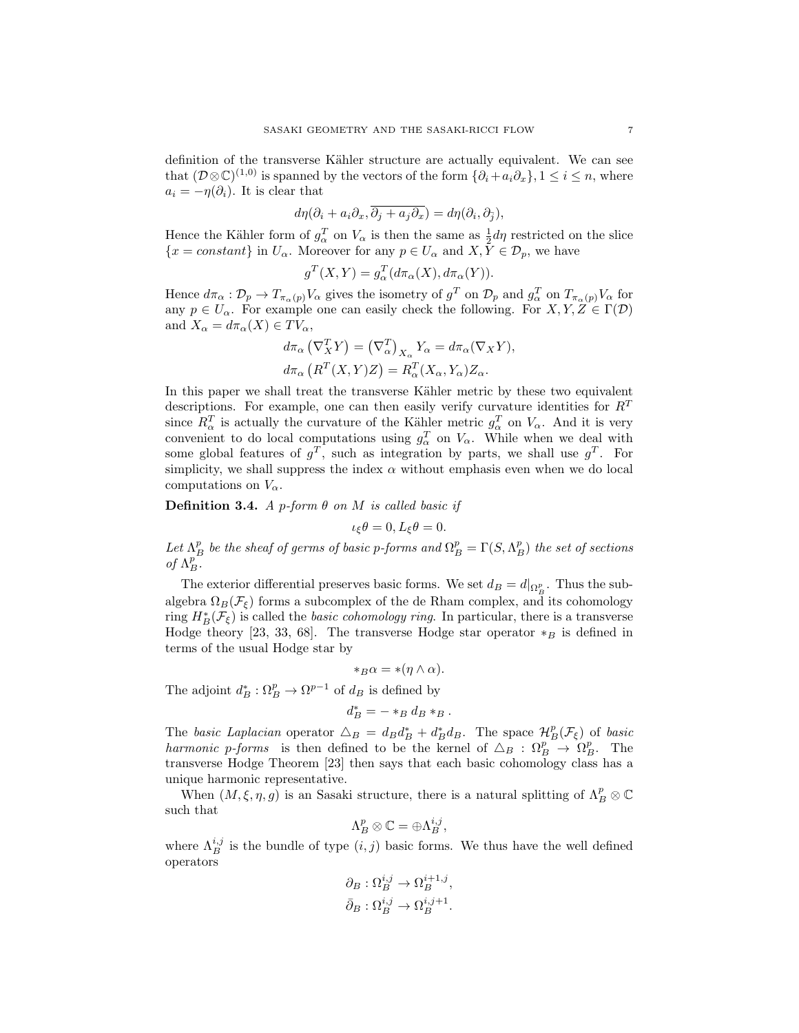definition of the transverse Kähler structure are actually equivalent. We can see that  $(\mathcal{D}\otimes\mathbb{C})^{(1,0)}$  is spanned by the vectors of the form  $\{\partial_i+a_i\partial_x\}, 1\leq i\leq n$ , where  $a_i = -\eta(\partial_i)$ . It is clear that

$$
d\eta(\partial_i + a_i \partial_x, \overline{\partial_j + a_j \partial_x}) = d\eta(\partial_i, \partial_{\overline{j}}),
$$

Hence the Kähler form of  $g_{\alpha}^T$  on  $V_{\alpha}$  is then the same as  $\frac{1}{2}d\eta$  restricted on the slice  ${x = constant}$  in  $U_\alpha$ . Moreover for any  $p \in U_\alpha$  and  $X, \overline{Y} \in \mathcal{D}_p$ , we have

$$
g^T(X, Y) = g^T_{\alpha}(d\pi_{\alpha}(X), d\pi_{\alpha}(Y)).
$$

Hence  $d\pi_\alpha: \mathcal{D}_p \to T_{\pi_\alpha(p)}V_\alpha$  gives the isometry of  $g^T$  on  $\mathcal{D}_p$  and  $g^T_\alpha$  on  $T_{\pi_\alpha(p)}V_\alpha$  for any  $p \in U_\alpha$ . For example one can easily check the following. For  $X, Y, Z \in \Gamma(\mathcal{D})$ and  $X_{\alpha} = d\pi_{\alpha}(X) \in TV_{\alpha}$ ,

$$
d\pi_{\alpha} (\nabla_X^T Y) = (\nabla_{\alpha}^T)_{X_{\alpha}} Y_{\alpha} = d\pi_{\alpha} (\nabla_X Y),
$$
  

$$
d\pi_{\alpha} (R^T (X, Y) Z) = R_{\alpha}^T (X_{\alpha}, Y_{\alpha}) Z_{\alpha}.
$$

In this paper we shall treat the transverse Kähler metric by these two equivalent descriptions. For example, one can then easily verify curvature identities for  $R<sup>T</sup>$ since  $R_{\alpha}^{T}$  is actually the curvature of the Kähler metric  $g_{\alpha}^{T}$  on  $V_{\alpha}$ . And it is very convenient to do local computations using  $g_{\alpha}^T$  on  $V_{\alpha}$ . While when we deal with some global features of  $g^T$ , such as integration by parts, we shall use  $g^T$ . For simplicity, we shall suppress the index  $\alpha$  without emphasis even when we do local computations on  $V_{\alpha}$ .

**Definition 3.4.** A p-form  $\theta$  on M is called basic if

$$
\iota_{\xi}\theta = 0, L_{\xi}\theta = 0.
$$

Let  $\Lambda_B^p$  be the sheaf of germs of basic p-forms and  $\Omega_B^p = \Gamma(S, \Lambda_B^p)$  the set of sections of  $\Lambda_B^p$ .

The exterior differential preserves basic forms. We set  $d_B = d|_{\Omega_B^p}$ . Thus the subalgebra  $\Omega_B(\mathcal{F}_{\xi})$  forms a subcomplex of the de Rham complex, and its cohomology ring  $H^*_B(\mathcal{F}_\xi)$  is called the *basic cohomology ring*. In particular, there is a transverse Hodge theory [23, 33, 68]. The transverse Hodge star operator  $*_B$  is defined in terms of the usual Hodge star by

$$
*_B\alpha=*(\eta\wedge\alpha).
$$

The adjoint  $d^*_B : \Omega_B^p \to \Omega^{p-1}$  of  $d_B$  is defined by

$$
d_B^* = - \ast_B d_B \ast_B.
$$

The basic Laplacian operator  $\Delta_B = d_B d_B^* + d_B^* d_B$ . The space  $\mathcal{H}_B^p(\mathcal{F}_\xi)$  of basic harmonic p-forms is then defined to be the kernel of  $\Delta_B : \Omega_B^p \to \Omega_B^p$ . The transverse Hodge Theorem [23] then says that each basic cohomology class has a unique harmonic representative.

When  $(M, \xi, \eta, g)$  is an Sasaki structure, there is a natural splitting of  $\Lambda_B^p \otimes \mathbb{C}$ such that

$$
\Lambda^p_B \otimes \mathbb{C} = \oplus \Lambda^{i,j}_B,
$$

where  $\Lambda_B^{i,j}$  is the bundle of type  $(i, j)$  basic forms. We thus have the well defined operators

$$
\partial_B : \Omega_B^{i,j} \to \Omega_B^{i+1,j},
$$
  

$$
\bar{\partial}_B : \Omega_B^{i,j} \to \Omega_B^{i,j+1}.
$$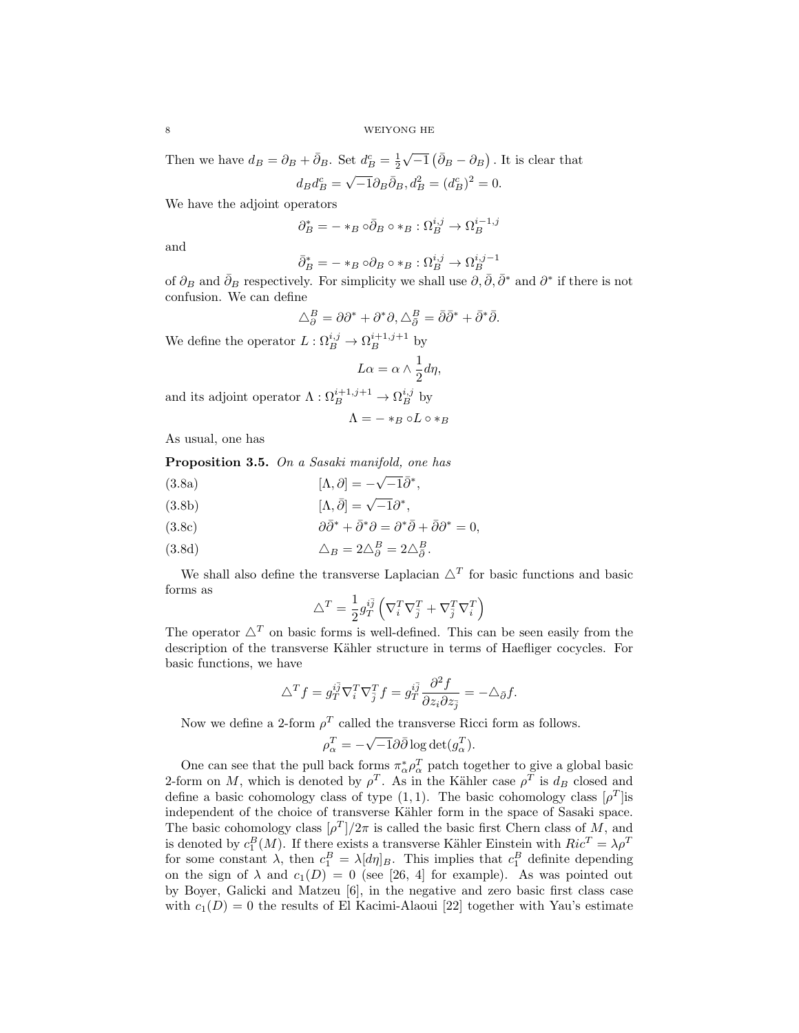Then we have  $d_B = \partial_B + \bar{\partial}_B$ . Set  $d_B^c = \frac{1}{2}$  $\sqrt{-1} (\bar{\partial}_B - \partial_B)$ . It is clear that √

$$
d_B d_B^c = \sqrt{-1} \partial_B \bar{\partial}_B, d_B^2 = (d_B^c)^2 = 0.
$$

We have the adjoint operators

$$
\partial_B^* = - *_{B} \circ \bar{\partial}_B \circ *_B : \Omega_B^{i,j} \to \Omega_B^{i-1,j}
$$

and

$$
\bar{\partial}_B^* = - *_{B} \circ \partial_B \circ *_B : \Omega_B^{i,j} \to \Omega_B^{i,j-1}
$$

of  $\partial_B$  and  $\bar{\partial}_B$  respectively. For simplicity we shall use  $\partial, \bar{\partial}, \bar{\partial}^*$  and  $\partial^*$  if there is not confusion. We can define

$$
\triangle^B_\partial = \partial \partial^* + \partial^* \partial, \triangle^B_{\bar{\partial}} = \bar{\partial} \bar{\partial}^* + \bar{\partial}^* \bar{\partial}.
$$

We define the operator  $L: \Omega_B^{i,j} \to \Omega_B^{i+1,j+1}$  by

$$
L\alpha = \alpha \wedge \frac{1}{2}d\eta,
$$

and its adjoint operator  $\Lambda : \Omega_B^{i+1,j+1} \to \Omega_B^{i,j}$  by

$$
\Lambda = - *_B \circ L \circ *_B
$$

As usual, one has

Proposition 3.5. On a Sasaki manifold, one has

 $[\Lambda, \partial] = -$ (3.8a)  $\qquad \qquad [\Lambda, \partial] = -\sqrt{-1}\bar{\partial}^*,$ 

(3.8b) 
$$
[\Lambda, \bar{\partial}] = \sqrt{-1} \partial^*,
$$

(3.8c) 
$$
\partial \bar{\partial}^* + \bar{\partial}^* \partial = \partial^* \bar{\partial} + \bar{\partial} \partial^* = 0,
$$

(3.8d) 
$$
\Delta_B = 2\Delta_{\partial}^B = 2\Delta_{\partial}^B.
$$

We shall also define the transverse Laplacian  $\Delta^T$  for basic functions and basic forms as

$$
\triangle^T = \frac{1}{2} g_T^{i\bar{j}} \left( \nabla_i^T \nabla_{\bar{j}}^T + \nabla_{\bar{j}}^T \nabla_i^T \right)
$$

The operator  $\Delta^T$  on basic forms is well-defined. This can be seen easily from the description of the transverse Kähler structure in terms of Haefliger cocycles. For basic functions, we have

$$
\triangle^T f = g_T^{i\bar{j}} \nabla_i^T \nabla_{\bar{j}}^T f = g_T^{i\bar{j}} \frac{\partial^2 f}{\partial z_i \partial z_{\bar{j}}} = -\triangle_{\bar{\partial}} f.
$$

Now we define a 2-form  $\rho^T$  called the transverse Ricci form as follows.

$$
\rho_{\alpha}^T = -\sqrt{-1}\partial\bar{\partial}\log \det(g_{\alpha}^T).
$$

One can see that the pull back forms  $\pi_{\alpha}^* \rho_{\alpha}^T$  patch together to give a global basic 2-form on M, which is denoted by  $\rho^T$ . As in the Kähler case  $\rho^T$  is  $d_B$  closed and define a basic cohomology class of type  $(1,1)$ . The basic cohomology class  $[\rho^T]$ is independent of the choice of transverse Kähler form in the space of Sasaki space. The basic cohomology class  $\lbrack \rho^T \rbrack / 2\pi$  is called the basic first Chern class of M, and is denoted by  $c_1^B(M)$ . If there exists a transverse Kähler Einstein with  $Ric^T = \lambda \rho^T$ for some constant  $\lambda$ , then  $c_1^B = \lambda [d\eta]_B$ . This implies that  $c_1^B$  definite depending on the sign of  $\lambda$  and  $c_1(D) = 0$  (see [26, 4] for example). As was pointed out by Boyer, Galicki and Matzeu [6], in the negative and zero basic first class case with  $c_1(D) = 0$  the results of El Kacimi-Alaoui [22] together with Yau's estimate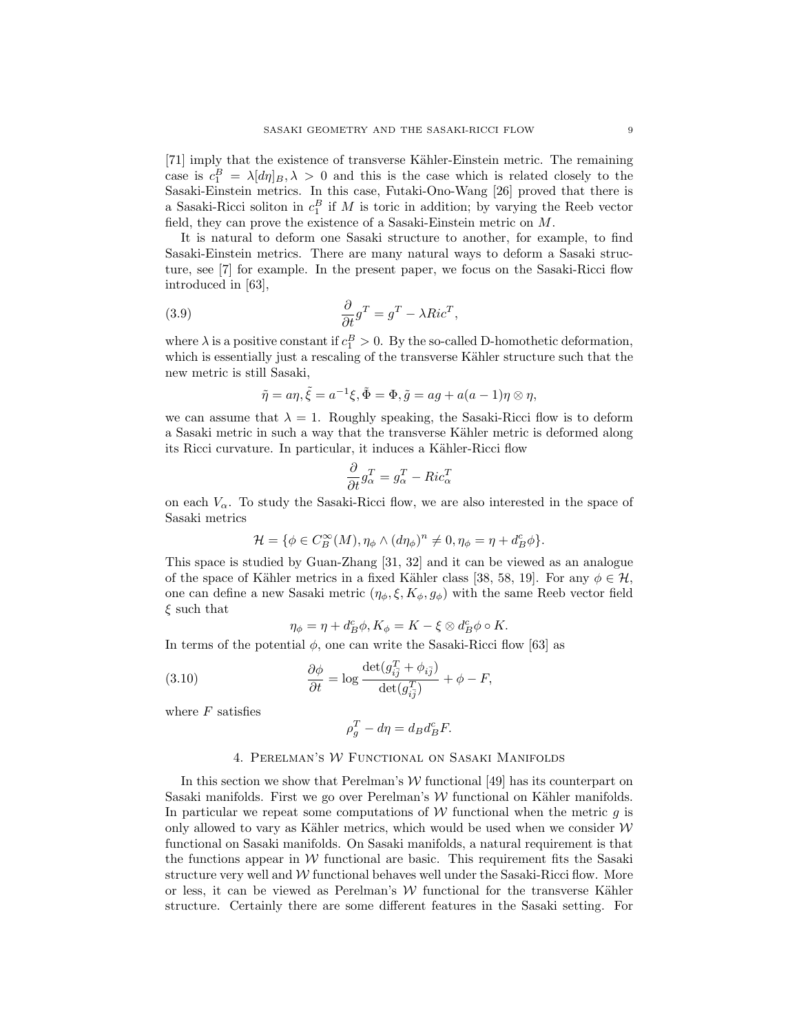[71] imply that the existence of transverse Kähler-Einstein metric. The remaining case is  $c_1^B = \lambda [d\eta]_B, \lambda > 0$  and this is the case which is related closely to the Sasaki-Einstein metrics. In this case, Futaki-Ono-Wang [26] proved that there is a Sasaki-Ricci soliton in  $c_1^B$  if M is toric in addition; by varying the Reeb vector field, they can prove the existence of a Sasaki-Einstein metric on M.

It is natural to deform one Sasaki structure to another, for example, to find Sasaki-Einstein metrics. There are many natural ways to deform a Sasaki structure, see [7] for example. In the present paper, we focus on the Sasaki-Ricci flow introduced in [63],

(3.9) 
$$
\frac{\partial}{\partial t}g^T = g^T - \lambda Ric^T,
$$

where  $\lambda$  is a positive constant if  $c_1^B > 0$ . By the so-called D-homothetic deformation, which is essentially just a rescaling of the transverse Kähler structure such that the new metric is still Sasaki,

$$
\tilde{\eta} = a\eta, \tilde{\xi} = a^{-1}\xi, \tilde{\Phi} = \Phi, \tilde{g} = ag + a(a-1)\eta \otimes \eta,
$$

we can assume that  $\lambda = 1$ . Roughly speaking, the Sasaki-Ricci flow is to deform a Sasaki metric in such a way that the transverse Kähler metric is deformed along its Ricci curvature. In particular, it induces a Kähler-Ricci flow

$$
\frac{\partial}{\partial t}g_{\alpha}^T = g_{\alpha}^T - Ric_{\alpha}^T
$$

on each  $V_{\alpha}$ . To study the Sasaki-Ricci flow, we are also interested in the space of Sasaki metrics

$$
\mathcal{H} = \{ \phi \in C_B^{\infty}(M), \eta_{\phi} \wedge (d\eta_{\phi})^n \neq 0, \eta_{\phi} = \eta + d_B^c \phi \}.
$$

This space is studied by Guan-Zhang [31, 32] and it can be viewed as an analogue of the space of Kähler metrics in a fixed Kähler class [38, 58, 19]. For any  $\phi \in \mathcal{H}$ , one can define a new Sasaki metric  $(\eta_{\phi}, \xi, K_{\phi}, g_{\phi})$  with the same Reeb vector field  $\xi$  such that

$$
\eta_{\phi} = \eta + d_B^c \phi, K_{\phi} = K - \xi \otimes d_B^c \phi \circ K.
$$

In terms of the potential  $\phi$ , one can write the Sasaki-Ricci flow [63] as

(3.10) 
$$
\frac{\partial \phi}{\partial t} = \log \frac{\det(g_{i\overline{j}}^T + \phi_{i\overline{j}})}{\det(g_{i\overline{j}}^T)} + \phi - F,
$$

where  $F$  satisfies

$$
\rho_g^T - d\eta = d_B d_B^c F.
$$

# 4. Perelman's W Functional on Sasaki Manifolds

In this section we show that Perelman's  $W$  functional [49] has its counterpart on Sasaki manifolds. First we go over Perelman's  $W$  functional on Kähler manifolds. In particular we repeat some computations of  $W$  functional when the metric q is only allowed to vary as Kähler metrics, which would be used when we consider  $W$ functional on Sasaki manifolds. On Sasaki manifolds, a natural requirement is that the functions appear in  $W$  functional are basic. This requirement fits the Sasaki structure very well and  $W$  functional behaves well under the Sasaki-Ricci flow. More or less, it can be viewed as Perelman's  $W$  functional for the transverse Kähler structure. Certainly there are some different features in the Sasaki setting. For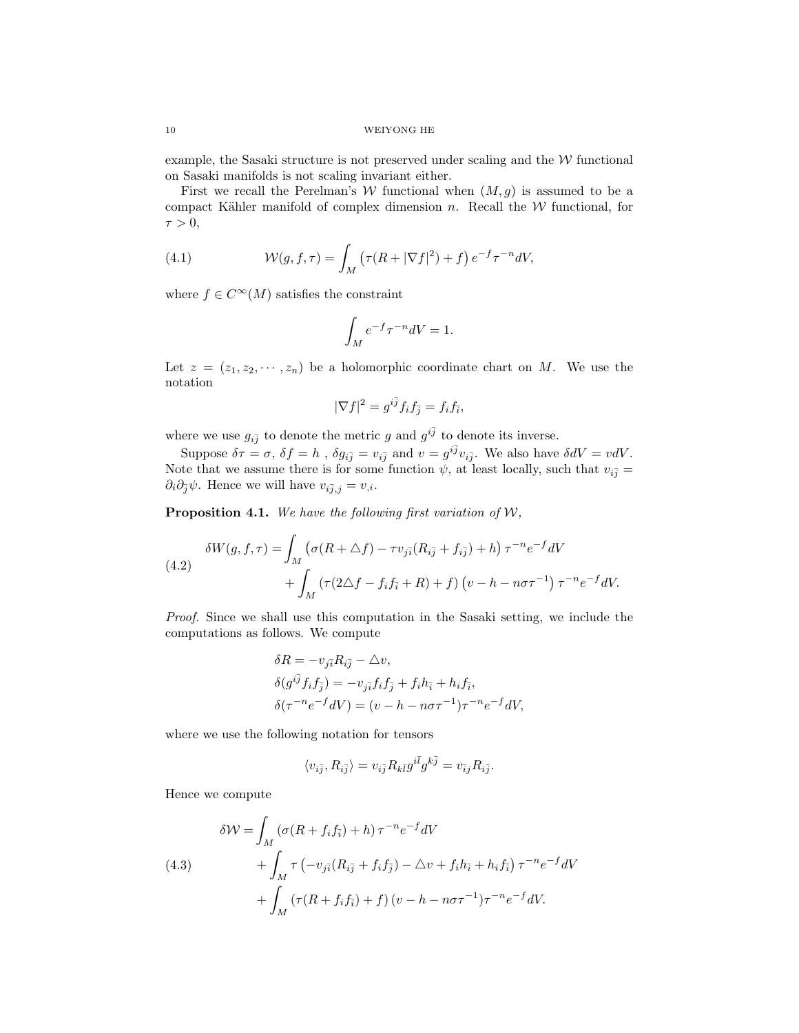example, the Sasaki structure is not preserved under scaling and the  $W$  functional on Sasaki manifolds is not scaling invariant either.

First we recall the Perelman's W functional when  $(M, g)$  is assumed to be a compact Kähler manifold of complex dimension  $n$ . Recall the  $W$  functional, for  $\tau > 0$ ,

(4.1) 
$$
\mathcal{W}(g,f,\tau) = \int_M \left( \tau(R + |\nabla f|^2) + f \right) e^{-f} \tau^{-n} dV,
$$

where  $f \in C^{\infty}(M)$  satisfies the constraint

$$
\int_M e^{-f} \tau^{-n} dV = 1.
$$

Let  $z = (z_1, z_2, \dots, z_n)$  be a holomorphic coordinate chart on M. We use the notation

$$
|\nabla f|^2 = g^{i\bar{j}} f_i f_{\bar{j}} = f_i f_{\bar{i}},
$$

where we use  $g_{i\bar{j}}$  to denote the metric g and  $g^{i\bar{j}}$  to denote its inverse.

Suppose  $\delta \tau = \sigma$ ,  $\delta f = h$ ,  $\delta g_{i\bar{j}} = v_{i\bar{j}}$  and  $v = g^{i\bar{j}}v_{i\bar{j}}$ . We also have  $\delta dV = vdV$ . Note that we assume there is for some function  $\psi$ , at least locally, such that  $v_{i\bar{j}} =$  $\partial_i\partial_{\bar{j}}\psi$ . Hence we will have  $v_{i\bar{j},j} = v_{,i}$ .

**Proposition 4.1.** We have the following first variation of  $W$ ,

(4.2) 
$$
\delta W(g, f, \tau) = \int_M \left( \sigma(R + \Delta f) - \tau v_{j\bar{i}} (R_{i\bar{j}} + f_{i\bar{j}}) + h \right) \tau^{-n} e^{-f} dV + \int_M \left( \tau (2\Delta f - f_i f_{\bar{i}} + R) + f \right) \left( v - h - n\sigma \tau^{-1} \right) \tau^{-n} e^{-f} dV.
$$

Proof. Since we shall use this computation in the Sasaki setting, we include the computations as follows. We compute

$$
\delta R = -v_{j\bar{i}} R_{i\bar{j}} - \Delta v,
$$
  
\n
$$
\delta(g^{i\bar{j}} f_i f_{\bar{j}}) = -v_{j\bar{i}} f_i f_{\bar{j}} + f_i h_{\bar{i}} + h_i f_{\bar{i}},
$$
  
\n
$$
\delta(\tau^{-n} e^{-f} dV) = (v - h - n\sigma \tau^{-1}) \tau^{-n} e^{-f} dV,
$$

where we use the following notation for tensors

$$
\langle v_{i\bar j},R_{i\bar j}\rangle=v_{i\bar j}R_{k\bar l}g^{i\bar l}g^{k\bar j}=v_{\bar ij}R_{i\bar j}.
$$

Hence we compute

(4.3)  
\n
$$
\delta W = \int_M (\sigma (R + f_i f_{\bar{i}}) + h) \tau^{-n} e^{-f} dV
$$
\n
$$
+ \int_M \tau \left( -v_{j\bar{i}} (R_{i\bar{j}} + f_i f_{\bar{j}}) - \Delta v + f_i h_{\bar{i}} + h_i f_{\bar{i}} \right) \tau^{-n} e^{-f} dV
$$
\n
$$
+ \int_M (\tau (R + f_i f_{\bar{i}}) + f) (v - h - n \sigma \tau^{-1}) \tau^{-n} e^{-f} dV.
$$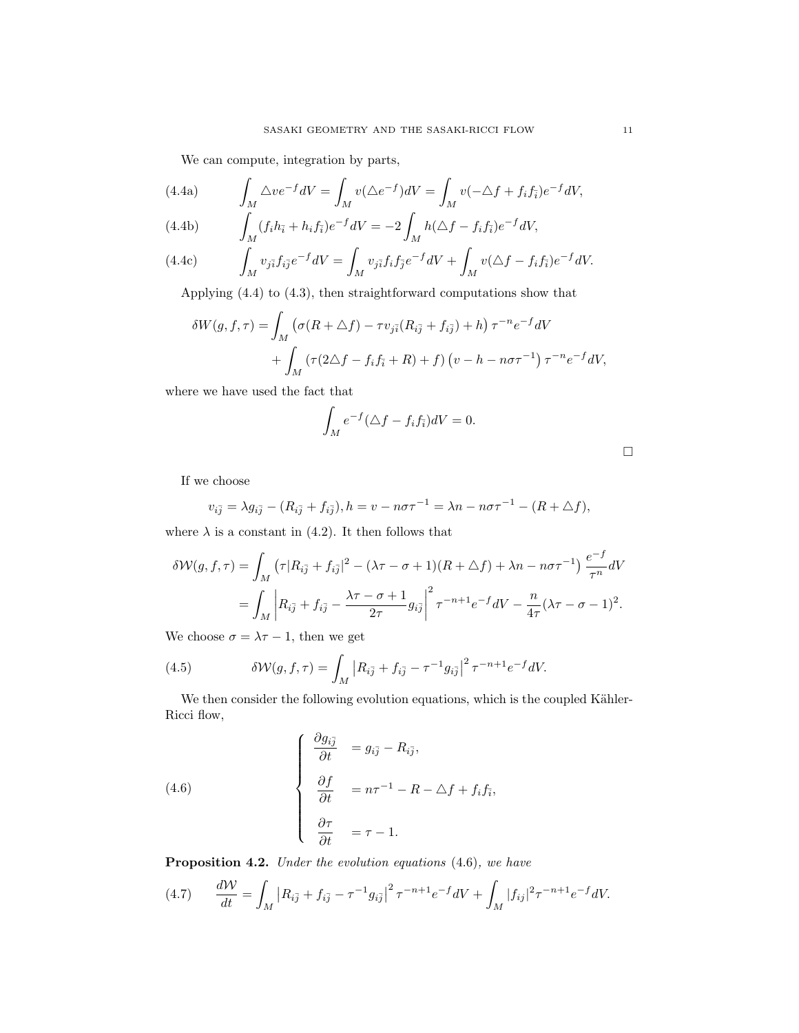We can compute, integration by parts,

(4.4a) 
$$
\int_M \Delta v e^{-f} dV = \int_M v (\Delta e^{-f}) dV = \int_M v (-\Delta f + f_i f_i) e^{-f} dV,
$$

(4.4b) 
$$
\int_M (f_i h_{\bar{i}} + h_i f_{\bar{i}}) e^{-f} dV = -2 \int_M h(\Delta f - f_i f_{\bar{i}}) e^{-f} dV,
$$

(4.4c) 
$$
\int_M v_{j\bar{i}} f_{i\bar{j}} e^{-f} dV = \int_M v_{j\bar{i}} f_i f_{\bar{j}} e^{-f} dV + \int_M v (\Delta f - f_i f_{\bar{i}}) e^{-f} dV.
$$

Applying (4.4) to (4.3), then straightforward computations show that

$$
\delta W(g, f, \tau) = \int_M \left( \sigma(R + \Delta f) - \tau v_{j\bar{i}} (R_{i\bar{j}} + f_{i\bar{j}}) + h \right) \tau^{-n} e^{-f} dV
$$

$$
+ \int_M \left( \tau (2\Delta f - f_i f_{\bar{i}} + R) + f \right) \left( v - h - n\sigma \tau^{-1} \right) \tau^{-n} e^{-f} dV,
$$

where we have used the fact that

$$
\int_M e^{-f} (\triangle f - f_i f_{\bar{i}}) dV = 0.
$$

If we choose

$$
v_{i\bar{j}} = \lambda g_{i\bar{j}} - (R_{i\bar{j}} + f_{i\bar{j}}), h = v - n\sigma\tau^{-1} = \lambda n - n\sigma\tau^{-1} - (R + \Delta f),
$$

where  $\lambda$  is a constant in (4.2). It then follows that

$$
\delta \mathcal{W}(g, f, \tau) = \int_M \left( \tau | R_{i\bar{j}} + f_{i\bar{j}} \right|^2 - (\lambda \tau - \sigma + 1)(R + \Delta f) + \lambda n - n\sigma \tau^{-1} \frac{e^{-f}}{\tau^n} dV
$$

$$
= \int_M \left| R_{i\bar{j}} + f_{i\bar{j}} - \frac{\lambda \tau - \sigma + 1}{2\tau} g_{i\bar{j}} \right|^2 \tau^{-n+1} e^{-f} dV - \frac{n}{4\tau} (\lambda \tau - \sigma - 1)^2.
$$

We choose  $\sigma = \lambda \tau - 1$ , then we get

(4.5) 
$$
\delta \mathcal{W}(g, f, \tau) = \int_M |R_{i\bar{j}} + f_{i\bar{j}} - \tau^{-1} g_{i\bar{j}}|^2 \tau^{-n+1} e^{-f} dV.
$$

We then consider the following evolution equations, which is the coupled Kähler-Ricci flow,

(4.6) 
$$
\begin{cases} \frac{\partial g_{i\bar{j}}}{\partial t} &= g_{i\bar{j}} - R_{i\bar{j}}, \\ \frac{\partial f}{\partial t} &= n\tau^{-1} - R - \Delta f + f_i f_{\bar{i}}, \\ \frac{\partial \tau}{\partial t} &= \tau - 1. \end{cases}
$$

Proposition 4.2. Under the evolution equations (4.6), we have

(4.7) 
$$
\frac{d\mathcal{W}}{dt} = \int_M |R_{i\bar{j}} + f_{i\bar{j}} - \tau^{-1} g_{i\bar{j}}|^2 \tau^{-n+1} e^{-f} dV + \int_M |f_{ij}|^2 \tau^{-n+1} e^{-f} dV.
$$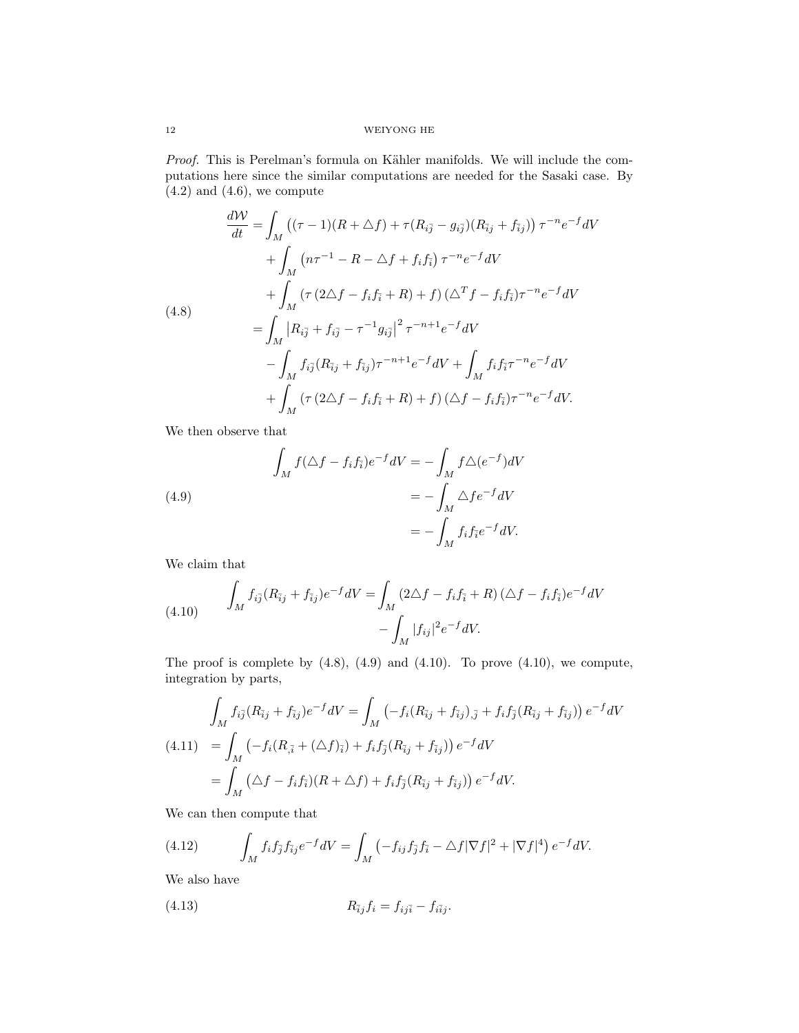Proof. This is Perelman's formula on Kähler manifolds. We will include the computations here since the similar computations are needed for the Sasaki case. By  $(4.2)$  and  $(4.6)$ , we compute

$$
\frac{d\mathcal{W}}{dt} = \int_{M} \left( (\tau - 1)(R + \Delta f) + \tau (R_{i\bar{j}} - g_{i\bar{j}})(R_{\bar{i}j} + f_{\bar{i}j}) \right) \tau^{-n} e^{-f} dV \n+ \int_{M} \left( n\tau^{-1} - R - \Delta f + f_{i} f_{\bar{i}} \right) \tau^{-n} e^{-f} dV \n+ \int_{M} \left( \tau (2\Delta f - f_{i} f_{\bar{i}} + R) + f \right) (\Delta^T f - f_{i} f_{\bar{i}}) \tau^{-n} e^{-f} dV \n= \int_{M} |R_{i\bar{j}} + f_{i\bar{j}} - \tau^{-1} g_{i\bar{j}}|^2 \tau^{-n+1} e^{-f} dV \n- \int_{M} f_{i\bar{j}} (R_{\bar{i}j} + f_{\bar{i}j}) \tau^{-n+1} e^{-f} dV + \int_{M} f_{i} f_{\bar{i}} \tau^{-n} e^{-f} dV \n+ \int_{M} \left( \tau (2\Delta f - f_{i} f_{\bar{i}} + R) + f \right) (\Delta f - f_{i} f_{\bar{i}}) \tau^{-n} e^{-f} dV.
$$

We then observe that

(4.9)  
\n
$$
\int_{M} f(\triangle f - f_{i}f_{\bar{i}})e^{-f}dV = -\int_{M} f\triangle(e^{-f})dV
$$
\n
$$
= -\int_{M} \triangle fe^{-f}dV
$$
\n
$$
= -\int_{M} f_{i}f_{\bar{i}}e^{-f}dV.
$$

We claim that

(4.10) 
$$
\int_{M} f_{i\bar{j}}(R_{\bar{i}j} + f_{\bar{i}j})e^{-f}dV = \int_{M} (2\Delta f - f_{i}f_{\bar{i}} + R)(\Delta f - f_{i}f_{\bar{i}})e^{-f}dV - \int_{M} |f_{i\bar{j}}|^{2}e^{-f}dV.
$$

The proof is complete by  $(4.8)$ ,  $(4.9)$  and  $(4.10)$ . To prove  $(4.10)$ , we compute, integration by parts,

$$
\int_{M} f_{i\bar{j}}(R_{\bar{i}j} + f_{\bar{i}j})e^{-f}dV = \int_{M} \left( -f_{i}(R_{\bar{i}j} + f_{\bar{i}j})_{,\bar{j}} + f_{i}f_{\bar{j}}(R_{\bar{i}j} + f_{\bar{i}j}) \right) e^{-f}dV
$$
\n
$$
(4.11) = \int_{M} \left( -f_{i}(R_{\bar{i}} + (\triangle f)_{\bar{i}}) + f_{i}f_{\bar{j}}(R_{\bar{i}j} + f_{\bar{i}j}) \right) e^{-f}dV
$$
\n
$$
= \int_{M} \left( \triangle f - f_{i}f_{\bar{i}} \right)(R + \triangle f) + f_{i}f_{\bar{j}}(R_{\bar{i}j} + f_{\bar{i}j}) e^{-f}dV.
$$

We can then compute that

(4.12) 
$$
\int_M f_i f_{\bar{j}} f_{\bar{i}j} e^{-f} dV = \int_M \left( -f_{ij} f_{\bar{j}} f_{\bar{i}} - \Delta f |\nabla f|^2 + |\nabla f|^4 \right) e^{-f} dV.
$$

We also have

(4.13) 
$$
R_{\bar{i}j}f_i = f_{ij\bar{i}} - f_{i\bar{i}j}.
$$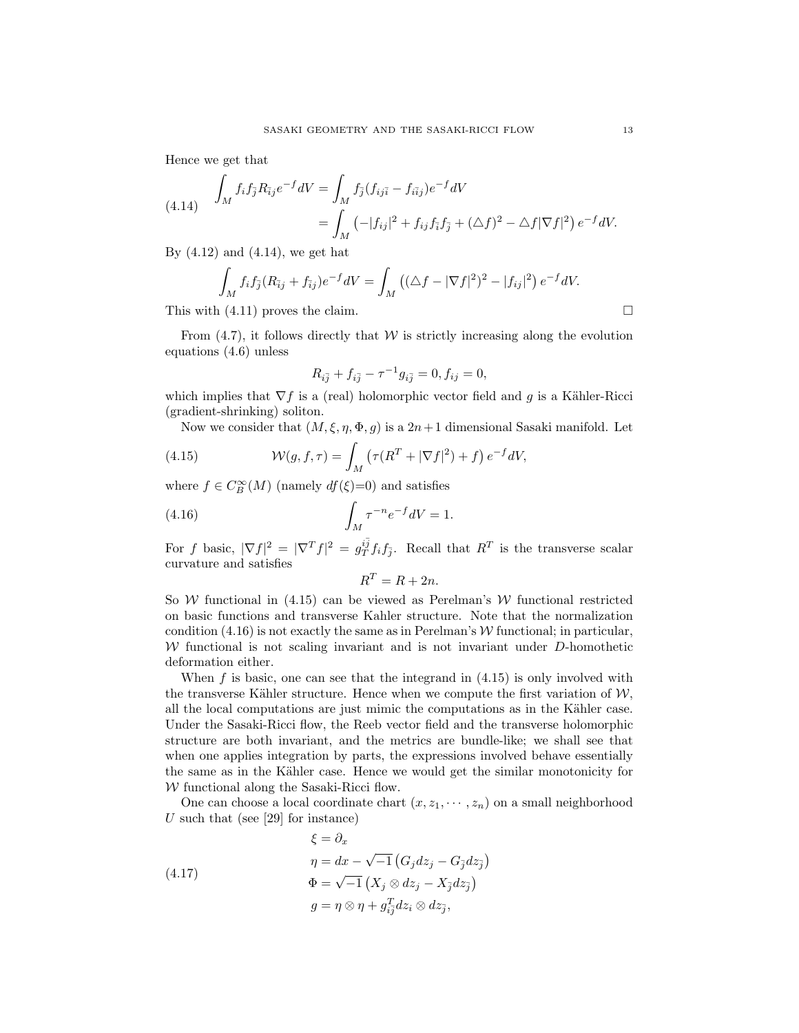Hence we get that

(4.14) 
$$
\int_{M} f_{i} f_{\bar{j}} R_{\bar{i}j} e^{-f} dV = \int_{M} f_{\bar{j}} (f_{i j \bar{i}} - f_{i \bar{i} j}) e^{-f} dV
$$

$$
= \int_{M} \left( -|f_{i j}|^{2} + f_{i j} f_{\bar{i}} f_{\bar{j}} + (\Delta f)^{2} - \Delta f |\nabla f|^{2} \right) e^{-f} dV.
$$

By  $(4.12)$  and  $(4.14)$ , we get hat

$$
\int_M f_i f_{\bar{j}} (R_{\bar{i}j} + f_{\bar{i}j}) e^{-f} dV = \int_M \left( (\Delta f - |\nabla f|^2)^2 - |f_{ij}|^2 \right) e^{-f} dV.
$$

This with  $(4.11)$  proves the claim.

From  $(4.7)$ , it follows directly that W is strictly increasing along the evolution equations (4.6) unless

$$
R_{i\bar{j}} + f_{i\bar{j}} - \tau^{-1} g_{i\bar{j}} = 0, f_{ij} = 0,
$$

which implies that  $\nabla f$  is a (real) holomorphic vector field and q is a Kähler-Ricci (gradient-shrinking) soliton.

Now we consider that  $(M, \xi, \eta, \Phi, g)$  is a  $2n+1$  dimensional Sasaki manifold. Let

(4.15) 
$$
\mathcal{W}(g,f,\tau) = \int_M \left( \tau (R^T + |\nabla f|^2) + f \right) e^{-f} dV,
$$

where  $f \in C_B^{\infty}(M)$  (namely  $df(\xi)=0$ ) and satisfies

(4.16) 
$$
\int_M \tau^{-n} e^{-f} dV = 1.
$$

For f basic,  $|\nabla f|^2 = |\nabla^T f|^2 = g_T^{i\bar{j}} f_i f_{\bar{j}}$ . Recall that  $R^T$  is the transverse scalar curvature and satisfies

$$
R^T = R + 2n.
$$

So W functional in  $(4.15)$  can be viewed as Perelman's W functional restricted on basic functions and transverse Kahler structure. Note that the normalization condition  $(4.16)$  is not exactly the same as in Perelman's W functional; in particular,  $W$  functional is not scaling invariant and is not invariant under  $D$ -homothetic deformation either.

When f is basic, one can see that the integrand in  $(4.15)$  is only involved with the transverse Kähler structure. Hence when we compute the first variation of  $\mathcal{W}$ , all the local computations are just mimic the computations as in the Kähler case. Under the Sasaki-Ricci flow, the Reeb vector field and the transverse holomorphic structure are both invariant, and the metrics are bundle-like; we shall see that when one applies integration by parts, the expressions involved behave essentially the same as in the Kähler case. Hence we would get the similar monotonicity for  $W$  functional along the Sasaki-Ricci flow.

One can choose a local coordinate chart  $(x, z_1, \dots, z_n)$  on a small neighborhood U such that (see  $[29]$  for instance)

(4.17)  
\n
$$
\xi = \partial_x
$$
\n
$$
\eta = dx - \sqrt{-1} \left( G_j dz_j - G_{\bar{j}} dz_{\bar{j}} \right)
$$
\n
$$
\Phi = \sqrt{-1} \left( X_j \otimes dz_j - X_{\bar{j}} dz_{\bar{j}} \right)
$$
\n
$$
g = \eta \otimes \eta + g_{i\bar{j}}^T dz_i \otimes dz_{\bar{j}},
$$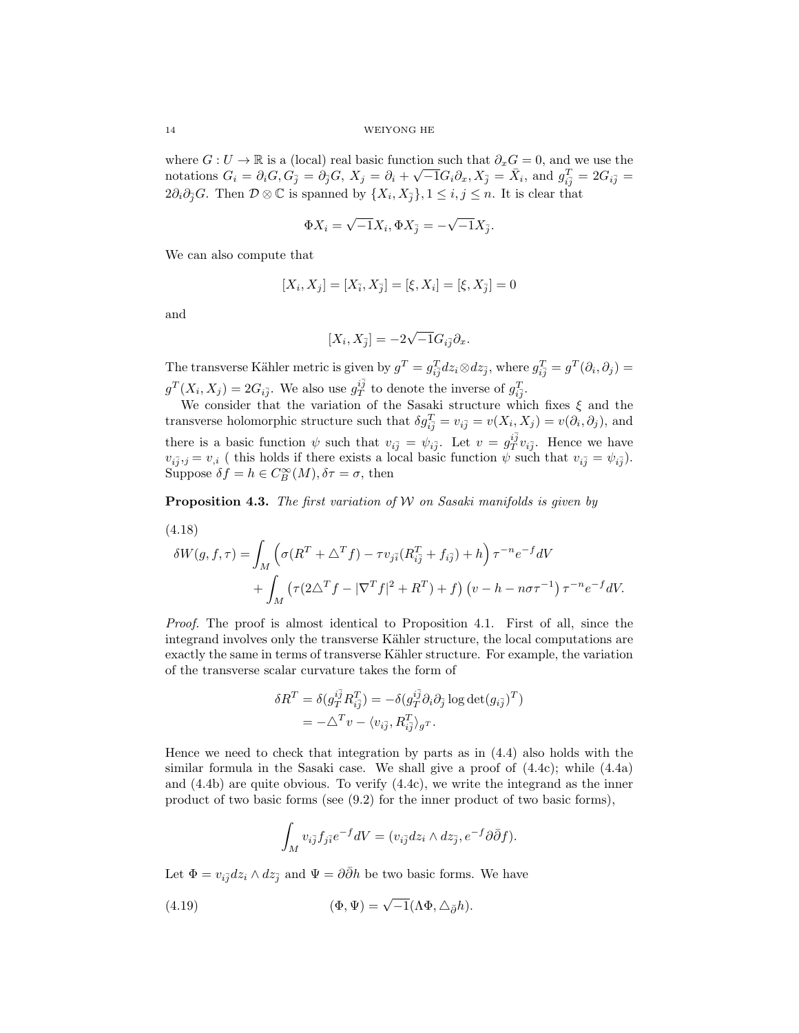where  $G: U \to \mathbb{R}$  is a (local) real basic function such that  $\partial_x G = 0$ , and we use the notations  $G_i = \partial_i G, G_{\bar{j}} = \partial_{\bar{j}} G, X_j = \partial_i + \sqrt{-1} G_i \partial_x, X_{\bar{j}} = \bar{X}_i$ , and  $g_{i\bar{j}}^T = 2 G_{i\bar{j}} =$  $2\partial_i\partial_{\bar{j}}G$ . Then  $\mathcal{D}\otimes\mathbb{C}$  is spanned by  $\{X_i, X_{\bar{j}}\}, 1\leq i,j\leq n$ . It is clear that

$$
\Phi X_i = \sqrt{-1}X_i, \Phi X_{\bar{j}} = -\sqrt{-1}X_{\bar{j}}.
$$

We can also compute that

$$
[X_i,X_j]=[X_{\bar{i}},X_{\bar{j}}]=[\xi,X_i]=[\xi,X_{\bar{j}}]=0
$$

and

$$
[X_i, X_{\bar{j}}] = -2\sqrt{-1}G_{i\bar{j}}\partial_x.
$$

The transverse Kähler metric is given by  $g^T = g_{i\bar{j}}^T dz_i \otimes dz_{\bar{j}}$ , where  $g_{i\bar{j}}^T = g^T(\partial_i, \partial_j) =$  $g^T(X_i, X_j) = 2G_{i\bar{j}}$ . We also use  $g_T^{i\bar{j}}$  to denote the inverse of  $g_{i\bar{j}}^T$ .

We consider that the variation of the Sasaki structure which fixes  $\xi$  and the transverse holomorphic structure such that  $\delta g_{i\bar{j}}^T = v_{i\bar{j}} = v(X_i, X_j) = v(\partial_i, \partial_j)$ , and there is a basic function  $\psi$  such that  $v_{i\bar{j}} = \psi_{i\bar{j}}$ . Let  $v = g_T^{i\bar{j}} v_{i\bar{j}}$ . Hence we have  $v_{i\bar{j},j} = v_{,i}$  (this holds if there exists a local basic function  $\psi$  such that  $v_{i\bar{j}} = \psi_{i\bar{j}}$ ). Suppose  $\delta f = h \in C_B^{\infty}(M)$ ,  $\delta \tau = \sigma$ , then

**Proposition 4.3.** The first variation of W on Sasaki manifolds is given by

$$
(4.18)
$$

$$
\delta W(g, f, \tau) = \int_M \left( \sigma (R^T + \Delta^T f) - \tau v_{j\bar{i}} (R^T_{i\bar{j}} + f_{i\bar{j}}) + h \right) \tau^{-n} e^{-f} dV
$$

$$
+ \int_M \left( \tau (2\Delta^T f - |\nabla^T f|^2 + R^T) + f \right) \left( v - h - n\sigma \tau^{-1} \right) \tau^{-n} e^{-f} dV.
$$

Proof. The proof is almost identical to Proposition 4.1. First of all, since the integrand involves only the transverse Kähler structure, the local computations are exactly the same in terms of transverse Kähler structure. For example, the variation of the transverse scalar curvature takes the form of

$$
\delta R^T = \delta (g_{T}^{i\bar{j}} R^T_{i\bar{j}}) = -\delta (g_{T}^{i\bar{j}} \partial_i \partial_{\bar{j}} \log \det (g_{i\bar{j}})^T)
$$
  
=  $-\Delta^T v - \langle v_{i\bar{j}}, R^T_{i\bar{j}} \rangle_g r$ .

Hence we need to check that integration by parts as in (4.4) also holds with the similar formula in the Sasaki case. We shall give a proof of  $(4.4c)$ ; while  $(4.4a)$ and (4.4b) are quite obvious. To verify (4.4c), we write the integrand as the inner product of two basic forms (see (9.2) for the inner product of two basic forms),

$$
\int_M v_{i\overline{j}} f_{j\overline{i}} e^{-f} dV = (v_{i\overline{j}} dz_i \wedge dz_{\overline{j}}, e^{-f} \partial \overline{\partial} f).
$$

Let  $\Phi = v_{i\bar{j}}dz_i \wedge dz_{\bar{j}}$  and  $\Psi = \partial\bar{\partial}h$  be two basic forms. We have

(4.19) 
$$
(\Phi, \Psi) = \sqrt{-1} (\Lambda \Phi, \Delta_{\bar{\partial}} h).
$$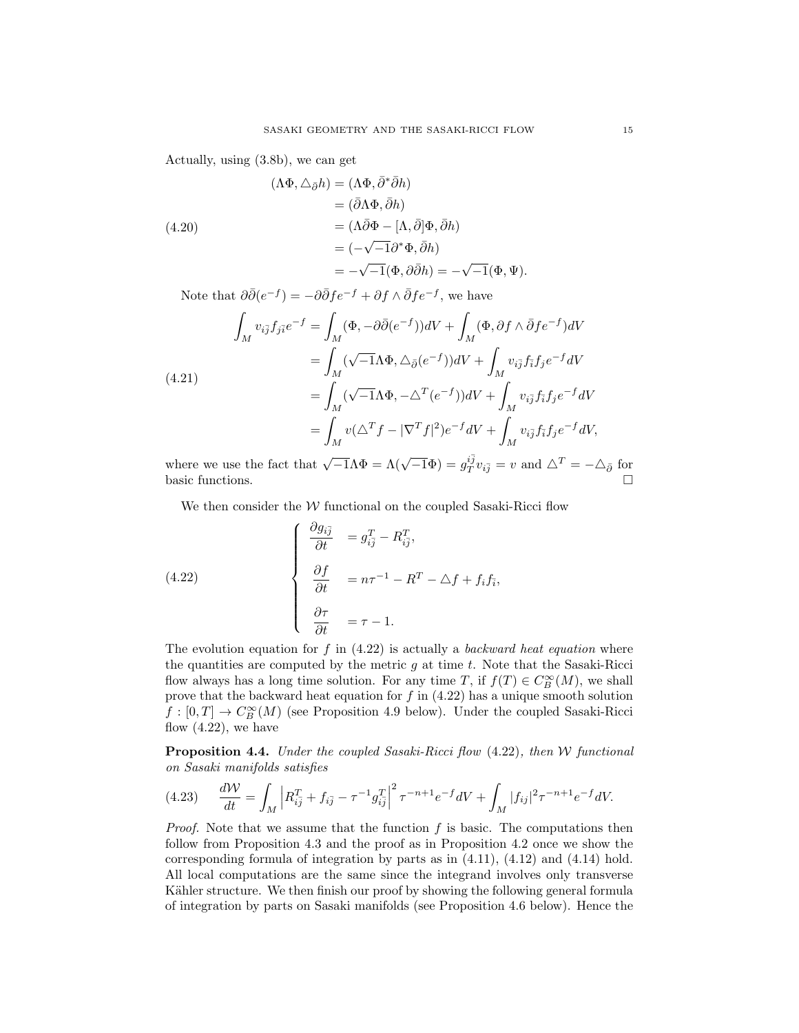Actually, using (3.8b), we can get

(4.20)  
\n
$$
(\Lambda \Phi, \Delta_{\bar{\partial}} h) = (\Lambda \Phi, \bar{\partial}^* \bar{\partial} h)
$$
\n
$$
= (\bar{\partial} \Lambda \Phi, \bar{\partial} h)
$$
\n
$$
= (\Lambda \bar{\partial} \Phi - [\Lambda, \bar{\partial}] \Phi, \bar{\partial} h)
$$
\n
$$
= (-\sqrt{-1} \partial^* \Phi, \bar{\partial} h)
$$
\n
$$
= -\sqrt{-1} (\Phi, \partial \bar{\partial} h) = -\sqrt{-1} (\Phi, \Psi).
$$

Note that  $\partial \bar{\partial} (e^{-f}) = -\partial \bar{\partial} f e^{-f} + \partial f \wedge \bar{\partial} f e^{-f}$ , we have

$$
\int_{M} v_{i\overline{j}} f_{j\overline{i}} e^{-f} = \int_{M} (\Phi, -\partial \overline{\partial} (e^{-f})) dV + \int_{M} (\Phi, \partial f \wedge \overline{\partial} f e^{-f}) dV
$$
\n
$$
= \int_{M} (\sqrt{-1} \Lambda \Phi, \Delta_{\overline{\partial}} (e^{-f})) dV + \int_{M} v_{i\overline{j}} f_{i\overline{i}} f_{j} e^{-f} dV
$$
\n
$$
= \int_{M} (\sqrt{-1} \Lambda \Phi, -\Delta^{T} (e^{-f})) dV + \int_{M} v_{i\overline{j}} f_{\overline{i}} f_{j} e^{-f} dV
$$
\n
$$
= \int_{M} v (\Delta^{T} f - |\nabla^{T} f|^{2}) e^{-f} dV + \int_{M} v_{i\overline{j}} f_{\overline{i}} f_{j} e^{-f} dV,
$$

where we use the fact that  $\sqrt{-1}\Lambda\Phi = \Lambda(\sqrt{-1}\Phi) = g_T^{i\bar{j}}v_{i\bar{j}} = v$  and  $\Delta^T = -\Delta_{\bar{\partial}}$  for basic functions.  $\square$ 

We then consider the  $W$  functional on the coupled Sasaki-Ricci flow

(4.22) 
$$
\begin{cases} \frac{\partial g_{i\bar{j}}}{\partial t} = g_{i\bar{j}}^T - R_{i\bar{j}}^T, \\ \frac{\partial f}{\partial t} = n\tau^{-1} - R^T - \Delta f + f_i f_{\bar{i}}, \\ \frac{\partial \tau}{\partial t} = \tau - 1. \end{cases}
$$

The evolution equation for f in  $(4.22)$  is actually a *backward heat equation* where the quantities are computed by the metric  $g$  at time  $t$ . Note that the Sasaki-Ricci flow always has a long time solution. For any time T, if  $f(T) \in C_B^{\infty}(M)$ , we shall prove that the backward heat equation for  $f$  in  $(4.22)$  has a unique smooth solution  $f: [0, T] \to C^{\infty}_B(M)$  (see Proposition 4.9 below). Under the coupled Sasaki-Ricci flow  $(4.22)$ , we have

**Proposition 4.4.** Under the coupled Sasaki-Ricci flow  $(4.22)$ , then W functional on Sasaki manifolds satisfies

$$
(4.23) \quad \frac{d\mathcal{W}}{dt} = \int_M \left| R_{i\bar{j}}^T + f_{i\bar{j}} - \tau^{-1} g_{i\bar{j}}^T \right|^2 \tau^{-n+1} e^{-f} dV + \int_M |f_{ij}|^2 \tau^{-n+1} e^{-f} dV.
$$

*Proof.* Note that we assume that the function  $f$  is basic. The computations then follow from Proposition 4.3 and the proof as in Proposition 4.2 once we show the corresponding formula of integration by parts as in  $(4.11)$ ,  $(4.12)$  and  $(4.14)$  hold. All local computations are the same since the integrand involves only transverse Kähler structure. We then finish our proof by showing the following general formula of integration by parts on Sasaki manifolds (see Proposition 4.6 below). Hence the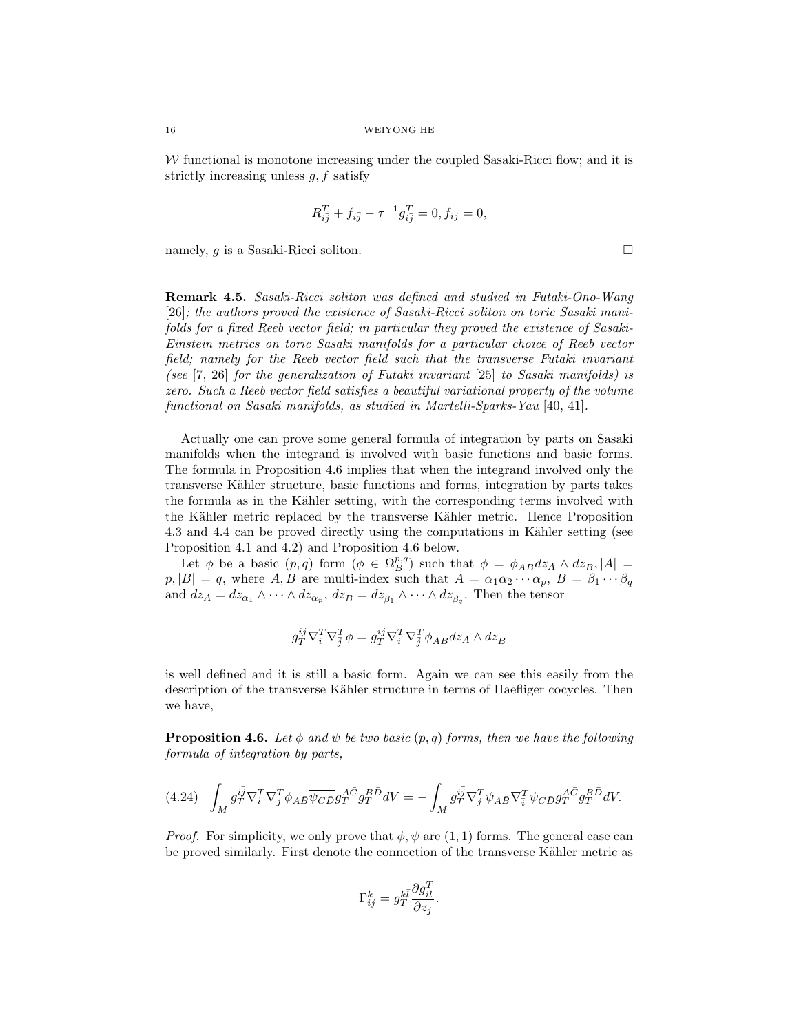$W$  functional is monotone increasing under the coupled Sasaki-Ricci flow; and it is strictly increasing unless  $g, f$  satisfy

$$
R_{i\bar{j}}^T + f_{i\bar{j}} - \tau^{-1} g_{i\bar{j}}^T = 0, f_{ij} = 0,
$$

namely, q is a Sasaki-Ricci soliton.  $\square$ 

Remark 4.5. Sasaki-Ricci soliton was defined and studied in Futaki-Ono-Wang [26]; the authors proved the existence of Sasaki-Ricci soliton on toric Sasaki manifolds for a fixed Reeb vector field; in particular they proved the existence of Sasaki-Einstein metrics on toric Sasaki manifolds for a particular choice of Reeb vector field; namely for the Reeb vector field such that the transverse Futaki invariant (see [7, 26] for the generalization of Futaki invariant [25] to Sasaki manifolds) is zero. Such a Reeb vector field satisfies a beautiful variational property of the volume functional on Sasaki manifolds, as studied in Martelli-Sparks-Yau [40, 41].

Actually one can prove some general formula of integration by parts on Sasaki manifolds when the integrand is involved with basic functions and basic forms. The formula in Proposition 4.6 implies that when the integrand involved only the transverse Kähler structure, basic functions and forms, integration by parts takes the formula as in the Kähler setting, with the corresponding terms involved with the Kähler metric replaced by the transverse Kähler metric. Hence Proposition 4.3 and 4.4 can be proved directly using the computations in Kähler setting (see Proposition 4.1 and 4.2) and Proposition 4.6 below.

Let  $\phi$  be a basic  $(p, q)$  form  $(\phi \in \Omega_B^{p,q})$  such that  $\phi = \phi_{A\bar{B}}dz_A \wedge dz_{\bar{B}}, |A|$  $p, |B| = q$ , where A, B are multi-index such that  $A = \alpha_1 \alpha_2 \cdots \alpha_p$ ,  $B = \beta_1 \cdots \beta_q$ and  $dz_A = dz_{\alpha_1} \wedge \cdots \wedge dz_{\alpha_p}$ ,  $dz_{\bar{B}} = dz_{\bar{\beta}_1} \wedge \cdots \wedge dz_{\bar{\beta}_q}$ . Then the tensor

$$
g_T^{i\bar{j}}\nabla^T_i\nabla^T_{\bar{j}}\phi=g_T^{i\bar{j}}\nabla^T_i\nabla^T_{\bar{j}}\phi_{A\bar{B}}dz_A\wedge dz_{\bar{B}}
$$

is well defined and it is still a basic form. Again we can see this easily from the description of the transverse Kähler structure in terms of Haefliger cocycles. Then we have,

**Proposition 4.6.** Let  $\phi$  and  $\psi$  be two basic  $(p, q)$  forms, then we have the following formula of integration by parts,

$$
(4.24)\quad \int_M g_T^{i\bar{j}} \nabla_{i}^T \nabla_{\bar{j}}^T \phi_{A\bar{B}} \overline{\psi_{C\bar{D}}} g_T^{A\bar{C}} g_T^{B\bar{D}} dV = -\int_M g_T^{i\bar{j}} \nabla_{\bar{j}}^T \psi_{A\bar{B}} \overline{\nabla_{\bar{i}}^T \psi_{C\bar{D}}} g_T^{A\bar{C}} g_T^{B\bar{D}} dV.
$$

*Proof.* For simplicity, we only prove that  $\phi$ ,  $\psi$  are (1, 1) forms. The general case can be proved similarly. First denote the connection of the transverse Kähler metric as

$$
\Gamma_{ij}^k = g_T^{k\bar{l}} \frac{\partial g_{i\bar{l}}^T}{\partial z_j}.
$$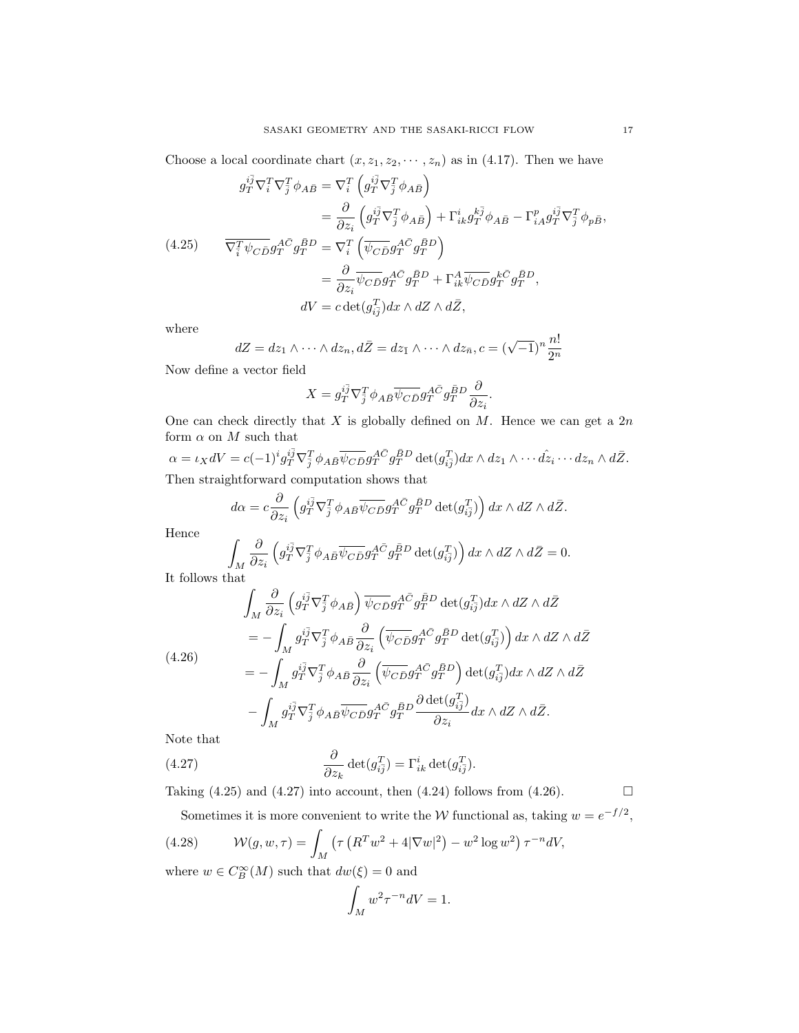Choose a local coordinate chart  $(x, z_1, z_2, \dots, z_n)$  as in (4.17). Then we have

$$
g_T^{i\bar{j}} \nabla_i^T \nabla_{\bar{j}}^T \phi_{A\bar{B}} = \nabla_i^T \left( g_T^{i\bar{j}} \nabla_{\bar{j}}^T \phi_{A\bar{B}} \right)
$$
  
\n
$$
= \frac{\partial}{\partial z_i} \left( g_T^{i\bar{j}} \nabla_{\bar{j}}^T \phi_{A\bar{B}} \right) + \Gamma_{ik}^i g_T^{k\bar{j}} \phi_{A\bar{B}} - \Gamma_{iA}^p g_T^{i\bar{j}} \nabla_{\bar{j}}^T \phi_{p\bar{B}},
$$
  
\n(4.25) 
$$
\overline{\nabla_{\bar{i}}^T \psi_{C\bar{D}} g_T^{A\bar{C}} g_T^{\bar{B}D}} = \nabla_i^T \left( \overline{\psi_{C\bar{D}}} g_T^{A\bar{C}} g_T^{\bar{B}D} \right)
$$
  
\n
$$
= \frac{\partial}{\partial z_i} \overline{\psi_{C\bar{D}}} g_T^{A\bar{C}} g_T^{\bar{B}D} + \Gamma_{ik}^A \overline{\psi_{C\bar{D}}} g_T^{k\bar{C}} g_T^{\bar{B}D},
$$
  
\n
$$
dV = c \det(g_{i\bar{j}}^T) dx \wedge dZ \wedge d\bar{Z},
$$

where

$$
dZ = dz_1 \wedge \cdots \wedge dz_n, d\bar{Z} = dz_{\bar{1}} \wedge \cdots \wedge dz_{\bar{n}}, c = (\sqrt{-1})^n \frac{n!}{2^n}
$$

Now define a vector field

$$
X = g_T^{i\bar{j}} \nabla_{\bar{j}}^T \phi_{A\bar{B}} \overline{\psi_{C\bar{D}}} g_T^{A\bar{C}} g_T^{\bar{B}D} \frac{\partial}{\partial z_i}.
$$

One can check directly that  $X$  is globally defined on  $M$ . Hence we can get a  $2n$ form  $\alpha$  on  $M$  such that

 $\alpha = \iota_X dV = c(-1)^i g_T^{i\bar{j}} \nabla_{\bar{j}}^T \phi_{AB} \overline{\psi_{CD}} g_T^{A\bar{C}} g_P^{\bar{B}D} \det(g_{i\bar{j}}^T) dx \wedge dz_1 \wedge \cdots \hat{dz_i} \cdots dz_n \wedge d\bar{Z}.$ Then straightforward computation shows that

$$
d\alpha = c \frac{\partial}{\partial z_i} \left( g_T^{i\bar{j}} \nabla_{\bar{j}}^T \phi_{A\bar{B}} \overline{\psi_{CD}} g_T^{A\bar{C}} g_T^{\bar{B}D} \det(g_{i\bar{j}}^T) \right) dx \wedge dZ \wedge d\bar{Z}.
$$

Hence

$$
\int_M \frac{\partial}{\partial z_i} \left( g_T^{i\bar{j}} \nabla_{\bar{j}}^T \phi_{A\bar{B}} \overline{\psi_{C\bar{D}}} g_T^{A\bar{C}} g_T^{\bar{B}D} \det(g_{i\bar{j}}^T) \right) dx \wedge dZ \wedge d\bar{Z} = 0.
$$

 $J_M$ <br>It follows that

$$
\int_{M} \frac{\partial}{\partial z_{i}} \left( g_{T}^{i\bar{j}} \nabla_{\bar{j}}^{T} \phi_{A\bar{B}} \right) \overline{\psi_{C\bar{D}}} g_{T}^{A\bar{C}} g_{T}^{B\bar{D}} \det(g_{i\bar{j}}^{T}) dx \wedge dZ \wedge d\bar{Z}
$$
\n
$$
= - \int_{M} g_{T}^{i\bar{j}} \nabla_{\bar{j}}^{T} \phi_{A\bar{B}} \frac{\partial}{\partial z_{i}} \left( \overline{\psi_{C\bar{D}}} g_{T}^{A\bar{C}} g_{T}^{B\bar{D}} \det(g_{i\bar{j}}^{T}) \right) dx \wedge dZ \wedge d\bar{Z}
$$
\n
$$
= - \int_{M} g_{T}^{i\bar{j}} \nabla_{\bar{j}}^{T} \phi_{A\bar{B}} \frac{\partial}{\partial z_{i}} \left( \overline{\psi_{C\bar{D}}} g_{T}^{A\bar{C}} g_{T}^{B\bar{D}} \right) \det(g_{i\bar{j}}^{T}) dx \wedge dZ \wedge d\bar{Z}
$$
\n
$$
- \int_{M} g_{T}^{i\bar{j}} \nabla_{\bar{j}}^{T} \phi_{A\bar{B}} \overline{\psi_{C\bar{D}}} g_{T}^{A\bar{C}} g_{T}^{\bar{B}D} \frac{\partial \det(g_{i\bar{j}}^{T})}{\partial z_{i}} dx \wedge dZ \wedge d\bar{Z}.
$$
\nNote that

Note that

(4.27) 
$$
\frac{\partial}{\partial z_k} \det(g_{i\bar{j}}^T) = \Gamma_{ik}^i \det(g_{i\bar{j}}^T).
$$

Taking (4.25) and (4.27) into account, then (4.24) follows from (4.26).  $\Box$ 

Sometimes it is more convenient to write the 
$$
W
$$
 functional as, taking  $w = e^{-f/2}$ ,

(4.28) 
$$
\mathcal{W}(g, w, \tau) = \int_M \left( \tau \left( R^T w^2 + 4|\nabla w|^2 \right) - w^2 \log w^2 \right) \tau^{-n} dV,
$$
  
where  $w \in C^\infty(M)$  such that  $dw(\xi) = 0$  and

where  $w \in C_B^{\infty}(M)$  such that  $dw(\xi) = 0$  and

$$
\int_M w^2 \tau^{-n} dV = 1.
$$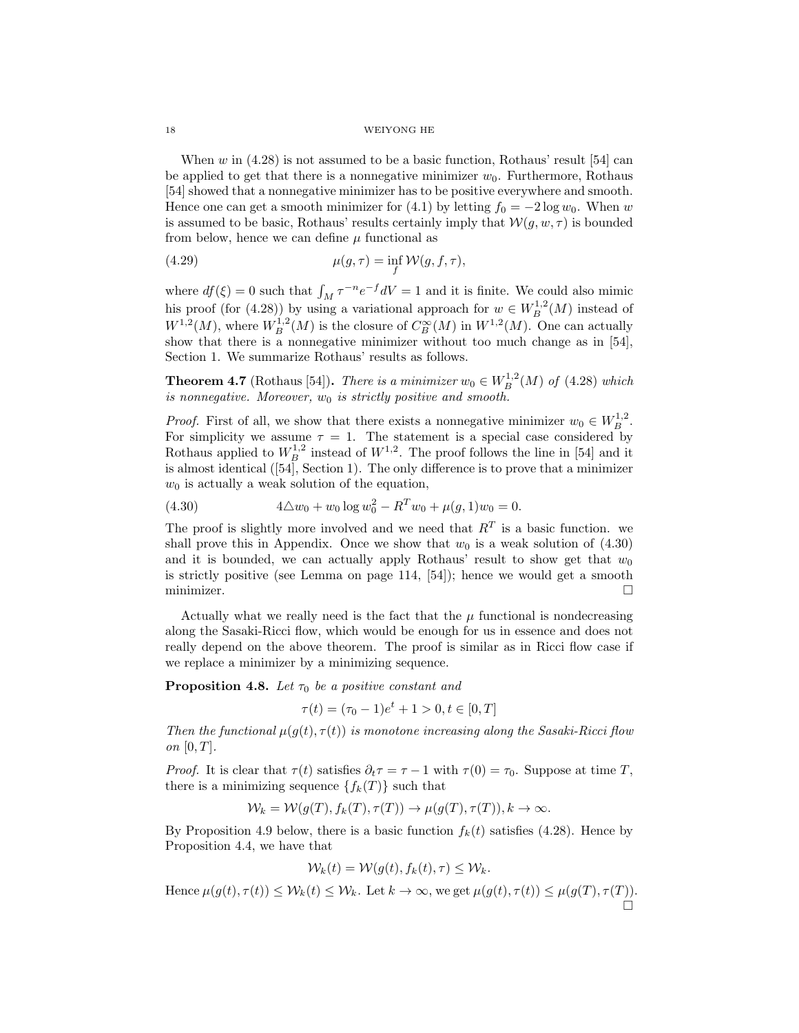When  $w$  in (4.28) is not assumed to be a basic function, Rothaus' result [54] can be applied to get that there is a nonnegative minimizer  $w_0$ . Furthermore, Rothaus [54] showed that a nonnegative minimizer has to be positive everywhere and smooth. Hence one can get a smooth minimizer for (4.1) by letting  $f_0 = -2 \log w_0$ . When w is assumed to be basic, Rothaus' results certainly imply that  $W(g, w, \tau)$  is bounded from below, hence we can define  $\mu$  functional as

(4.29) 
$$
\mu(g,\tau) = \inf_f \mathcal{W}(g,f,\tau),
$$

where  $df(\xi) = 0$  such that  $\int_M \tau^{-n}e^{-f}dV = 1$  and it is finite. We could also mimic his proof (for (4.28)) by using a variational approach for  $w \in W^{1,2}_B(M)$  instead of  $W^{1,2}(M)$ , where  $W^{1,2}_B(M)$  is the closure of  $C^{\infty}_B(M)$  in  $W^{1,2}(M)$ . One can actually show that there is a nonnegative minimizer without too much change as in [54], Section 1. We summarize Rothaus' results as follows.

**Theorem 4.7** (Rothaus [54]). There is a minimizer  $w_0 \in W_B^{1,2}(M)$  of (4.28) which is nonnegative. Moreover,  $w_0$  is strictly positive and smooth.

*Proof.* First of all, we show that there exists a nonnegative minimizer  $w_0 \in W_B^{1,2}$ . For simplicity we assume  $\tau = 1$ . The statement is a special case considered by Rothaus applied to  $W_B^{1,2}$  instead of  $W^{1,2}$ . The proof follows the line in [54] and it is almost identical ([54], Section 1). The only difference is to prove that a minimizer  $w_0$  is actually a weak solution of the equation,

(4.30) 
$$
4\Delta w_0 + w_0 \log w_0^2 - R^T w_0 + \mu(g, 1) w_0 = 0.
$$

The proof is slightly more involved and we need that  $R<sup>T</sup>$  is a basic function. we shall prove this in Appendix. Once we show that  $w_0$  is a weak solution of  $(4.30)$ and it is bounded, we can actually apply Rothaus' result to show get that  $w_0$ is strictly positive (see Lemma on page 114, [54]); hence we would get a smooth minimizer.  $\Box$ 

Actually what we really need is the fact that the  $\mu$  functional is nondecreasing along the Sasaki-Ricci flow, which would be enough for us in essence and does not really depend on the above theorem. The proof is similar as in Ricci flow case if we replace a minimizer by a minimizing sequence.

**Proposition 4.8.** Let  $\tau_0$  be a positive constant and

$$
\tau(t) = (\tau_0 - 1)e^t + 1 > 0, t \in [0, T]
$$

Then the functional  $\mu(g(t), \tau(t))$  is monotone increasing along the Sasaki-Ricci flow on  $[0, T]$ .

*Proof.* It is clear that  $\tau(t)$  satisfies  $\partial_t \tau = \tau - 1$  with  $\tau(0) = \tau_0$ . Suppose at time T, there is a minimizing sequence  $\{f_k(T)\}\$  such that

$$
\mathcal{W}_k = \mathcal{W}(g(T), f_k(T), \tau(T)) \to \mu(g(T), \tau(T)), k \to \infty.
$$

By Proposition 4.9 below, there is a basic function  $f_k(t)$  satisfies (4.28). Hence by Proposition 4.4, we have that

$$
\mathcal{W}_k(t) = \mathcal{W}(g(t), f_k(t), \tau) \leq \mathcal{W}_k.
$$

Hence  $\mu(g(t), \tau(t)) \leq \mathcal{W}_k(t) \leq \mathcal{W}_k$ . Let  $k \to \infty$ , we get  $\mu(g(t), \tau(t)) \leq \mu(g(T), \tau(T))$ . Ő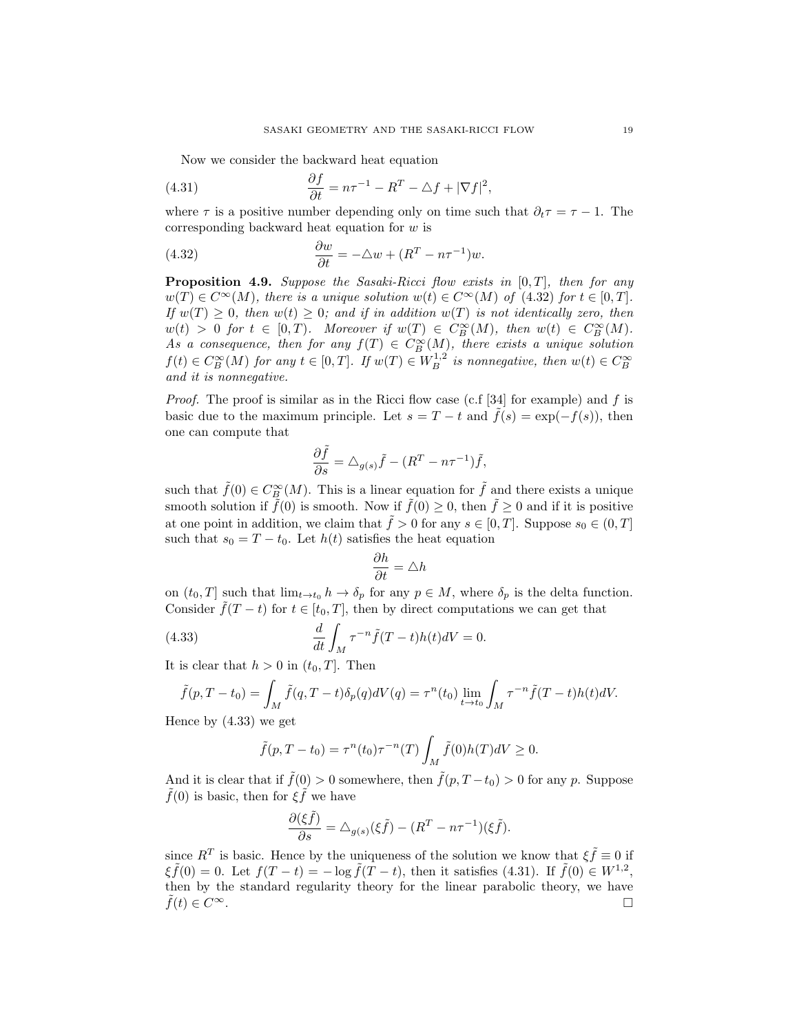Now we consider the backward heat equation

(4.31) 
$$
\frac{\partial f}{\partial t} = n\tau^{-1} - R^T - \Delta f + |\nabla f|^2,
$$

where  $\tau$  is a positive number depending only on time such that  $\partial_t \tau = \tau - 1$ . The corresponding backward heat equation for w is

(4.32) 
$$
\frac{\partial w}{\partial t} = -\triangle w + (R^T - n\tau^{-1})w.
$$

**Proposition 4.9.** Suppose the Sasaki-Ricci flow exists in  $[0, T]$ , then for any  $w(T) \in C^{\infty}(M)$ , there is a unique solution  $w(t) \in C^{\infty}(M)$  of (4.32) for  $t \in [0, T]$ . If  $w(T) \geq 0$ , then  $w(t) \geq 0$ ; and if in addition  $w(T)$  is not identically zero, then  $w(t) > 0$  for  $t \in [0,T)$ . Moreover if  $w(T) \in C_B^{\infty}(M)$ , then  $w(t) \in C_B^{\infty}(M)$ . As a consequence, then for any  $f(T) \in C_B^{\infty}(M)$ , there exists a unique solution  $f(t) \in C_B^{\infty}(M)$  for any  $t \in [0,T]$ . If  $w(T) \in W_B^{1,2}$  is nonnegative, then  $w(t) \in C_B^{\infty}$ and it is nonnegative.

*Proof.* The proof is similar as in the Ricci flow case (c.f [34] for example) and f is basic due to the maximum principle. Let  $s = T - t$  and  $\tilde{f}(s) = \exp(-f(s))$ , then one can compute that

$$
\frac{\partial \tilde{f}}{\partial s} = \triangle_{g(s)} \tilde{f} - (R^T - n\tau^{-1})\tilde{f},
$$

such that  $\tilde{f}(0) \in C_B^{\infty}(M)$ . This is a linear equation for  $\tilde{f}$  and there exists a unique smooth solution if  $\tilde{f}(0)$  is smooth. Now if  $\tilde{f}(0) \geq 0$ , then  $\tilde{f} \geq 0$  and if it is positive at one point in addition, we claim that  $\tilde{f} > 0$  for any  $s \in [0, T]$ . Suppose  $s_0 \in (0, T]$ such that  $s_0 = T - t_0$ . Let  $h(t)$  satisfies the heat equation

$$
\frac{\partial h}{\partial t} = \triangle h
$$

on  $(t_0, T]$  such that  $\lim_{t \to t_0} h \to \delta_p$  for any  $p \in M$ , where  $\delta_p$  is the delta function. Consider  $\tilde{f}(T-t)$  for  $t \in [t_0, T]$ , then by direct computations we can get that

(4.33) 
$$
\frac{d}{dt} \int_M \tau^{-n} \tilde{f}(T-t)h(t)dV = 0.
$$

It is clear that  $h > 0$  in  $(t_0, T]$ . Then

$$
\tilde{f}(p,T-t_0) = \int_M \tilde{f}(q,T-t)\delta_p(q)dV(q) = \tau^n(t_0)\lim_{t\to t_0}\int_M \tau^{-n}\tilde{f}(T-t)h(t)dV.
$$

Hence by (4.33) we get

$$
\tilde{f}(p,T-t_0) = \tau^n(t_0)\tau^{-n}(T)\int_M \tilde{f}(0)h(T)dV \ge 0.
$$

And it is clear that if  $\tilde{f}(0) > 0$  somewhere, then  $\tilde{f}(p, T-t_0) > 0$  for any p. Suppose  $\tilde{f}(0)$  is basic, then for  $\xi \tilde{f}$  we have

$$
\frac{\partial(\xi \tilde{f})}{\partial s} = \Delta_{g(s)}(\xi \tilde{f}) - (R^T - n\tau^{-1})(\xi \tilde{f}).
$$

since  $R^T$  is basic. Hence by the uniqueness of the solution we know that  $\xi \tilde{f} \equiv 0$  if  $\xi \tilde{f}(0) = 0$ . Let  $f(T - t) = -\log \tilde{f}(T - t)$ , then it satisfies (4.31). If  $\tilde{f}(0) \in W^{1,2}$ , then by the standard regularity theory for the linear parabolic theory, we have  $\tilde{f}(t) \in C^{\infty}$ .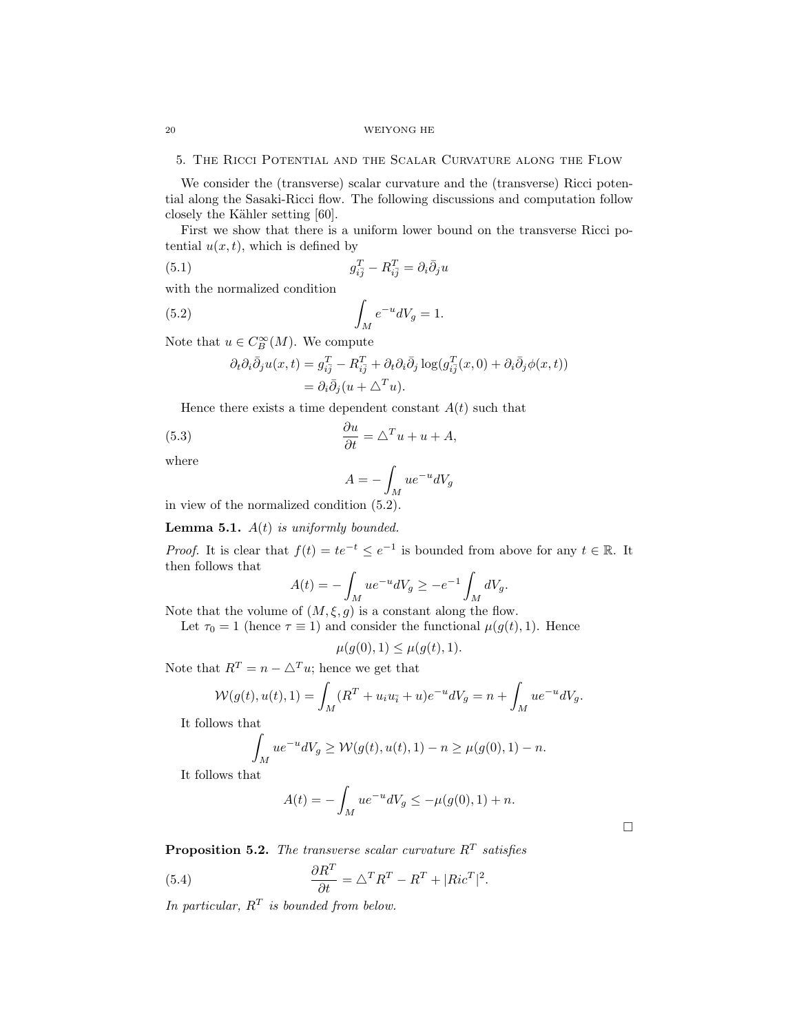5. The Ricci Potential and the Scalar Curvature along the Flow

We consider the (transverse) scalar curvature and the (transverse) Ricci potential along the Sasaki-Ricci flow. The following discussions and computation follow closely the Kähler setting [60].

First we show that there is a uniform lower bound on the transverse Ricci potential  $u(x, t)$ , which is defined by

(5.1) 
$$
g_{i\bar{j}}^T - R_{i\bar{j}}^T = \partial_i \bar{\partial}_j u
$$

with the normalized condition

$$
\int_M e^{-u} dV_g = 1.
$$

Note that  $u \in C_B^{\infty}(M)$ . We compute

$$
\partial_t \partial_i \bar{\partial}_j u(x,t) = g_{i\bar{j}}^T - R_{i\bar{j}}^T + \partial_t \partial_i \bar{\partial}_j \log(g_{i\bar{j}}^T(x,0) + \partial_i \bar{\partial}_j \phi(x,t))
$$
  
=  $\partial_i \bar{\partial}_j (u + \Delta^T u).$ 

Hence there exists a time dependent constant  $A(t)$  such that

(5.3) 
$$
\frac{\partial u}{\partial t} = \Delta^T u + u + A,
$$

where

$$
A = -\int_M ue^{-u}dV_g
$$

in view of the normalized condition (5.2).

**Lemma 5.1.**  $A(t)$  is uniformly bounded.

*Proof.* It is clear that  $f(t) = te^{-t} \le e^{-1}$  is bounded from above for any  $t \in \mathbb{R}$ . It then follows that

$$
A(t) = -\int_M ue^{-u}dV_g \ge -e^{-1} \int_M dV_g.
$$

Note that the volume of  $(M, \xi, g)$  is a constant along the flow.

Let  $\tau_0 = 1$  (hence  $\tau \equiv 1$ ) and consider the functional  $\mu(g(t), 1)$ . Hence

$$
\mu(g(0),1) \le \mu(g(t),1).
$$

Note that  $R^T = n - \Delta^T u$ ; hence we get that

$$
W(g(t), u(t), 1) = \int_M (R^T + u_i u_{\bar{i}} + u) e^{-u} dV_g = n + \int_M u e^{-u} dV_g.
$$

It follows that

$$
\int_M ue^{-u}dV_g \ge \mathcal{W}(g(t), u(t), 1) - n \ge \mu(g(0), 1) - n.
$$

It follows that

$$
A(t) = -\int_M ue^{-u}dV_g \le -\mu(g(0), 1) + n.
$$

**Proposition 5.2.** The transverse scalar curvature  $R<sup>T</sup>$  satisfies

(5.4) 
$$
\frac{\partial R^T}{\partial t} = \Delta^T R^T - R^T + |Ric^T|^2.
$$

In particular,  $R^T$  is bounded from below.

 $\Box$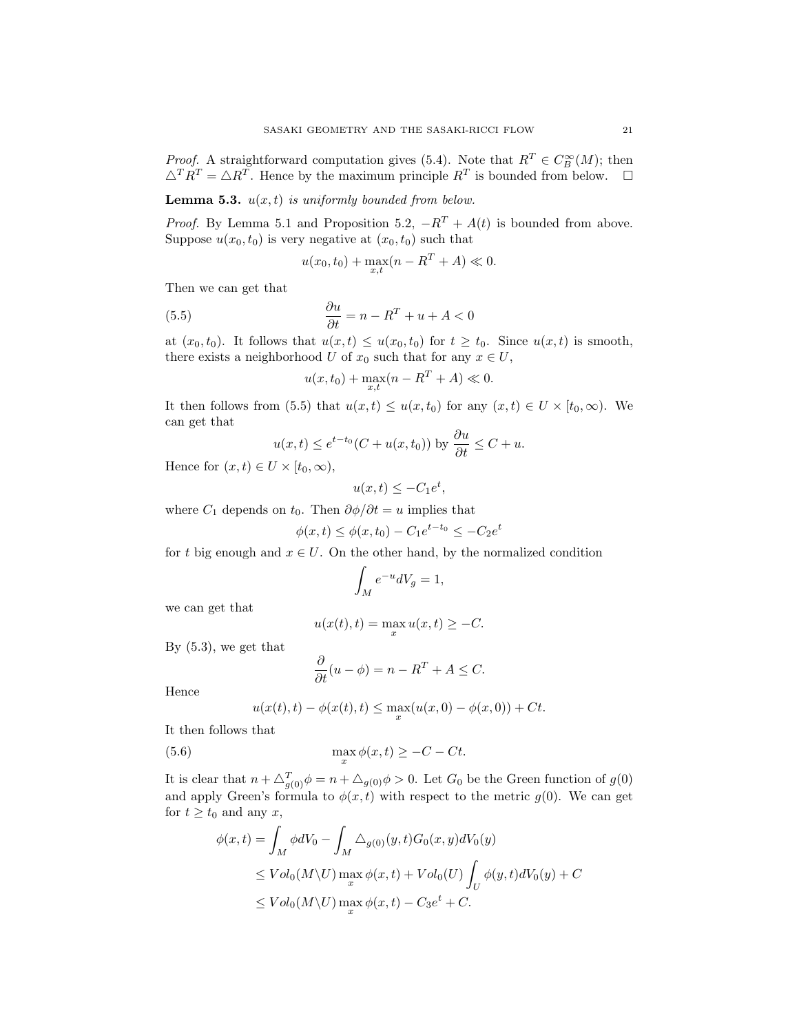*Proof.* A straightforward computation gives (5.4). Note that  $R^T \in C_B^{\infty}(M)$ ; then  $\triangle^T R^T = \triangle R^T$ . Hence by the maximum principle  $R^T$  is bounded from below.  $\square$ 

**Lemma 5.3.**  $u(x, t)$  is uniformly bounded from below.

*Proof.* By Lemma 5.1 and Proposition 5.2,  $-R^T + A(t)$  is bounded from above. Suppose  $u(x_0, t_0)$  is very negative at  $(x_0, t_0)$  such that

$$
u(x_0, t_0) + \max_{x,t} (n - R^T + A) \ll 0.
$$

Then we can get that

(5.5) 
$$
\frac{\partial u}{\partial t} = n - R^T + u + A < 0
$$

at  $(x_0, t_0)$ . It follows that  $u(x, t) \leq u(x_0, t_0)$  for  $t \geq t_0$ . Since  $u(x, t)$  is smooth, there exists a neighborhood U of  $x_0$  such that for any  $x \in U$ ,

$$
u(x, t_0) + \max_{x,t} (n - R^T + A) \ll 0.
$$

It then follows from (5.5) that  $u(x,t) \leq u(x,t_0)$  for any  $(x,t) \in U \times [t_0,\infty)$ . We can get that

$$
u(x,t) \le e^{t-t_0}(C + u(x,t_0))
$$
 by  $\frac{\partial u}{\partial t} \le C + u$ .

Hence for  $(x, t) \in U \times [t_0, \infty)$ ,

$$
u(x,t) \le -C_1 e^t,
$$

where  $C_1$  depends on  $t_0$ . Then  $\partial \phi / \partial t = u$  implies that

$$
\phi(x,t) \le \phi(x,t_0) - C_1 e^{t-t_0} \le -C_2 e^t
$$

for t big enough and  $x \in U$ . On the other hand, by the normalized condition

$$
\int_M e^{-u} dV_g = 1,
$$

we can get that

$$
u(x(t),t) = \max_{x} u(x,t) \ge -C.
$$

By (5.3), we get that

$$
\frac{\partial}{\partial t}(u - \phi) = n - R^T + A \le C.
$$

Hence

$$
u(x(t),t) - \phi(x(t),t) \le \max_{x} (u(x,0) - \phi(x,0)) + Ct.
$$

It then follows that

(5.6) 
$$
\max_{x} \phi(x,t) \geq -C - Ct.
$$

It is clear that  $n + \Delta_{g(0)}^T \phi = n + \Delta_{g(0)} \phi > 0$ . Let  $G_0$  be the Green function of  $g(0)$ and apply Green's formula to  $\phi(x, t)$  with respect to the metric  $g(0)$ . We can get for  $t \geq t_0$  and any x,

$$
\phi(x,t) = \int_M \phi dV_0 - \int_M \Delta_{g(0)}(y,t)G_0(x,y)dV_0(y)
$$
  
\n
$$
\leq Vol_0(M\backslash U) \max_x \phi(x,t) + Vol_0(U) \int_U \phi(y,t)dV_0(y) + C
$$
  
\n
$$
\leq Vol_0(M\backslash U) \max_x \phi(x,t) - C_3 e^t + C.
$$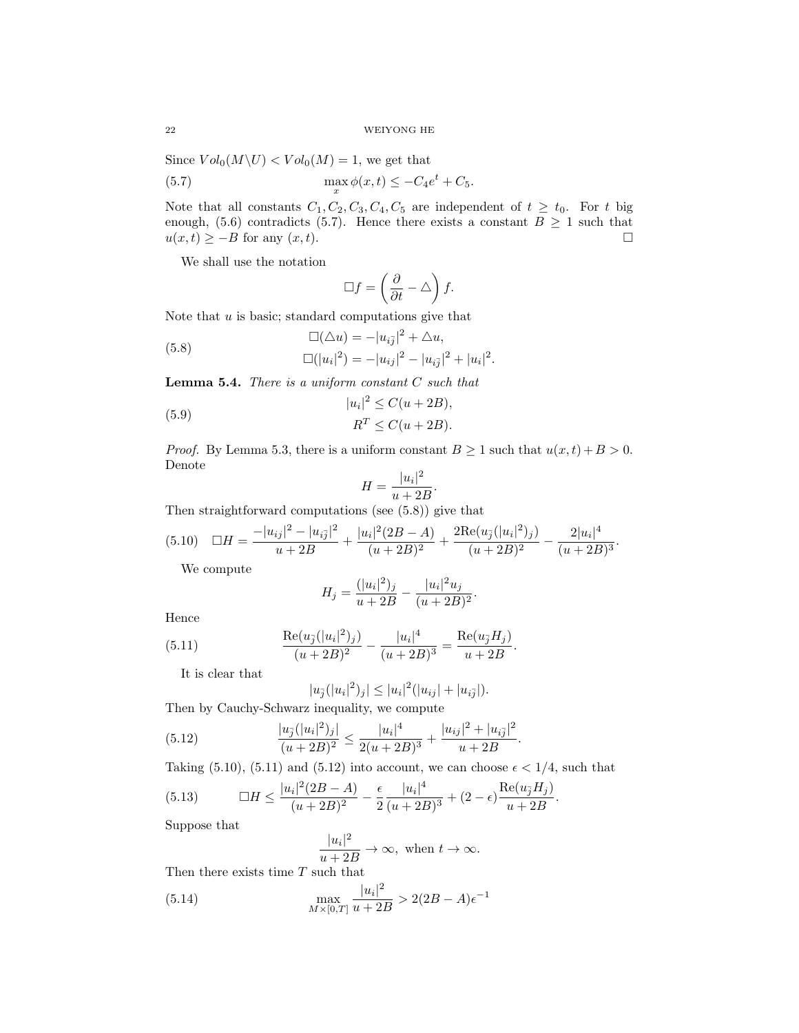Since  $Vol_0(M\backslash U) < Vol_0(M) = 1$ , we get that

(5.7) 
$$
\max_x \phi(x,t) \le -C_4 e^t + C_5.
$$

Note that all constants  $C_1, C_2, C_3, C_4, C_5$  are independent of  $t \geq t_0$ . For t big enough, (5.6) contradicts (5.7). Hence there exists a constant  $B \ge 1$  such that  $u(x,t) \geq -B$  for any  $(x,t)$ .

We shall use the notation

$$
\Box f = \left(\frac{\partial}{\partial t} - \triangle\right) f.
$$

Note that  $u$  is basic; standard computations give that

(5.8) 
$$
\Box(\Delta u) = -|u_{i\bar{j}}|^2 + \Delta u,
$$

$$
\Box(|u_i|^2) = -|u_{ij}|^2 - |u_{i\bar{j}}|^2 + |u_i|^2.
$$

**Lemma 5.4.** There is a uniform constant  $C$  such that

(5.9) 
$$
|u_i|^2 \leq C(u+2B),
$$

$$
R^T \leq C(u+2B).
$$

*Proof.* By Lemma 5.3, there is a uniform constant  $B \ge 1$  such that  $u(x,t) + B > 0$ . Denote

$$
H = \frac{|u_i|^2}{u + 2B}.
$$

Then straightforward computations (see (5.8)) give that

$$
(5.10) \quad \Box H = \frac{-|u_{ij}|^2 - |u_{i\bar{j}}|^2}{u + 2B} + \frac{|u_i|^2(2B - A)}{(u + 2B)^2} + \frac{2\text{Re}(u_{\bar{j}}(|u_i|^2)_j)}{(u + 2B)^2} - \frac{2|u_i|^4}{(u + 2B)^3}.
$$

We compute

$$
H_j = \frac{(|u_i|^2)_j}{u+2B} - \frac{|u_i|^2 u_j}{(u+2B)^2}.
$$

Hence

(5.11) 
$$
\frac{\text{Re}(u_{\bar{j}}(|u_i|^2)_j)}{(u+2B)^2} - \frac{|u_i|^4}{(u+2B)^3} = \frac{\text{Re}(u_{\bar{j}}H_j)}{u+2B}.
$$

It is clear that

$$
|u_{\bar{j}}(|u_i|^2)_j| \leq |u_i|^2(|u_{ij}| + |u_{i\bar{j}}|).
$$

Then by Cauchy-Schwarz inequality, we compute

(5.12) 
$$
\frac{|u_{\bar{j}}(|u_i|^2)_j|}{(u+2B)^2} \le \frac{|u_i|^4}{2(u+2B)^3} + \frac{|u_{ij}|^2 + |u_{i\bar{j}}|^2}{u+2B}.
$$

Taking (5.10), (5.11) and (5.12) into account, we can choose  $\epsilon < 1/4$ , such that

(5.13) 
$$
\Box H \le \frac{|u_i|^2 (2B - A)}{(u + 2B)^2} - \frac{\epsilon}{2} \frac{|u_i|^4}{(u + 2B)^3} + (2 - \epsilon) \frac{\text{Re}(u_{\overline{j}} H_j)}{u + 2B}.
$$

Suppose that

$$
\frac{|u_i|^2}{u+2B} \to \infty, \text{ when } t \to \infty.
$$

Then there exists time  $T$  such that

(5.14) 
$$
\max_{M \times [0,T]} \frac{|u_i|^2}{u+2B} > 2(2B-A)\epsilon^{-1}
$$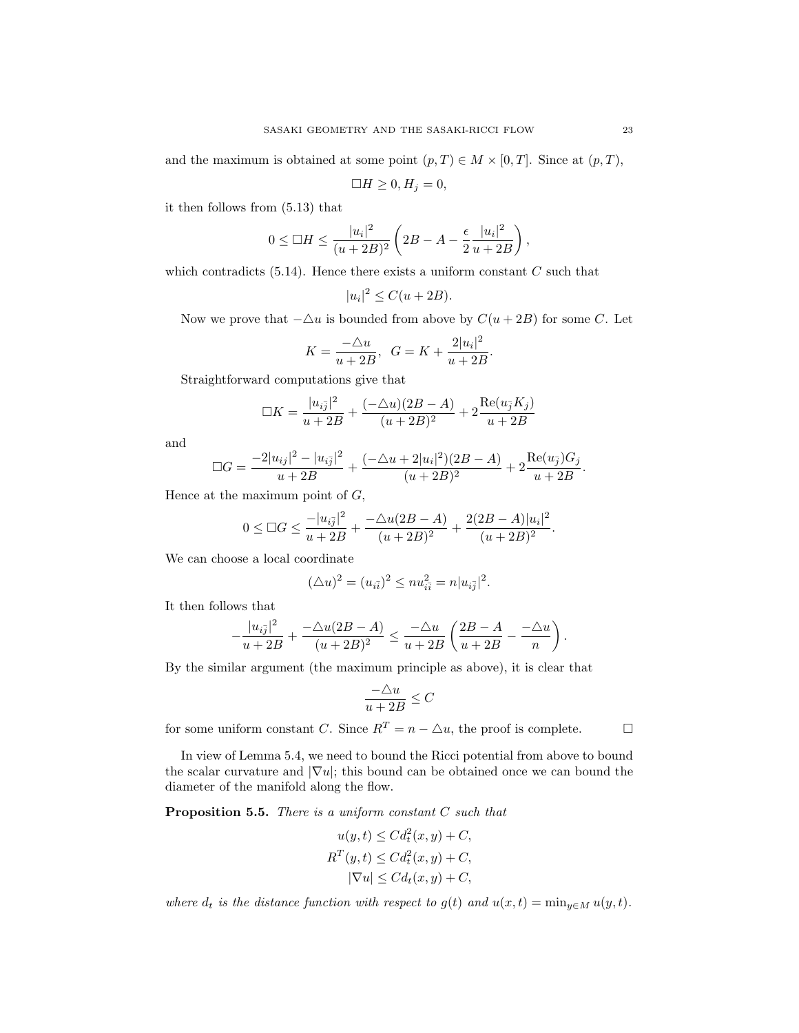and the maximum is obtained at some point  $(p, T) \in M \times [0, T]$ . Since at  $(p, T)$ ,

$$
\Box H \ge 0, H_j = 0,
$$

it then follows from (5.13) that

$$
0 \le \Box H \le \frac{|u_i|^2}{(u+2B)^2} \left( 2B - A - \frac{\epsilon}{2} \frac{|u_i|^2}{u+2B} \right),
$$

which contradicts  $(5.14)$ . Hence there exists a uniform constant C such that

$$
|u_i|^2 \le C(u + 2B).
$$

Now we prove that  $-\Delta u$  is bounded from above by  $C(u + 2B)$  for some C. Let

.

$$
K = \frac{-\Delta u}{u + 2B}, \ \ G = K + \frac{2|u_i|^2}{u + 2B}
$$

Straightforward computations give that

$$
\Box K = \frac{|u_{i\bar{j}}|^2}{u + 2B} + \frac{(-\triangle u)(2B - A)}{(u + 2B)^2} + 2\frac{\text{Re}(u_{\bar{j}}K_j)}{u + 2B}
$$

and

$$
\Box G = \frac{-2|u_{ij}|^2 - |u_{i\bar{j}}|^2}{u + 2B} + \frac{(-\triangle u + 2|u_i|^2)(2B - A)}{(u + 2B)^2} + 2\frac{\operatorname{Re}(u_{\bar{j}})G_j}{u + 2B}.
$$

Hence at the maximum point of  $G$ ,

$$
0 \leq \Box G \leq \frac{-|u_{i\overline{j}}|^2}{u+2B} + \frac{-\triangle u(2B-A)}{(u+2B)^2} + \frac{2(2B-A)|u_i|^2}{(u+2B)^2}.
$$

We can choose a local coordinate

$$
(\triangle u)^2 = (u_{i\bar{i}})^2 \leq nu_{i\bar{i}}^2 = n|u_{i\bar{j}}|^2.
$$

It then follows that

$$
-\frac{|u_{i\bar{j}}|^2}{u+2B}+\frac{-\triangle u(2B-A)}{(u+2B)^2}\leq \frac{-\triangle u}{u+2B}\left(\frac{2B-A}{u+2B}-\frac{-\triangle u}{n}\right).
$$

By the similar argument (the maximum principle as above), it is clear that

$$
\frac{-\triangle u}{u+2B}\leq C
$$

for some uniform constant C. Since  $R^T = n - \Delta u$ , the proof is complete.

In view of Lemma 5.4, we need to bound the Ricci potential from above to bound

the scalar curvature and  $|\nabla u|$ ; this bound can be obtained once we can bound the diameter of the manifold along the flow.

**Proposition 5.5.** There is a uniform constant  $C$  such that

$$
u(y,t) \leq C d_t^2(x,y) + C,
$$
  
\n
$$
R^T(y,t) \leq C d_t^2(x,y) + C,
$$
  
\n
$$
|\nabla u| \leq C d_t(x,y) + C,
$$

where  $d_t$  is the distance function with respect to  $g(t)$  and  $u(x,t) = \min_{y \in M} u(y,t)$ .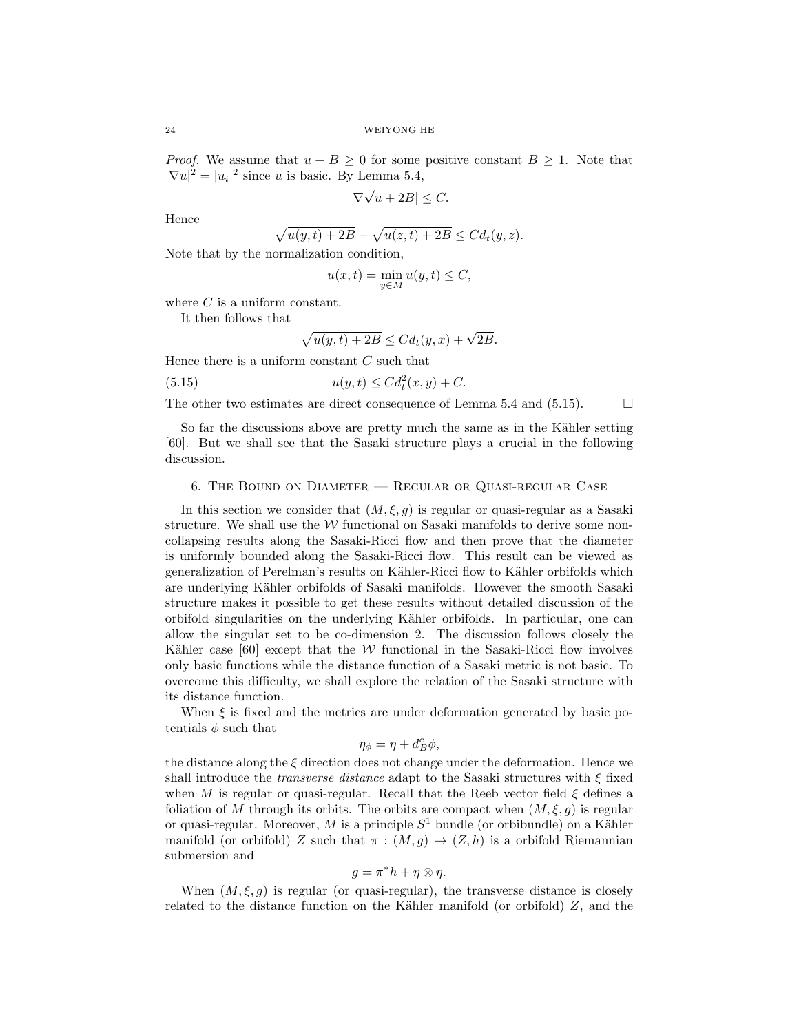*Proof.* We assume that  $u + B \ge 0$  for some positive constant  $B \ge 1$ . Note that  $|\nabla u|^2 = |u_i|^2$  since u is basic. By Lemma 5.4,

$$
|\nabla \sqrt{u+2B}| \leq C.
$$

Hence

$$
\sqrt{u(y,t)+2B} - \sqrt{u(z,t)+2B} \leq C d_t(y,z).
$$

Note that by the normalization condition,

$$
u(x,t) = \min_{y \in M} u(y,t) \le C,
$$

where  $C$  is a uniform constant.

It then follows that

$$
\sqrt{u(y,t) + 2B} \le C d_t(y,x) + \sqrt{2B}.
$$

Hence there is a uniform constant  $C$  such that

(5.15) 
$$
u(y,t) \leq C d_t^2(x,y) + C.
$$

The other two estimates are direct consequence of Lemma 5.4 and (5.15).  $\Box$ 

So far the discussions above are pretty much the same as in the Kähler setting [60]. But we shall see that the Sasaki structure plays a crucial in the following discussion.

# 6. The Bound on Diameter — Regular or Quasi-regular Case

In this section we consider that  $(M, \xi, g)$  is regular or quasi-regular as a Sasaki structure. We shall use the  $W$  functional on Sasaki manifolds to derive some noncollapsing results along the Sasaki-Ricci flow and then prove that the diameter is uniformly bounded along the Sasaki-Ricci flow. This result can be viewed as generalization of Perelman's results on Kähler-Ricci flow to Kähler orbifolds which are underlying Kähler orbifolds of Sasaki manifolds. However the smooth Sasaki structure makes it possible to get these results without detailed discussion of the orbifold singularities on the underlying K¨ahler orbifolds. In particular, one can allow the singular set to be co-dimension 2. The discussion follows closely the Kähler case  $[60]$  except that the W functional in the Sasaki-Ricci flow involves only basic functions while the distance function of a Sasaki metric is not basic. To overcome this difficulty, we shall explore the relation of the Sasaki structure with its distance function.

When  $\xi$  is fixed and the metrics are under deformation generated by basic potentials  $\phi$  such that

$$
\eta_{\phi} = \eta + d_B^c \phi,
$$

the distance along the  $\xi$  direction does not change under the deformation. Hence we shall introduce the *transverse distance* adapt to the Sasaki structures with  $\xi$  fixed when M is regular or quasi-regular. Recall that the Reeb vector field  $\xi$  defines a foliation of M through its orbits. The orbits are compact when  $(M, \xi, g)$  is regular or quasi-regular. Moreover, M is a principle  $S<sup>1</sup>$  bundle (or orbibundle) on a Kähler manifold (or orbifold) Z such that  $\pi : (M, g) \to (Z, h)$  is a orbifold Riemannian submersion and

$$
g = \pi^* h + \eta \otimes \eta.
$$

When  $(M, \xi, g)$  is regular (or quasi-regular), the transverse distance is closely related to the distance function on the Kähler manifold (or orbifold)  $Z$ , and the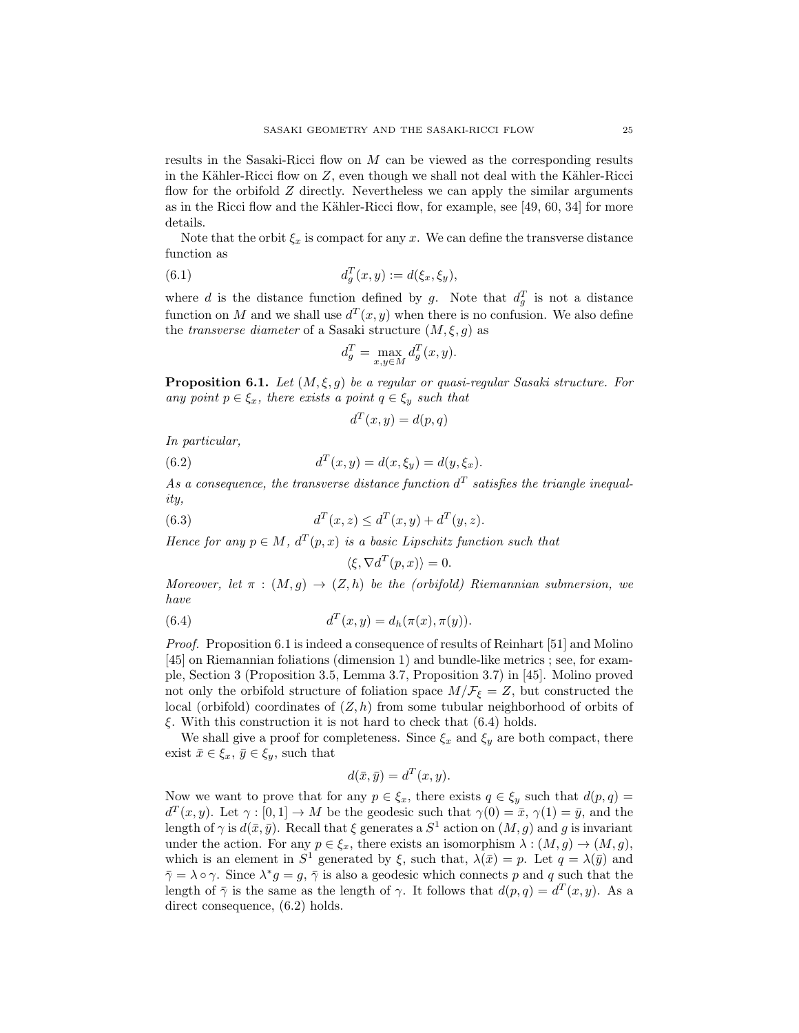results in the Sasaki-Ricci flow on M can be viewed as the corresponding results in the Kähler-Ricci flow on  $Z$ , even though we shall not deal with the Kähler-Ricci flow for the orbifold  $Z$  directly. Nevertheless we can apply the similar arguments as in the Ricci flow and the Kähler-Ricci flow, for example, see [49, 60, 34] for more details.

Note that the orbit  $\xi_x$  is compact for any x. We can define the transverse distance function as

(6.1) 
$$
d_g^T(x, y) := d(\xi_x, \xi_y),
$$

where d is the distance function defined by g. Note that  $d_g^T$  is not a distance function on M and we shall use  $d^T(x, y)$  when there is no confusion. We also define the *transverse diameter* of a Sasaki structure  $(M, \xi, g)$  as

$$
d_g^T = \max_{x,y \in M} d_g^T(x,y).
$$

**Proposition 6.1.** Let  $(M, \xi, g)$  be a regular or quasi-regular Sasaki structure. For any point  $p \in \xi_x$ , there exists a point  $q \in \xi_y$  such that

$$
d^T(x, y) = d(p, q)
$$

In particular,

(6.2) 
$$
d^{T}(x, y) = d(x, \xi_{y}) = d(y, \xi_{x}).
$$

As a consequence, the transverse distance function  $d^T$  satisfies the triangle inequality,

(6.3) 
$$
d^{T}(x, z) \leq d^{T}(x, y) + d^{T}(y, z).
$$

Hence for any  $p \in M$ ,  $d^T(p,x)$  is a basic Lipschitz function such that

$$
\langle \xi, \nabla d^T(p, x) \rangle = 0.
$$

Moreover, let  $\pi : (M, g) \to (Z, h)$  be the (orbifold) Riemannian submersion, we have

(6.4) 
$$
d^{T}(x,y) = d_{h}(\pi(x), \pi(y)).
$$

Proof. Proposition 6.1 is indeed a consequence of results of Reinhart [51] and Molino [45] on Riemannian foliations (dimension 1) and bundle-like metrics ; see, for example, Section 3 (Proposition 3.5, Lemma 3.7, Proposition 3.7) in [45]. Molino proved not only the orbifold structure of foliation space  $M/\mathcal{F}_{\xi} = Z$ , but constructed the local (orbifold) coordinates of  $(Z, h)$  from some tubular neighborhood of orbits of  $\xi$ . With this construction it is not hard to check that (6.4) holds.

We shall give a proof for completeness. Since  $\xi_x$  and  $\xi_y$  are both compact, there exist  $\bar{x} \in \xi_x, \bar{y} \in \xi_y$ , such that

$$
d(\bar{x}, \bar{y}) = d^T(x, y).
$$

Now we want to prove that for any  $p \in \xi_x$ , there exists  $q \in \xi_y$  such that  $d(p, q) =$  $d^T(x,y)$ . Let  $\gamma : [0,1] \to M$  be the geodesic such that  $\gamma(0) = \bar{x}, \gamma(1) = \bar{y}$ , and the length of  $\gamma$  is  $d(\bar{x}, \bar{y})$ . Recall that  $\xi$  generates a  $S^1$  action on  $(M, g)$  and g is invariant under the action. For any  $p \in \xi_x$ , there exists an isomorphism  $\lambda : (M, g) \to (M, g)$ , which is an element in  $S^1$  generated by  $\xi$ , such that,  $\lambda(\bar{x}) = p$ . Let  $q = \lambda(\bar{y})$  and  $\bar{\gamma} = \lambda \circ \gamma$ . Since  $\lambda^* g = g$ ,  $\bar{\gamma}$  is also a geodesic which connects p and q such that the length of  $\bar{\gamma}$  is the same as the length of  $\gamma$ . It follows that  $d(p,q) = d^T(x,y)$ . As a direct consequence,  $(6.2)$  holds.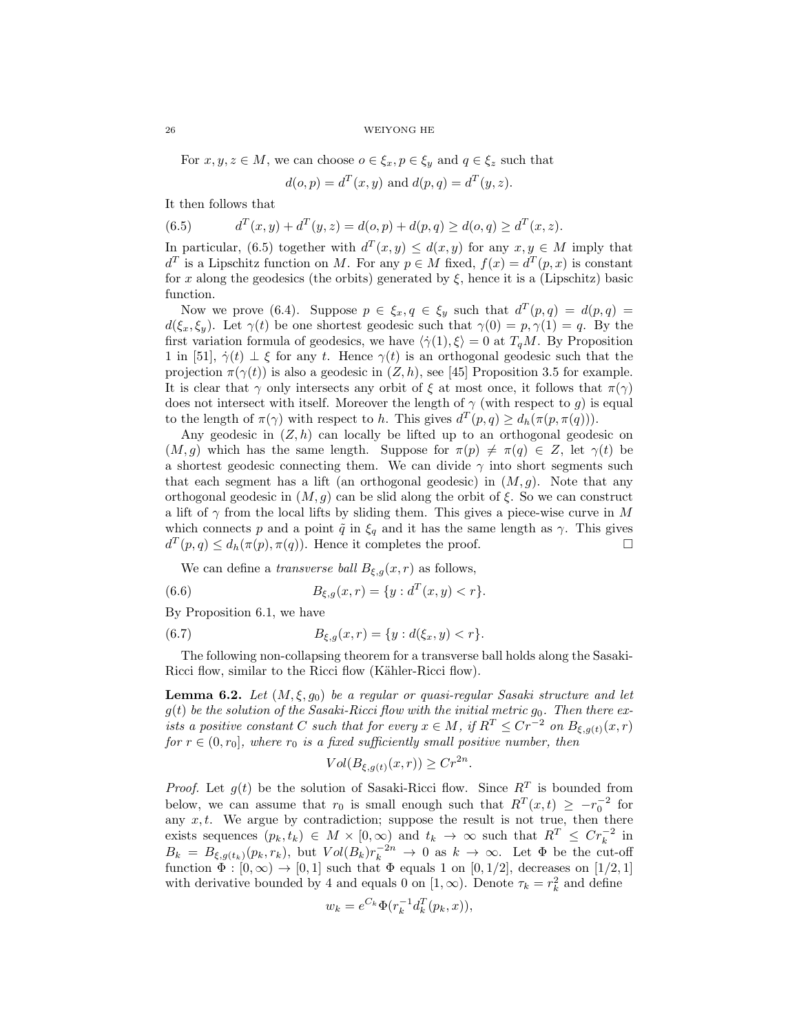For  $x, y, z \in M$ , we can choose  $o \in \xi_x, p \in \xi_y$  and  $q \in \xi_z$  such that

$$
d(o, p) = dT(x, y)
$$
 and  $d(p, q) = dT(y, z)$ .

It then follows that

(6.5) 
$$
d^{T}(x, y) + d^{T}(y, z) = d(o, p) + d(p, q) \ge d(o, q) \ge d^{T}(x, z).
$$

In particular, (6.5) together with  $d^T(x,y) \leq d(x,y)$  for any  $x, y \in M$  imply that  $d^T$  is a Lipschitz function on M. For any  $p \in M$  fixed,  $f(x) = d^T(p, x)$  is constant for x along the geodesics (the orbits) generated by  $\xi$ , hence it is a (Lipschitz) basic function.

Now we prove (6.4). Suppose  $p \in \xi_x, q \in \xi_y$  such that  $d^T(p,q) = d(p,q)$  $d(\xi_x, \xi_y)$ . Let  $\gamma(t)$  be one shortest geodesic such that  $\gamma(0) = p, \gamma(1) = q$ . By the first variation formula of geodesics, we have  $\langle \dot{\gamma}(1), \xi \rangle = 0$  at  $T_qM$ . By Proposition 1 in [51],  $\dot{\gamma}(t) \perp \xi$  for any t. Hence  $\gamma(t)$  is an orthogonal geodesic such that the projection  $\pi(\gamma(t))$  is also a geodesic in  $(Z, h)$ , see [45] Proposition 3.5 for example. It is clear that  $\gamma$  only intersects any orbit of  $\xi$  at most once, it follows that  $\pi(\gamma)$ does not intersect with itself. Moreover the length of  $\gamma$  (with respect to  $g$ ) is equal to the length of  $\pi(\gamma)$  with respect to h. This gives  $d^T(p,q) \geq d_h(\pi(p,\pi(q)))$ .

Any geodesic in  $(Z, h)$  can locally be lifted up to an orthogonal geodesic on  $(M, g)$  which has the same length. Suppose for  $\pi(p) \neq \pi(q) \in Z$ , let  $\gamma(t)$  be a shortest geodesic connecting them. We can divide  $\gamma$  into short segments such that each segment has a lift (an orthogonal geodesic) in  $(M, g)$ . Note that any orthogonal geodesic in  $(M, g)$  can be slid along the orbit of  $\xi$ . So we can construct a lift of  $\gamma$  from the local lifts by sliding them. This gives a piece-wise curve in M which connects p and a point  $\tilde{q}$  in  $\xi_q$  and it has the same length as  $\gamma$ . This gives  $d^T(p,q) \leq d_h(\pi(p), \pi(q))$ . Hence it completes the proof.

We can define a *transverse ball*  $B_{\xi,g}(x,r)$  as follows,

(6.6) 
$$
B_{\xi,g}(x,r) = \{y : d^T(x,y) < r\}.
$$

By Proposition 6.1, we have

(6.7) 
$$
B_{\xi,g}(x,r) = \{y : d(\xi_x, y) < r\}.
$$

The following non-collapsing theorem for a transverse ball holds along the Sasaki-Ricci flow, similar to the Ricci flow (Kähler-Ricci flow).

**Lemma 6.2.** Let  $(M, \xi, g_0)$  be a regular or quasi-regular Sasaki structure and let  $g(t)$  be the solution of the Sasaki-Ricci flow with the initial metric  $g_0$ . Then there exists a positive constant C such that for every  $x \in M$ , if  $R^T \leq Cr^{-2}$  on  $B_{\xi, g(t)}(x, r)$ for  $r \in (0, r_0]$ , where  $r_0$  is a fixed sufficiently small positive number, then

$$
Vol(B_{\xi,g(t)}(x,r)) \ge Cr^{2n}
$$

.

*Proof.* Let  $g(t)$  be the solution of Sasaki-Ricci flow. Since  $R^T$  is bounded from below, we can assume that  $r_0$  is small enough such that  $R^T(x,t) \geq -r_0^{-2}$  for any  $x, t$ . We argue by contradiction; suppose the result is not true, then there exists sequences  $(p_k, t_k) \in M \times [0, \infty)$  and  $t_k \to \infty$  such that  $R^T \leq Cr_k^{-2}$  in  $B_k = B_{\xi,g(t_k)}(p_k,r_k)$ , but  $Vol(B_k)r_k^{-2n} \to 0$  as  $k \to \infty$ . Let  $\Phi$  be the cut-off function  $\Phi : [0, \infty) \to [0, 1]$  such that  $\Phi$  equals 1 on  $[0, 1/2]$ , decreases on  $[1/2, 1]$ with derivative bounded by 4 and equals 0 on  $[1, \infty)$ . Denote  $\tau_k = r_k^2$  and define

$$
w_k = e^{C_k} \Phi(r_k^{-1} d_k^T(p_k, x)),
$$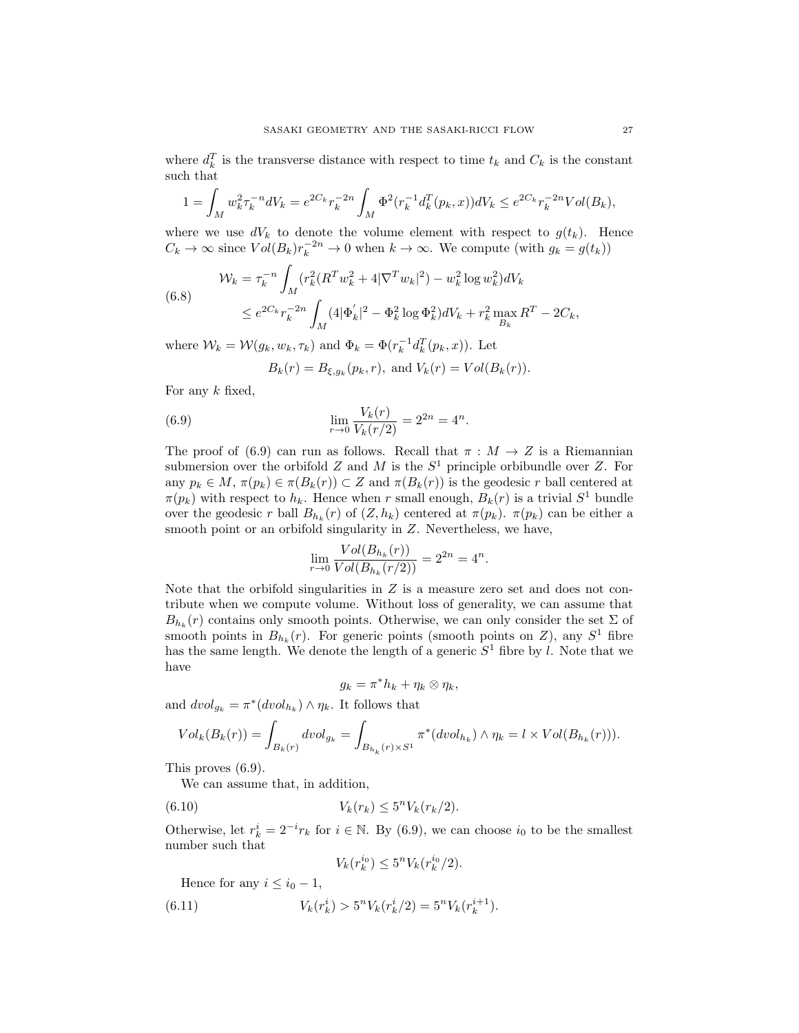where  $d_k^T$  is the transverse distance with respect to time  $t_k$  and  $C_k$  is the constant such that

$$
1 = \int_M w_k^2 \tau_k^{-n} dV_k = e^{2C_k} \tau_k^{-2n} \int_M \Phi^2(\tau_k^{-1} d_k^T(p_k, x)) dV_k \le e^{2C_k} \tau_k^{-2n} Vol(B_k),
$$

where we use  $dV_k$  to denote the volume element with respect to  $g(t_k)$ . Hence  $C_k \to \infty$  since  $Vol(B_k)r_k^{-2n} \to 0$  when  $k \to \infty$ . We compute (with  $g_k = g(t_k)$ )

(6.8) 
$$
\mathcal{W}_k = \tau_k^{-n} \int_M (r_k^2 (R^T w_k^2 + 4|\nabla^T w_k|^2) - w_k^2 \log w_k^2) dV_k
$$

$$
\leq e^{2C_k} \tau_k^{-2n} \int_M (4|\Phi_k'|^2 - \Phi_k^2 \log \Phi_k^2) dV_k + r_k^2 \max_{B_k} R^T - 2C_k,
$$

where  $W_k = \mathcal{W}(g_k, w_k, \tau_k)$  and  $\Phi_k = \Phi(r_k^{-1} d_k^T(p_k, x))$ . Let

$$
B_k(r) = B_{\xi, g_k}(p_k, r), \text{ and } V_k(r) = Vol(B_k(r)).
$$

For any  $k$  fixed,

(6.9) 
$$
\lim_{r \to 0} \frac{V_k(r)}{V_k(r/2)} = 2^{2n} = 4^n.
$$

The proof of (6.9) can run as follows. Recall that  $\pi : M \to Z$  is a Riemannian submersion over the orbifold Z and M is the  $S<sup>1</sup>$  principle orbibundle over Z. For any  $p_k \in M$ ,  $\pi(p_k) \in \pi(B_k(r)) \subset Z$  and  $\pi(B_k(r))$  is the geodesic r ball centered at  $\pi(p_k)$  with respect to  $h_k$ . Hence when r small enough,  $B_k(r)$  is a trivial  $S^1$  bundle over the geodesic r ball  $B_{h_k}(r)$  of  $(Z, h_k)$  centered at  $\pi(p_k)$ .  $\pi(p_k)$  can be either a smooth point or an orbifold singularity in  $Z$ . Nevertheless, we have,

$$
\lim_{r \to 0} \frac{Vol(B_{h_k}(r))}{Vol(B_{h_k}(r/2))} = 2^{2n} = 4^n.
$$

Note that the orbifold singularities in  $Z$  is a measure zero set and does not contribute when we compute volume. Without loss of generality, we can assume that  $B_{h_k}(r)$  contains only smooth points. Otherwise, we can only consider the set  $\Sigma$  of smooth points in  $B_{h_k}(r)$ . For generic points (smooth points on Z), any  $S^1$  fibre has the same length. We denote the length of a generic  $S<sup>1</sup>$  fibre by l. Note that we have

$$
g_k = \pi^* h_k + \eta_k \otimes \eta_k,
$$

and  $dvol_{g_k} = \pi^*(dvol_{h_k}) \wedge \eta_k$ . It follows that

$$
Vol_k(B_k(r)) = \int_{B_k(r)} dvol_{g_k} = \int_{B_{h_k}(r) \times S^1} \pi^*(dvol_{h_k}) \wedge \eta_k = l \times Vol(B_{h_k}(r))).
$$

This proves (6.9).

We can assume that, in addition,

(6.10) 
$$
V_k(r_k) \leq 5^n V_k(r_k/2).
$$

Otherwise, let  $r_k^i = 2^{-i}r_k$  for  $i \in \mathbb{N}$ . By (6.9), we can choose  $i_0$  to be the smallest number such that

$$
V_k(r_k^{i_0}) \le 5^n V_k(r_k^{i_0}/2).
$$

Hence for any  $i \leq i_0 - 1$ ,

(6.11) 
$$
V_k(r_k^i) > 5^n V_k(r_k^i/2) = 5^n V_k(r_k^{i+1}).
$$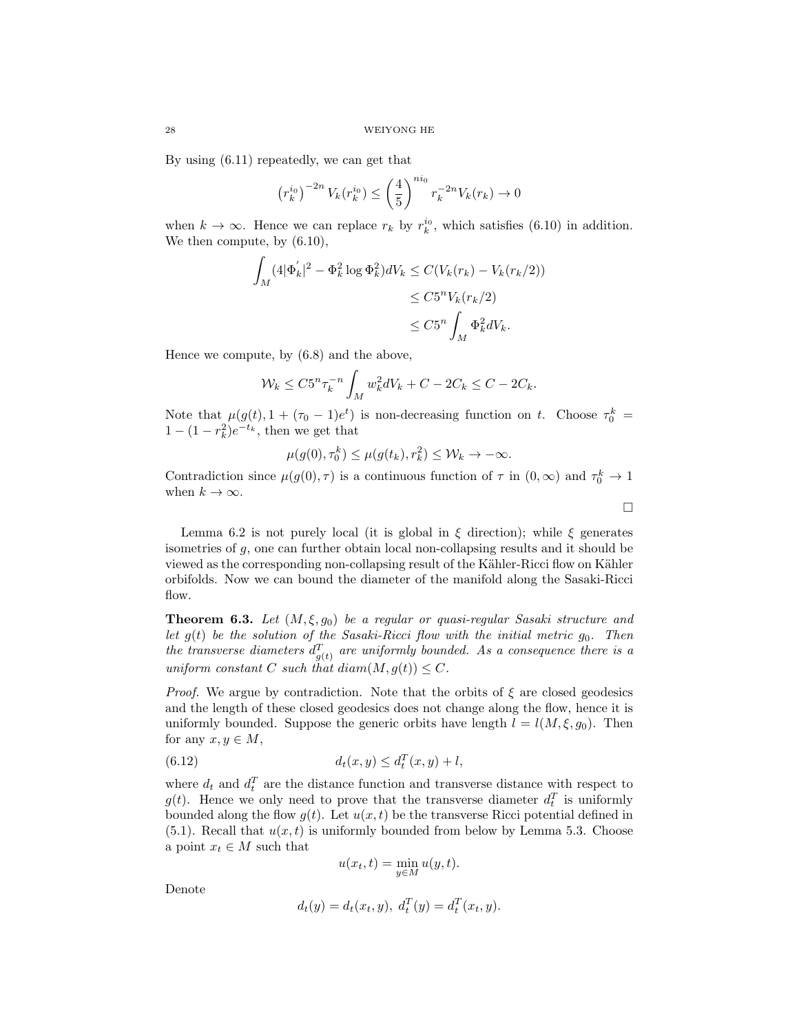By using (6.11) repeatedly, we can get that

$$
\left(r_k^{i_0}\right)^{-2n} V_k(r_k^{i_0}) \le \left(\frac{4}{5}\right)^{ni_0} r_k^{-2n} V_k(r_k) \to 0
$$

when  $k \to \infty$ . Hence we can replace  $r_k$  by  $r_k^{i_0}$ , which satisfies (6.10) in addition. We then compute, by (6.10),

$$
\int_M (4|\Phi'_k|^2 - \Phi_k^2 \log \Phi_k^2)dV_k \le C(V_k(r_k) - V_k(r_k/2))
$$
  

$$
\le C5^n V_k(r_k/2)
$$
  

$$
\le C5^n \int_M \Phi_k^2 dV_k.
$$

Hence we compute, by (6.8) and the above,

$$
\mathcal{W}_k \le C 5^n \tau_k^{-n} \int_M w_k^2 dV_k + C - 2C_k \le C - 2C_k.
$$

Note that  $\mu(g(t), 1 + (\tau_0 - 1)e^t)$  is non-decreasing function on t. Choose  $\tau_0^k =$  $1 - (1 - r_k^2)e^{-t_k}$ , then we get that

$$
\mu(g(0), \tau_0^k) \le \mu(g(t_k), r_k^2) \le \mathcal{W}_k \to -\infty.
$$

Contradiction since  $\mu(g(0), \tau)$  is a continuous function of  $\tau$  in  $(0, \infty)$  and  $\tau_0^k \to 1$ when  $k \to \infty$ .

 $\Box$ 

Lemma 6.2 is not purely local (it is global in  $\xi$  direction); while  $\xi$  generates isometries of  $g$ , one can further obtain local non-collapsing results and it should be viewed as the corresponding non-collapsing result of the Kähler-Ricci flow on Kähler orbifolds. Now we can bound the diameter of the manifold along the Sasaki-Ricci flow.

**Theorem 6.3.** Let  $(M, \xi, g_0)$  be a regular or quasi-regular Sasaki structure and let  $g(t)$  be the solution of the Sasaki-Ricci flow with the initial metric  $g_0$ . Then the transverse diameters  $d_{g(t)}^T$  are uniformly bounded. As a consequence there is a uniform constant C such that  $diam(M, g(t)) \leq C$ .

*Proof.* We argue by contradiction. Note that the orbits of  $\xi$  are closed geodesics and the length of these closed geodesics does not change along the flow, hence it is uniformly bounded. Suppose the generic orbits have length  $l = l(M, \xi, g_0)$ . Then for any  $x, y \in M$ ,

(6.12) 
$$
d_t(x, y) \le d_t^T(x, y) + l,
$$

where  $d_t$  and  $d_t^T$  are the distance function and transverse distance with respect to  $g(t)$ . Hence we only need to prove that the transverse diameter  $d_t^T$  is uniformly bounded along the flow  $g(t)$ . Let  $u(x, t)$  be the transverse Ricci potential defined in  $(5.1)$ . Recall that  $u(x, t)$  is uniformly bounded from below by Lemma 5.3. Choose a point  $x_t \in M$  such that

$$
u(x_t, t) = \min_{y \in M} u(y, t).
$$

Denote

$$
d_t(y) = d_t(x_t, y), \ d_t^T(y) = d_t^T(x_t, y).
$$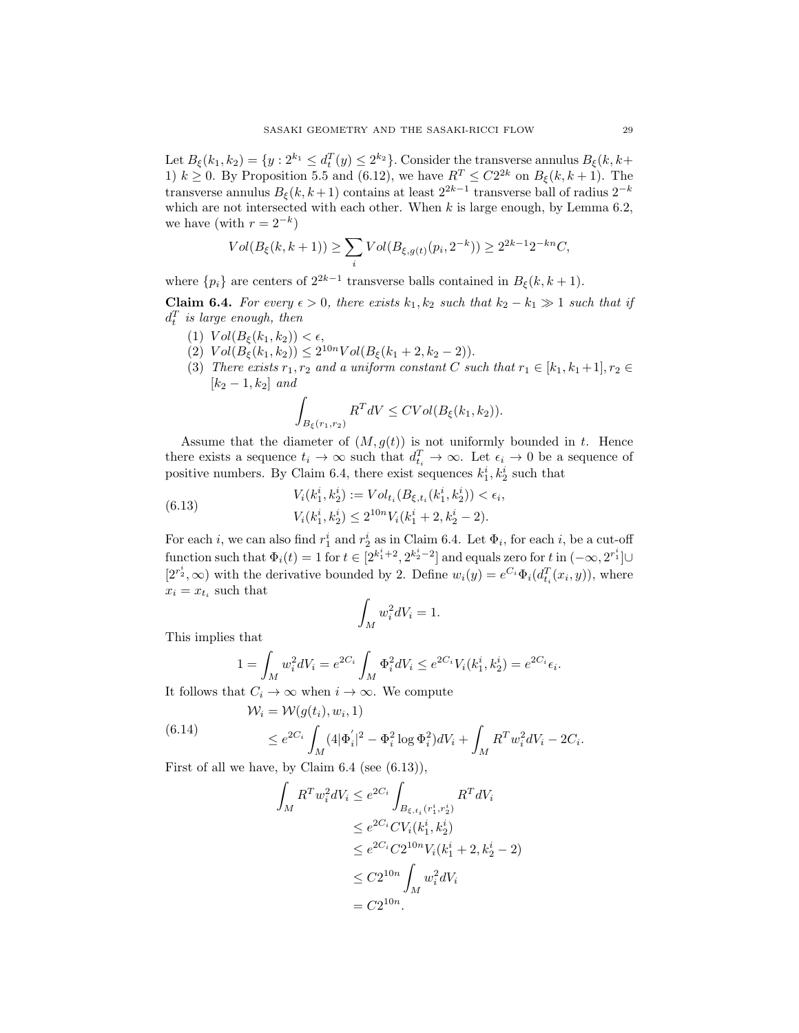Let  $B_{\xi}(k_1,k_2) = \{y : 2^{k_1} \le d_t^T(y) \le 2^{k_2}\}\.$  Consider the transverse annulus  $B_{\xi}(k, k+1)$ 1)  $k \geq 0$ . By Proposition 5.5 and (6.12), we have  $R^T \leq C2^{2k}$  on  $B_{\xi}(k, k+1)$ . The transverse annulus  $B_{\xi}(k, k+1)$  contains at least  $2^{2k-1}$  transverse ball of radius  $2^{-k}$ which are not intersected with each other. When  $k$  is large enough, by Lemma 6.2, we have (with  $r = 2^{-k}$ )

$$
Vol(B_{\xi}(k, k+1)) \ge \sum_{i} Vol(B_{\xi, g(t)}(p_i, 2^{-k})) \ge 2^{2k-1} 2^{-kn} C,
$$

where  $\{p_i\}$  are centers of  $2^{2k-1}$  transverse balls contained in  $B_{\xi}(k, k+1)$ .

Claim 6.4. For every  $\epsilon > 0$ , there exists  $k_1, k_2$  such that  $k_2 - k_1 \gg 1$  such that if  $d_t^T$  is large enough, then

- (1)  $Vol(B_{\xi}(k_1,k_2)) < \epsilon,$
- (2)  $Vol(B_{\xi}(k_1, k_2)) \leq 2^{10n} Vol(B_{\xi}(k_1 + 2, k_2 2)).$
- (3) There exists  $r_1, r_2$  and a uniform constant C such that  $r_1 \in [k_1, k_1+1], r_2 \in$  $[k_2-1, k_2]$  and

$$
\int_{B_{\xi}(r_1,r_2)} R^T dV \le CVol(B_{\xi}(k_1,k_2)).
$$

Assume that the diameter of  $(M, g(t))$  is not uniformly bounded in t. Hence there exists a sequence  $t_i \to \infty$  such that  $d_{t_i}^T \to \infty$ . Let  $\epsilon_i \to 0$  be a sequence of positive numbers. By Claim 6.4, there exist sequences  $k_1^i, k_2^i$  such that

(6.13) 
$$
V_i(k_1^i, k_2^i) := Vol_{t_i}(B_{\xi, t_i}(k_1^i, k_2^i)) < \epsilon_i,
$$

$$
V_i(k_1^i, k_2^i) \le 2^{10n} V_i(k_1^i + 2, k_2^i - 2).
$$

For each *i*, we can also find  $r_1^i$  and  $r_2^i$  as in Claim 6.4. Let  $\Phi_i$ , for each *i*, be a cut-off function such that  $\Phi_i(t) = 1$  for  $t \in [2^{k_1^i + 2}, 2^{k_2^i - 2}]$  and equals zero for t in  $(-\infty, 2^{r_1^i}] \cup$  $[2^{r_2^i}, \infty)$  with the derivative bounded by 2. Define  $w_i(y) = e^{C_i} \Phi_i(d_{t_i}^T(x_i, y))$ , where  $x_i = x_{t_i}$  such that

$$
\int_M w_i^2 dV_i = 1.
$$

This implies that

$$
1 = \int_M w_i^2 dV_i = e^{2C_i} \int_M \Phi_i^2 dV_i \le e^{2C_i} V_i(k_1^i, k_2^i) = e^{2C_i} \epsilon_i.
$$

It follows that  $C_i \to \infty$  when  $i \to \infty$ . We compute

(6.14) 
$$
W_i = \mathcal{W}(g(t_i), w_i, 1)
$$

$$
\leq e^{2C_i} \int_M (4|\Phi'_i|^2 - \Phi_i^2 \log \Phi_i^2) dV_i + \int_M R^T w_i^2 dV_i - 2C_i.
$$

First of all we have, by Claim  $6.4$  (see  $(6.13)$ ),

$$
\int_{M} R^{T} w_{i}^{2} dV_{i} \leq e^{2C_{i}} \int_{B_{\xi, t_{i}}(r_{1}^{i}, r_{2}^{i})} R^{T} dV_{i}
$$
\n
$$
\leq e^{2C_{i}} C V_{i} (k_{1}^{i}, k_{2}^{i})
$$
\n
$$
\leq e^{2C_{i}} C 2^{10n} V_{i} (k_{1}^{i} + 2, k_{2}^{i} - 2)
$$
\n
$$
\leq C 2^{10n} \int_{M} w_{i}^{2} dV_{i}
$$
\n
$$
= C 2^{10n}.
$$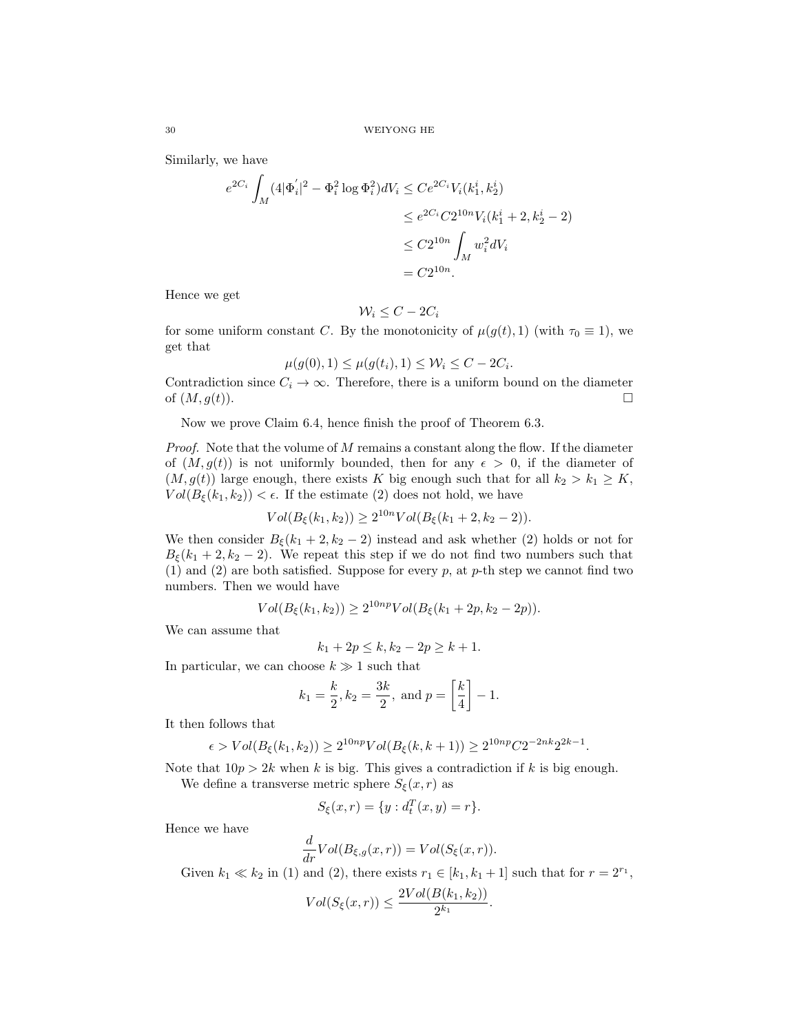Similarly, we have

$$
e^{2C_i} \int_M (4|\Phi'_i|^2 - \Phi_i^2 \log \Phi_i^2) dV_i \leq Ce^{2C_i} V_i(k_1^i, k_2^i)
$$
  
\n
$$
\leq e^{2C_i} C 2^{10n} V_i(k_1^i + 2, k_2^i - 2)
$$
  
\n
$$
\leq C 2^{10n} \int_M w_i^2 dV_i
$$
  
\n
$$
= C 2^{10n}.
$$

Hence we get

$$
\mathcal{W}_i \leq C - 2C_i
$$

for some uniform constant C. By the monotonicity of  $\mu(g(t), 1)$  (with  $\tau_0 \equiv 1$ ), we get that

$$
\mu(g(0), 1) \le \mu(g(t_i), 1) \le \mathcal{W}_i \le C - 2C_i.
$$

Contradiction since  $C_i \rightarrow \infty$ . Therefore, there is a uniform bound on the diameter of  $(M, g(t))$ .

Now we prove Claim 6.4, hence finish the proof of Theorem 6.3.

*Proof.* Note that the volume of  $M$  remains a constant along the flow. If the diameter of  $(M, g(t))$  is not uniformly bounded, then for any  $\epsilon > 0$ , if the diameter of  $(M, g(t))$  large enough, there exists K big enough such that for all  $k_2 > k_1 \geq K$ ,  $Vol(B_{\xi}(k_1, k_2)) < \epsilon$ . If the estimate (2) does not hold, we have

$$
Vol(B_{\xi}(k_1, k_2)) \ge 2^{10n} Vol(B_{\xi}(k_1 + 2, k_2 - 2)).
$$

We then consider  $B_{\xi}(k_1 + 2, k_2 - 2)$  instead and ask whether (2) holds or not for  $B_{\xi}(k_1 + 2, k_2 - 2)$ . We repeat this step if we do not find two numbers such that  $(1)$  and  $(2)$  are both satisfied. Suppose for every p, at p-th step we cannot find two numbers. Then we would have

$$
Vol(B_{\xi}(k_1, k_2)) \ge 2^{10np} Vol(B_{\xi}(k_1 + 2p, k_2 - 2p)).
$$

We can assume that

$$
k_1 + 2p \le k, k_2 - 2p \ge k + 1.
$$

In particular, we can choose  $k \gg 1$  such that

$$
k_1 = \frac{k}{2}, k_2 = \frac{3k}{2}, \text{ and } p = \left[\frac{k}{4}\right] - 1.
$$

It then follows that

$$
\epsilon > Vol(B_{\xi}(k_1, k_2)) \ge 2^{10np} Vol(B_{\xi}(k, k+1)) \ge 2^{10np} C 2^{-2nk} 2^{2k-1}.
$$

Note that  $10p > 2k$  when k is big. This gives a contradiction if k is big enough.

We define a transverse metric sphere  $S_{\xi}(x, r)$  as

$$
S_{\xi}(x,r) = \{y : d_t^T(x,y) = r\}.
$$

Hence we have

$$
\frac{d}{dr}Vol(B_{\xi,g}(x,r)) = Vol(S_{\xi}(x,r)).
$$

Given  $k_1 \ll k_2$  in (1) and (2), there exists  $r_1 \in [k_1, k_1 + 1]$  such that for  $r = 2^{r_1}$ ,

$$
Vol(S_{\xi}(x,r)) \leq \frac{2Vol(B(k_1,k_2))}{2^{k_1}}.
$$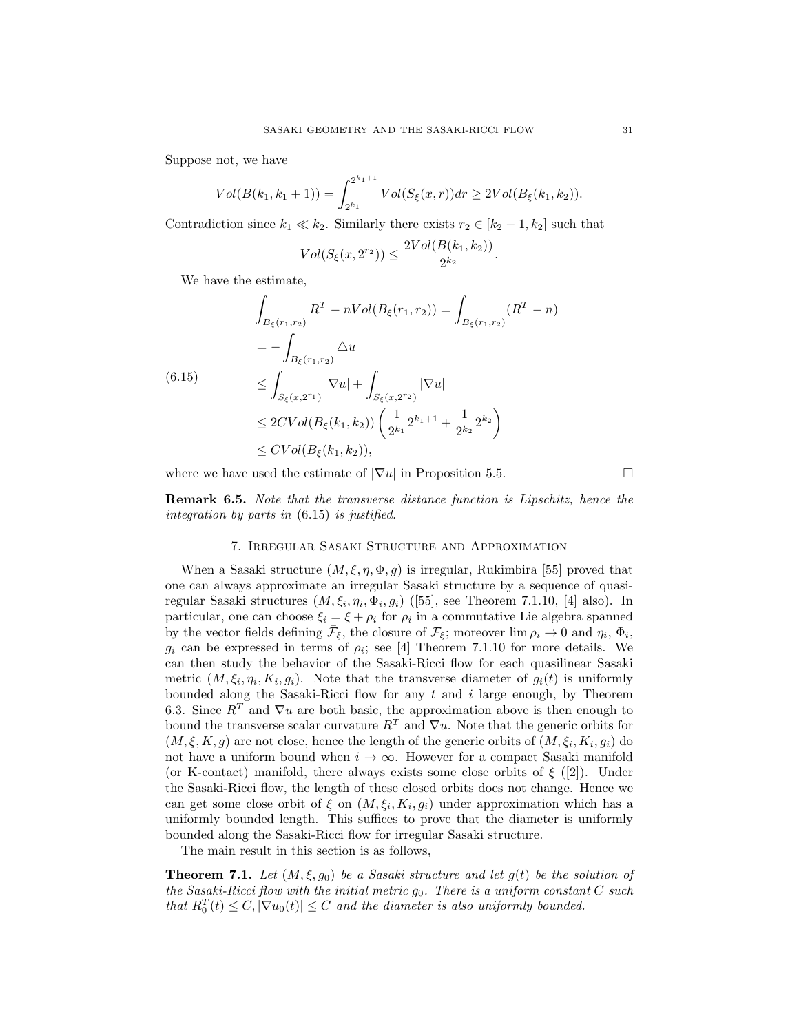Suppose not, we have

$$
Vol(B(k_1, k_1 + 1)) = \int_{2^{k_1}}^{2^{k_1 + 1}} Vol(S_{\xi}(x, r)) dr \ge 2Vol(B_{\xi}(k_1, k_2)).
$$

Contradiction since  $k_1 \ll k_2$ . Similarly there exists  $r_2 \in [k_2 - 1, k_2]$  such that

$$
Vol(S_{\xi}(x, 2^{r_2})) \leq \frac{2Vol(B(k_1, k_2))}{2^{k_2}}.
$$

We have the estimate,

$$
\int_{B_{\xi}(r_1,r_2)} R^T - nVol(B_{\xi}(r_1,r_2)) = \int_{B_{\xi}(r_1,r_2)} (R^T - n)
$$
\n
$$
= - \int_{B_{\xi}(r_1,r_2)} \triangle u
$$
\n(6.15)\n
$$
\leq \int_{S_{\xi}(x,2^{r_1})} |\nabla u| + \int_{S_{\xi}(x,2^{r_2})} |\nabla u|
$$
\n
$$
\leq 2CVol(B_{\xi}(k_1,k_2)) \left( \frac{1}{2^{k_1}} 2^{k_1+1} + \frac{1}{2^{k_2}} 2^{k_2} \right)
$$
\n
$$
\leq CVol(B_{\xi}(k_1,k_2)),
$$

where we have used the estimate of  $|\nabla u|$  in Proposition 5.5.

Remark 6.5. Note that the transverse distance function is Lipschitz, hence the integration by parts in (6.15) is justified.

# 7. Irregular Sasaki Structure and Approximation

When a Sasaki structure  $(M, \xi, \eta, \Phi, g)$  is irregular, Rukimbira [55] proved that one can always approximate an irregular Sasaki structure by a sequence of quasiregular Sasaki structures  $(M, \xi_i, \eta_i, \Phi_i, g_i)$  ([55], see Theorem 7.1.10, [4] also). In particular, one can choose  $\xi_i = \xi + \rho_i$  for  $\rho_i$  in a commutative Lie algebra spanned by the vector fields defining  $\bar{\mathcal{F}}_{\xi}$ , the closure of  $\mathcal{F}_{\xi}$ ; moreover  $\lim \rho_i \to 0$  and  $\eta_i$ ,  $\Phi_i$ ,  $g_i$  can be expressed in terms of  $\rho_i$ ; see [4] Theorem 7.1.10 for more details. We can then study the behavior of the Sasaki-Ricci flow for each quasilinear Sasaki metric  $(M, \xi_i, \eta_i, K_i, g_i)$ . Note that the transverse diameter of  $g_i(t)$  is uniformly bounded along the Sasaki-Ricci flow for any  $t$  and  $i$  large enough, by Theorem 6.3. Since  $R^T$  and  $\nabla u$  are both basic, the approximation above is then enough to bound the transverse scalar curvature  $R^T$  and  $\nabla u$ . Note that the generic orbits for  $(M, \xi, K, g)$  are not close, hence the length of the generic orbits of  $(M, \xi_i, K_i, g_i)$  do not have a uniform bound when  $i \to \infty$ . However for a compact Sasaki manifold (or K-contact) manifold, there always exists some close orbits of  $\xi$  ([2]). Under the Sasaki-Ricci flow, the length of these closed orbits does not change. Hence we can get some close orbit of  $\xi$  on  $(M, \xi_i, K_i, g_i)$  under approximation which has a uniformly bounded length. This suffices to prove that the diameter is uniformly bounded along the Sasaki-Ricci flow for irregular Sasaki structure.

The main result in this section is as follows,

**Theorem 7.1.** Let  $(M, \xi, g_0)$  be a Sasaki structure and let  $g(t)$  be the solution of the Sasaki-Ricci flow with the initial metric  $g_0$ . There is a uniform constant C such that  $R_0^T(t) \leq C$ ,  $|\nabla u_0(t)| \leq C$  and the diameter is also uniformly bounded.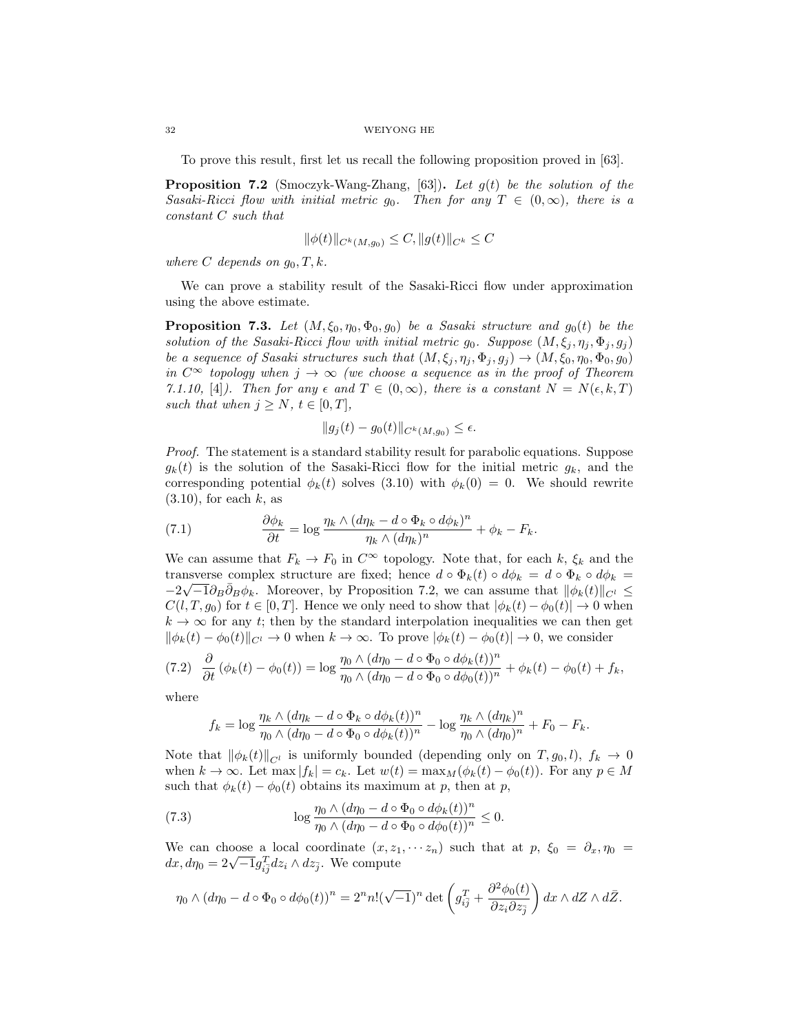To prove this result, first let us recall the following proposition proved in [63].

**Proposition 7.2** (Smoczyk-Wang-Zhang, [63]). Let  $g(t)$  be the solution of the Sasaki-Ricci flow with initial metric  $g_0$ . Then for any  $T \in (0,\infty)$ , there is a constant C such that

$$
\|\phi(t)\|_{C^k(M,g_0)} \leq C, \|g(t)\|_{C^k} \leq C
$$

where C depends on  $g_0, T, k$ .

We can prove a stability result of the Sasaki-Ricci flow under approximation using the above estimate.

**Proposition 7.3.** Let  $(M, \xi_0, \eta_0, \Phi_0, g_0)$  be a Sasaki structure and  $g_0(t)$  be the solution of the Sasaki-Ricci flow with initial metric  $g_0$ . Suppose  $(M, \xi_j, \eta_j, \Phi_j, g_j)$ be a sequence of Sasaki structures such that  $(M, \xi_j, \eta_j, \Phi_j, g_j) \rightarrow (M, \xi_0, \eta_0, \Phi_0, g_0)$ in  $C^{\infty}$  topology when  $j \to \infty$  (we choose a sequence as in the proof of Theorem 7.1.10, [4]). Then for any  $\epsilon$  and  $T \in (0,\infty)$ , there is a constant  $N = N(\epsilon, k, T)$ such that when  $j \geq N$ ,  $t \in [0, T]$ ,

$$
||g_j(t) - g_0(t)||_{C^k(M, g_0)} \le \epsilon.
$$

Proof. The statement is a standard stability result for parabolic equations. Suppose  $g_k(t)$  is the solution of the Sasaki-Ricci flow for the initial metric  $g_k$ , and the corresponding potential  $\phi_k(t)$  solves (3.10) with  $\phi_k(0) = 0$ . We should rewrite  $(3.10)$ , for each k, as

(7.1) 
$$
\frac{\partial \phi_k}{\partial t} = \log \frac{\eta_k \wedge (d\eta_k - d \circ \Phi_k \circ d\phi_k)^n}{\eta_k \wedge (d\eta_k)^n} + \phi_k - F_k.
$$

We can assume that  $F_k \to F_0$  in  $C^{\infty}$  topology. Note that, for each k,  $\xi_k$  and the transverse complex structure are fixed; hence  $d \circ \Phi_k(t) \circ d\phi_k = d \circ \Phi_k \circ d\phi_k =$  $-2\sqrt{-1}\partial_B\bar{\partial}_B\phi_k$ . Moreover, by Proposition 7.2, we can assume that  $\|\phi_k(t)\|_{C^l} \leq$  $C(l, T, g_0)$  for  $t \in [0, T]$ . Hence we only need to show that  $|\phi_k(t) - \phi_0(t)| \to 0$  when  $k \to \infty$  for any t; then by the standard interpolation inequalities we can then get  $\|\phi_k(t) - \phi_0(t)\|_{C^l} \to 0$  when  $k \to \infty$ . To prove  $|\phi_k(t) - \phi_0(t)| \to 0$ , we consider

$$
(7.2)\quad \frac{\partial}{\partial t}\left(\phi_k(t)-\phi_0(t)\right)=\log\frac{\eta_0\wedge(d\eta_0-d\circ\Phi_0\circ d\phi_k(t))^n}{\eta_0\wedge(d\eta_0-d\circ\Phi_0\circ d\phi_0(t))^n}+\phi_k(t)-\phi_0(t)+f_k,
$$

where

$$
f_k = \log \frac{\eta_k \wedge (d\eta_k - d \circ \Phi_k \circ d\phi_k(t))^n}{\eta_0 \wedge (d\eta_0 - d \circ \Phi_0 \circ d\phi_k(t))^n} - \log \frac{\eta_k \wedge (d\eta_k)^n}{\eta_0 \wedge (d\eta_0)^n} + F_0 - F_k.
$$

Note that  $\|\phi_k(t)\|_{C^l}$  is uniformly bounded (depending only on  $T, g_0, l$ ),  $f_k \to 0$ when  $k \to \infty$ . Let max  $|f_k| = c_k$ . Let  $w(t) = \max_M(\phi_k(t) - \phi_0(t))$ . For any  $p \in M$ such that  $\phi_k(t) - \phi_0(t)$  obtains its maximum at p, then at p,

(7.3) 
$$
\log \frac{\eta_0 \wedge (d\eta_0 - d \circ \Phi_0 \circ d\phi_k(t))^n}{\eta_0 \wedge (d\eta_0 - d \circ \Phi_0 \circ d\phi_0(t))^n} \leq 0.
$$

We can choose a local coordinate  $(x, z_1, \cdots z_n)$  such that at  $p, \xi_0 = \partial_x, \eta_0 =$ we can choose a local coordinate  $(x, z_1)$ <br>dx,  $d\eta_0 = 2\sqrt{-1}g_{i\bar{j}}^T dz_i \wedge dz_{\bar{j}}$ . We compute

$$
\eta_0 \wedge (d\eta_0 - d \circ \Phi_0 \circ d\phi_0(t))^n = 2^n n! (\sqrt{-1})^n \det \left( g_{i\bar{j}}^T + \frac{\partial^2 \phi_0(t)}{\partial z_i \partial z_{\bar{j}}} \right) dx \wedge dZ \wedge d\bar{Z}.
$$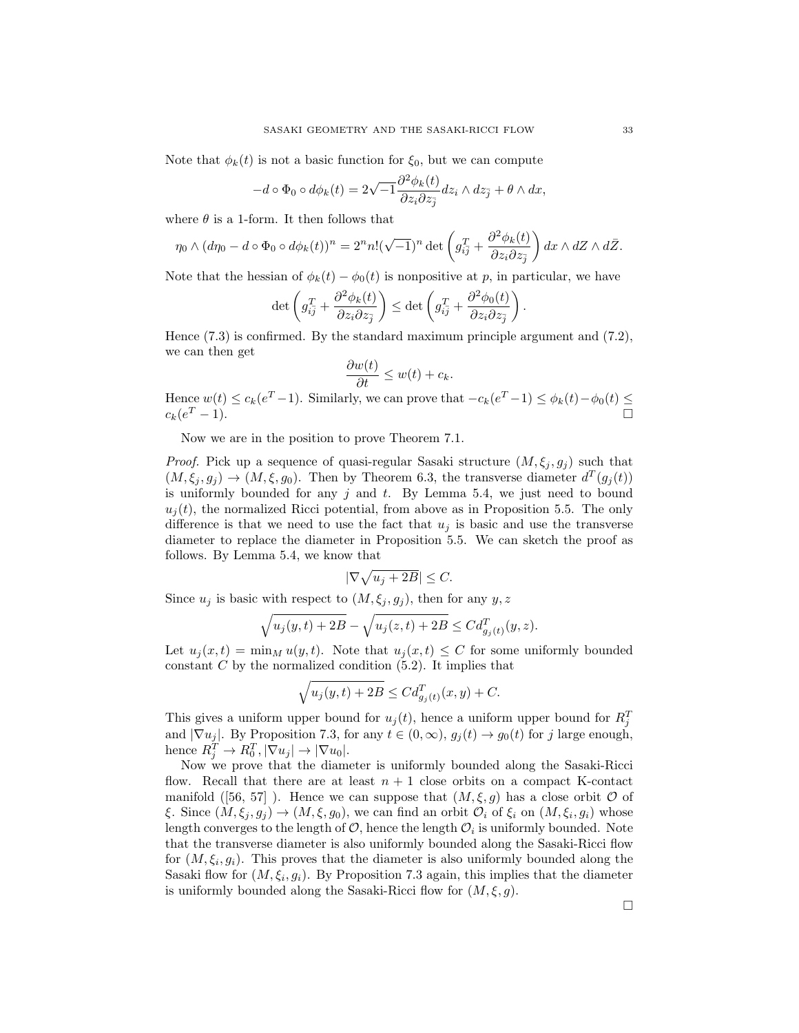Note that  $\phi_k(t)$  is not a basic function for  $\xi_0$ , but we can compute

$$
-d\circ\Phi_0\circ d\phi_k(t) = 2\sqrt{-1}\frac{\partial^2\phi_k(t)}{\partial z_i\partial z_j}dz_i\wedge dz_j + \theta\wedge dx,
$$

where  $\theta$  is a 1-form. It then follows that

$$
\eta_0 \wedge (d\eta_0 - d \circ \Phi_0 \circ d\phi_k(t))^n = 2^n n! (\sqrt{-1})^n \det \left( g_{i\bar{j}}^T + \frac{\partial^2 \phi_k(t)}{\partial z_i \partial z_{\bar{j}}} \right) dx \wedge dZ \wedge d\bar{Z}.
$$

Note that the hessian of  $\phi_k(t) - \phi_0(t)$  is nonpositive at p, in particular, we have

$$
\det \left( g_{i\bar{j}}^T + \frac{\partial^2 \phi_k(t)}{\partial z_i \partial z_{\bar{j}}} \right) \leq \det \left( g_{i\bar{j}}^T + \frac{\partial^2 \phi_0(t)}{\partial z_i \partial z_{\bar{j}}} \right).
$$

Hence (7.3) is confirmed. By the standard maximum principle argument and (7.2), we can then get

$$
\frac{\partial w(t)}{\partial t} \leq w(t) + c_k.
$$

Hence  $w(t) \le c_k(e^T - 1)$ . Similarly, we can prove that  $-c_k(e^T - 1) \le \phi_k(t) - \phi_0(t) \le$  $c_k(e^T - 1).$  $T-1$ ).

Now we are in the position to prove Theorem 7.1.

*Proof.* Pick up a sequence of quasi-regular Sasaki structure  $(M, \xi_i, g_i)$  such that  $(M, \xi_j, g_j) \to (M, \xi, g_0)$ . Then by Theorem 6.3, the transverse diameter  $d^T(g_j(t))$ is uniformly bounded for any  $j$  and  $t$ . By Lemma 5.4, we just need to bound  $u_i(t)$ , the normalized Ricci potential, from above as in Proposition 5.5. The only difference is that we need to use the fact that  $u_i$  is basic and use the transverse diameter to replace the diameter in Proposition 5.5. We can sketch the proof as follows. By Lemma 5.4, we know that

$$
|\nabla \sqrt{u_j+2B}|\leq C.
$$

Since  $u_j$  is basic with respect to  $(M, \xi_j, g_j)$ , then for any  $y, z$ 

$$
\sqrt{u_j(y,t) + 2B} - \sqrt{u_j(z,t) + 2B} \le C d_{g_j(t)}^T(y,z).
$$

Let  $u_i(x,t) = \min_M u(y,t)$ . Note that  $u_i(x,t) \leq C$  for some uniformly bounded constant  $C$  by the normalized condition  $(5.2)$ . It implies that

$$
\sqrt{u_j(y,t) + 2B} \le C d_{g_j(t)}^T(x,y) + C.
$$

This gives a uniform upper bound for  $u_j(t)$ , hence a uniform upper bound for  $R_j^T$ and  $|\nabla u_j|$ . By Proposition 7.3, for any  $t \in (0, \infty)$ ,  $g_j(t) \to g_0(t)$  for j large enough, hence  $R_j^T \to R_0^T$ ,  $|\nabla u_j| \to |\nabla u_0|$ .

Now we prove that the diameter is uniformly bounded along the Sasaki-Ricci flow. Recall that there are at least  $n + 1$  close orbits on a compact K-contact manifold ([56, 57]). Hence we can suppose that  $(M, \xi, g)$  has a close orbit  $\mathcal O$  of ξ. Since  $(M, \xi_j, g_j) \to (M, \xi, g_0)$ , we can find an orbit  $\mathcal{O}_i$  of  $\xi_i$  on  $(M, \xi_i, g_i)$  whose length converges to the length of  $\mathcal{O},$  hence the length  $\mathcal{O}_i$  is uniformly bounded. Note that the transverse diameter is also uniformly bounded along the Sasaki-Ricci flow for  $(M, \xi_i, g_i)$ . This proves that the diameter is also uniformly bounded along the Sasaki flow for  $(M, \xi_i, g_i)$ . By Proposition 7.3 again, this implies that the diameter is uniformly bounded along the Sasaki-Ricci flow for  $(M, \xi, g)$ .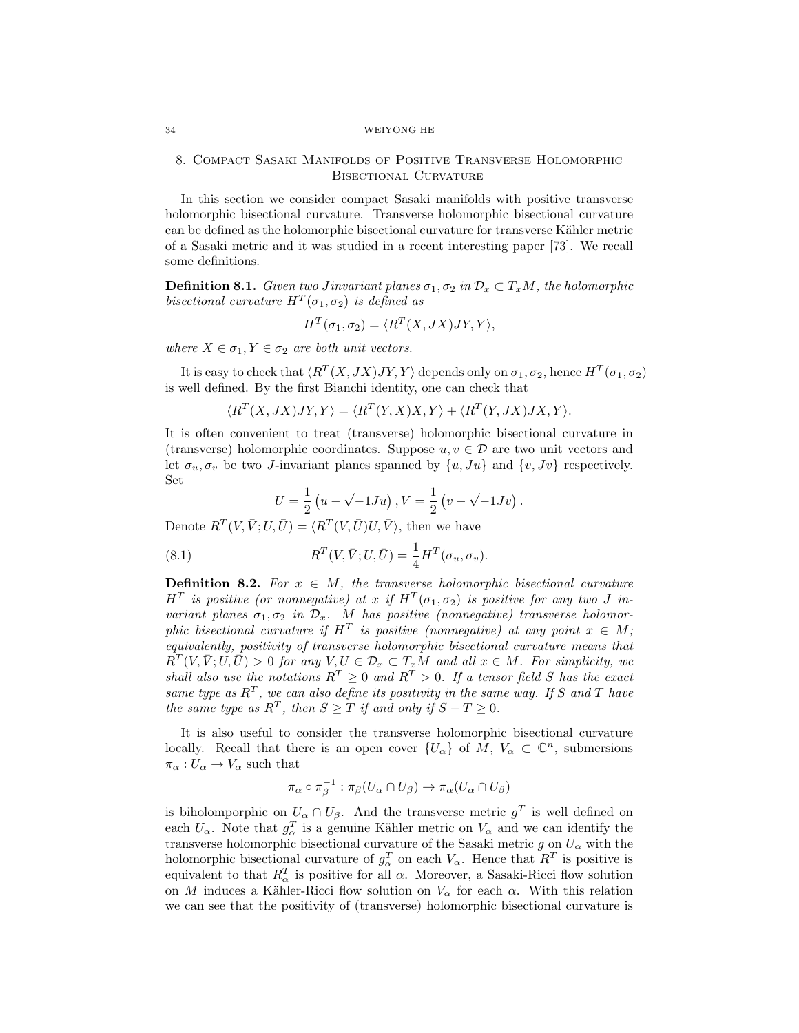# 8. Compact Sasaki Manifolds of Positive Transverse Holomorphic Bisectional Curvature

In this section we consider compact Sasaki manifolds with positive transverse holomorphic bisectional curvature. Transverse holomorphic bisectional curvature can be defined as the holomorphic bisectional curvature for transverse Kähler metric of a Sasaki metric and it was studied in a recent interesting paper [73]. We recall some definitions.

**Definition 8.1.** Given two Jinvariant planes  $\sigma_1, \sigma_2$  in  $\mathcal{D}_x \subset T_xM$ , the holomorphic bisectional curvature  $H^T(\sigma_1, \sigma_2)$  is defined as

$$
H^T(\sigma_1, \sigma_2) = \langle R^T(X, JX)JY, Y \rangle,
$$

where  $X \in \sigma_1, Y \in \sigma_2$  are both unit vectors.

It is easy to check that  $\langle R^T(X, JX)JY, Y \rangle$  depends only on  $\sigma_1, \sigma_2$ , hence  $H^T(\sigma_1, \sigma_2)$ is well defined. By the first Bianchi identity, one can check that

$$
\langle R^T(X, JX)JY, Y \rangle = \langle R^T(Y, X)X, Y \rangle + \langle R^T(Y, JX)JX, Y \rangle.
$$

It is often convenient to treat (transverse) holomorphic bisectional curvature in (transverse) holomorphic coordinates. Suppose  $u, v \in \mathcal{D}$  are two unit vectors and let  $\sigma_u, \sigma_v$  be two J-invariant planes spanned by  $\{u, Ju\}$  and  $\{v, Jv\}$  respectively. Set

$$
U = \frac{1}{2} \left( u - \sqrt{-1} J u \right), V = \frac{1}{2} \left( v - \sqrt{-1} J v \right).
$$

Denote  $R^T(V, \bar{V}; U, \bar{U}) = \langle R^T(V, \bar{U})U, \bar{V} \rangle$ , then we have

(8.1) 
$$
R^{T}(V, \bar{V}; U, \bar{U}) = \frac{1}{4} H^{T}(\sigma_{u}, \sigma_{v}).
$$

**Definition 8.2.** For  $x \in M$ , the transverse holomorphic bisectional curvature  $H^T$  is positive (or nonnegative) at x if  $H^T(\sigma_1, \sigma_2)$  is positive for any two J invariant planes  $\sigma_1, \sigma_2$  in  $\mathcal{D}_x$ . M has positive (nonnegative) transverse holomorphic bisectional curvature if  $H^T$  is positive (nonnegative) at any point  $x \in M$ ; equivalently, positivity of transverse holomorphic bisectional curvature means that  $R^{\overline{T}}(V, \overline{V}; U, \overline{U}) > 0$  for any  $V, U \in \mathcal{D}_x \subset T_xM$  and all  $x \in M$ . For simplicity, we shall also use the notations  $R^T \geq 0$  and  $R^T > 0$ . If a tensor field S has the exact same type as  $R^T$ , we can also define its positivity in the same way. If S and T have the same type as  $R^T$ , then  $S \geq T$  if and only if  $S - T \geq 0$ .

It is also useful to consider the transverse holomorphic bisectional curvature locally. Recall that there is an open cover  $\{U_{\alpha}\}\$  of  $M, V_{\alpha} \subset \mathbb{C}^n$ , submersions  $\pi_{\alpha}: U_{\alpha} \to V_{\alpha}$  such that

$$
\pi_\alpha \circ \pi_\beta^{-1} : \pi_\beta(U_\alpha \cap U_\beta) \to \pi_\alpha(U_\alpha \cap U_\beta)
$$

is biholomporphic on  $U_{\alpha} \cap U_{\beta}$ . And the transverse metric  $g^T$  is well defined on each  $U_{\alpha}$ . Note that  $g_{\alpha}^{T}$  is a genuine Kähler metric on  $V_{\alpha}$  and we can identify the transverse holomorphic bisectional curvature of the Sasaki metric g on  $U_{\alpha}$  with the holomorphic bisectional curvature of  $g_{\alpha}^T$  on each  $V_{\alpha}$ . Hence that  $R^T$  is positive is equivalent to that  $R_{\alpha}^{T}$  is positive for all  $\alpha$ . Moreover, a Sasaki-Ricci flow solution on M induces a Kähler-Ricci flow solution on  $V_{\alpha}$  for each  $\alpha$ . With this relation we can see that the positivity of (transverse) holomorphic bisectional curvature is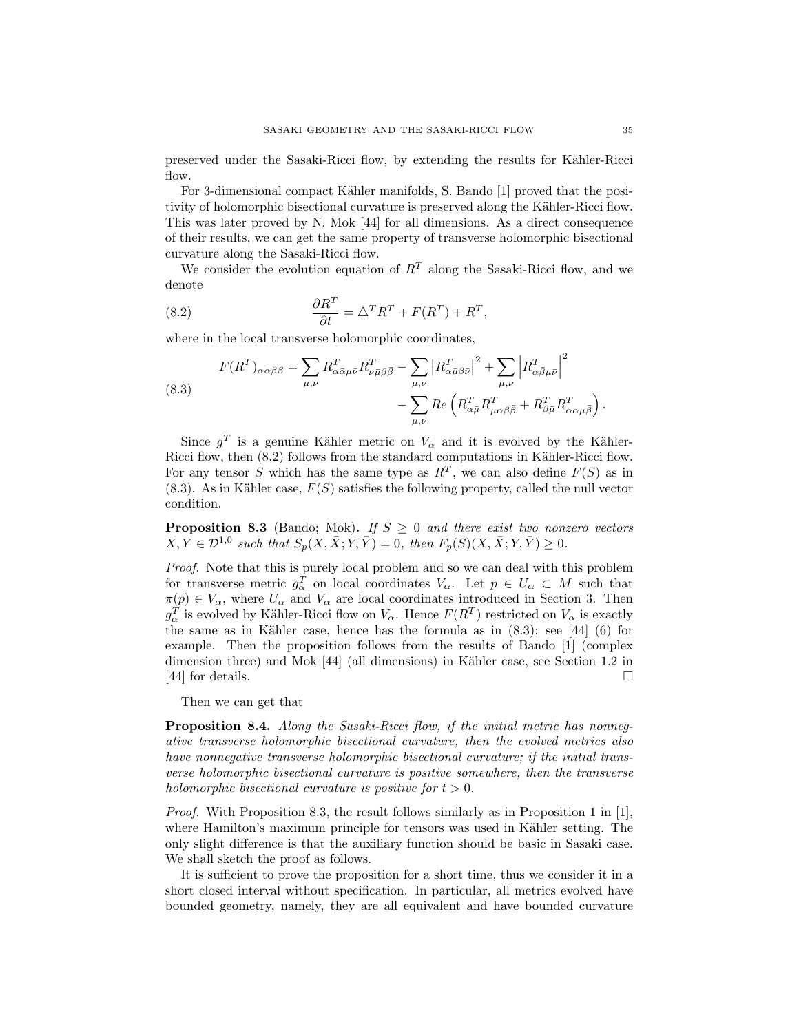preserved under the Sasaki-Ricci flow, by extending the results for K¨ahler-Ricci flow.

For 3-dimensional compact Kähler manifolds, S. Bando [1] proved that the positivity of holomorphic bisectional curvature is preserved along the Kähler-Ricci flow. This was later proved by N. Mok [44] for all dimensions. As a direct consequence of their results, we can get the same property of transverse holomorphic bisectional curvature along the Sasaki-Ricci flow.

We consider the evolution equation of  $R<sup>T</sup>$  along the Sasaki-Ricci flow, and we denote

(8.2) 
$$
\frac{\partial R^T}{\partial t} = \triangle^T R^T + F(R^T) + R^T,
$$

where in the local transverse holomorphic coordinates,

(8.3)  

$$
F(R^T)_{\alpha\bar{\alpha}\beta\bar{\beta}} = \sum_{\mu,\nu} R^T_{\alpha\bar{\alpha}\mu\bar{\nu}} R^T_{\nu\bar{\mu}\beta\bar{\beta}} - \sum_{\mu,\nu} \left| R^T_{\alpha\bar{\mu}\beta\bar{\nu}} \right|^2 + \sum_{\mu,\nu} \left| R^T_{\alpha\bar{\beta}\mu\bar{\nu}} \right|^2 - \sum_{\mu,\nu} Re \left( R^T_{\alpha\bar{\mu}} R^T_{\mu\bar{\alpha}\beta\bar{\beta}} + R^T_{\beta\bar{\mu}} R^T_{\alpha\bar{\alpha}\mu\bar{\beta}} \right).
$$

Since  $g^T$  is a genuine Kähler metric on  $V_\alpha$  and it is evolved by the Kähler-Ricci flow, then  $(8.2)$  follows from the standard computations in Kähler-Ricci flow. For any tensor S which has the same type as  $R^T$ , we can also define  $F(S)$  as in  $(8.3)$ . As in Kähler case,  $F(S)$  satisfies the following property, called the null vector condition.

**Proposition 8.3** (Bando; Mok). If  $S \geq 0$  and there exist two nonzero vectors  $X, Y \in \mathcal{D}^{1,0}$  such that  $S_p(X, \bar{X}; Y, \bar{Y}) = 0$ , then  $F_p(S)(X, \bar{X}; Y, \bar{Y}) \geq 0$ .

Proof. Note that this is purely local problem and so we can deal with this problem for transverse metric  $g_{\alpha}^T$  on local coordinates  $V_{\alpha}$ . Let  $p \in U_{\alpha} \subset M$  such that  $\pi(p) \in V_\alpha$ , where  $U_\alpha$  and  $V_\alpha$  are local coordinates introduced in Section 3. Then  $g_{\alpha}^T$  is evolved by Kähler-Ricci flow on  $V_{\alpha}$ . Hence  $F(R^T)$  restricted on  $V_{\alpha}$  is exactly the same as in Kähler case, hence has the formula as in  $(8.3)$ ; see [44]  $(6)$  for example. Then the proposition follows from the results of Bando [1] (complex dimension three) and Mok  $[44]$  (all dimensions) in Kähler case, see Section 1.2 in [44] for details.

Then we can get that

Proposition 8.4. Along the Sasaki-Ricci flow, if the initial metric has nonnegative transverse holomorphic bisectional curvature, then the evolved metrics also have nonnegative transverse holomorphic bisectional curvature; if the initial transverse holomorphic bisectional curvature is positive somewhere, then the transverse holomorphic bisectional curvature is positive for  $t > 0$ .

*Proof.* With Proposition 8.3, the result follows similarly as in Proposition 1 in [1], where Hamilton's maximum principle for tensors was used in Kähler setting. The only slight difference is that the auxiliary function should be basic in Sasaki case. We shall sketch the proof as follows.

It is sufficient to prove the proposition for a short time, thus we consider it in a short closed interval without specification. In particular, all metrics evolved have bounded geometry, namely, they are all equivalent and have bounded curvature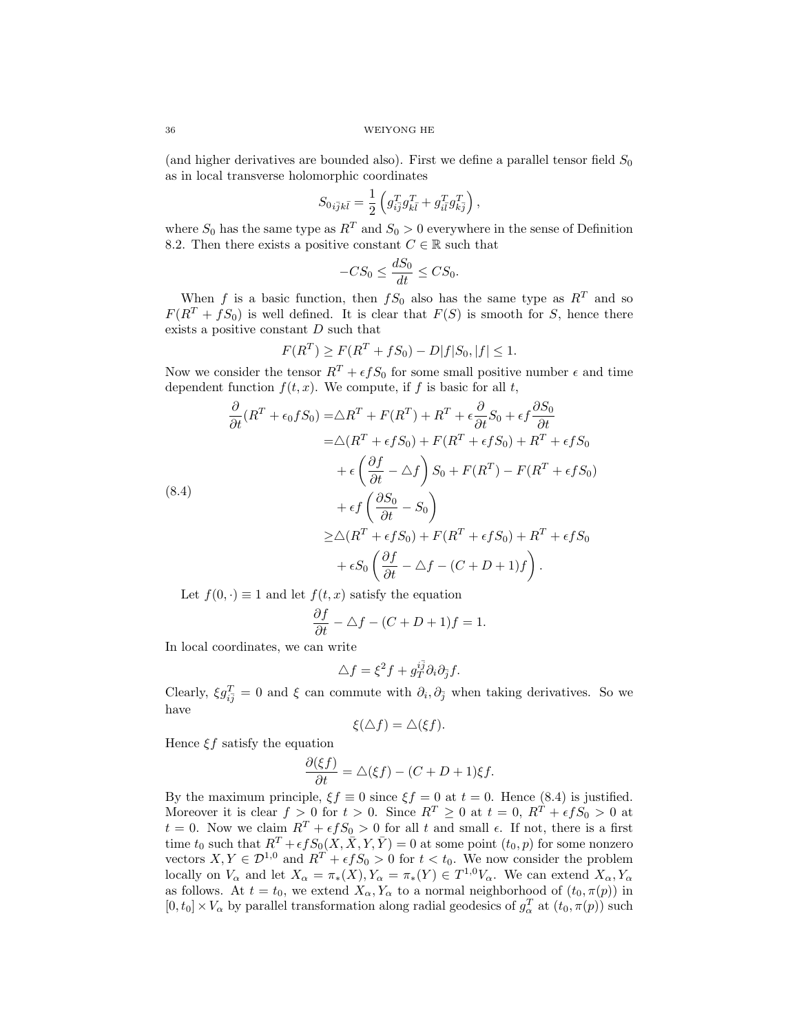(and higher derivatives are bounded also). First we define a parallel tensor field  $S_0$ as in local transverse holomorphic coordinates

$$
S_{0i\overline{j}k\overline{l}} = \frac{1}{2} \left( g_{i\overline{j}}^T g_{k\overline{l}}^T + g_{i\overline{l}}^T g_{k\overline{j}}^T \right),
$$

where  $S_0$  has the same type as  $R^T$  and  $S_0 > 0$  everywhere in the sense of Definition 8.2. Then there exists a positive constant  $C \in \mathbb{R}$  such that

$$
-CS_0 \le \frac{dS_0}{dt} \le CS_0.
$$

When f is a basic function, then  $fS_0$  also has the same type as  $R^T$  and so  $F(R^T + fS_0)$  is well defined. It is clear that  $F(S)$  is smooth for S, hence there exists a positive constant D such that

$$
F(R^T) \ge F(R^T + fS_0) - D|f|S_0, |f| \le 1.
$$

Now we consider the tensor  $R^T + \epsilon f S_0$  for some small positive number  $\epsilon$  and time dependent function  $f(t, x)$ . We compute, if f is basic for all t,

$$
\frac{\partial}{\partial t}(R^T + \epsilon_0 f S_0) = \triangle R^T + F(R^T) + R^T + \epsilon \frac{\partial}{\partial t} S_0 + \epsilon f \frac{\partial S_0}{\partial t}
$$
\n
$$
= \triangle (R^T + \epsilon f S_0) + F(R^T + \epsilon f S_0) + R^T + \epsilon f S_0
$$
\n
$$
+ \epsilon \left(\frac{\partial f}{\partial t} - \triangle f\right) S_0 + F(R^T) - F(R^T + \epsilon f S_0)
$$
\n
$$
+ \epsilon f \left(\frac{\partial S_0}{\partial t} - S_0\right)
$$
\n
$$
\geq \triangle (R^T + \epsilon f S_0) + F(R^T + \epsilon f S_0) + R^T + \epsilon f S_0
$$
\n
$$
+ \epsilon S_0 \left(\frac{\partial f}{\partial t} - \triangle f - (C + D + 1)f\right).
$$

Let  $f(0, \cdot) \equiv 1$  and let  $f(t, x)$  satisfy the equation

$$
\frac{\partial f}{\partial t} - \triangle f - (C + D + 1)f = 1.
$$

In local coordinates, we can write

$$
\triangle f = \xi^2 f + g_T^{i\bar{j}} \partial_i \partial_{\bar{j}} f.
$$

Clearly,  $\xi g_{i\bar{j}}^T = 0$  and  $\xi$  can commute with  $\partial_i, \partial_{\bar{j}}$  when taking derivatives. So we have

$$
\xi(\Delta f) = \Delta(\xi f).
$$

Hence  $\xi f$  satisfy the equation

$$
\frac{\partial(\xi f)}{\partial t} = \triangle(\xi f) - (C + D + 1)\xi f.
$$

By the maximum principle,  $\xi f \equiv 0$  since  $\xi f = 0$  at  $t = 0$ . Hence (8.4) is justified. Moreover it is clear  $f > 0$  for  $t > 0$ . Since  $R^T \ge 0$  at  $t = 0$ ,  $R^T + \epsilon f S_0 > 0$  at  $t = 0$ . Now we claim  $R^T + \epsilon f S_0 > 0$  for all t and small  $\epsilon$ . If not, there is a first time  $t_0$  such that  $R^T + \epsilon fS_0(X, \overline{X}, Y, \overline{Y}) = 0$  at some point  $(t_0, p)$  for some nonzero vectors  $X, Y \in \mathcal{D}^{1,0}$  and  $R^T + \epsilon f S_0 > 0$  for  $t < t_0$ . We now consider the problem locally on  $V_{\alpha}$  and let  $X_{\alpha} = \pi_*(X), Y_{\alpha} = \pi_*(Y) \in T^{1,0}V_{\alpha}$ . We can extend  $X_{\alpha}, Y_{\alpha}$ as follows. At  $t = t_0$ , we extend  $X_\alpha, Y_\alpha$  to a normal neighborhood of  $(t_0, \pi(p))$  in  $[0, t_0] \times V_\alpha$  by parallel transformation along radial geodesics of  $g_\alpha^T$  at  $(t_0, \pi(p))$  such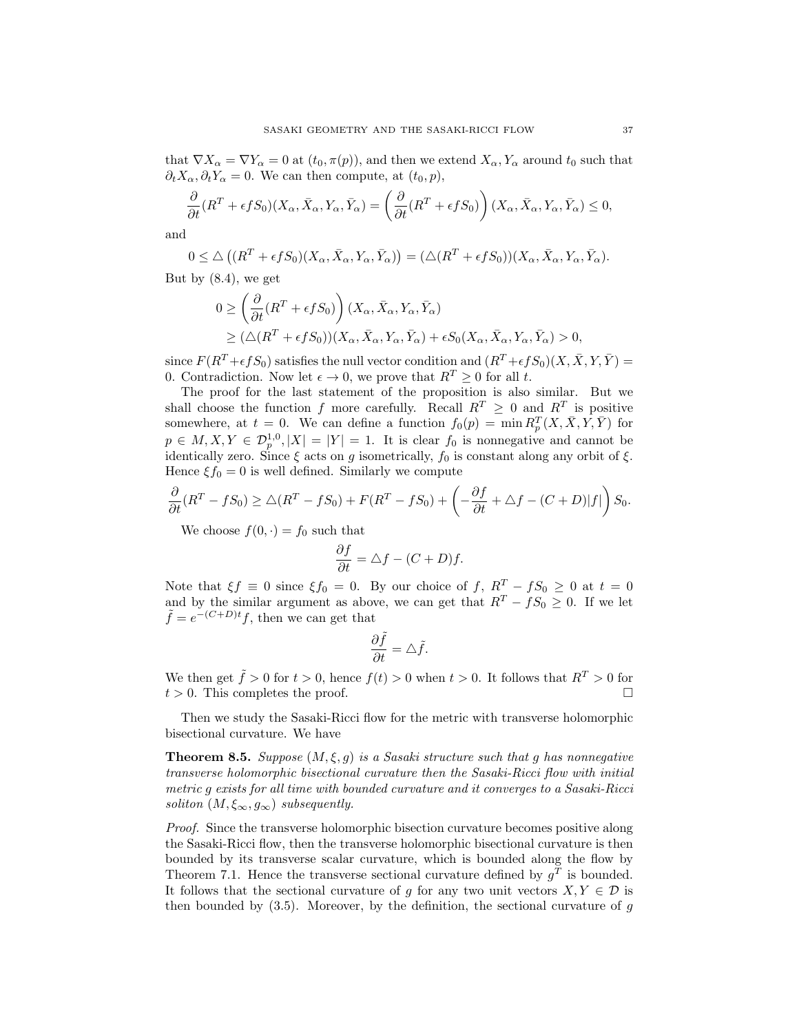that  $\nabla X_\alpha = \nabla Y_\alpha = 0$  at  $(t_0, \pi(p))$ , and then we extend  $X_\alpha, Y_\alpha$  around  $t_0$  such that  $\partial_t X_\alpha$ ,  $\partial_t Y_\alpha = 0$ . We can then compute, at  $(t_0, p)$ ,

$$
\frac{\partial}{\partial t}(R^T + \epsilon f S_0)(X_\alpha, \bar{X}_\alpha, Y_\alpha, \bar{Y}_\alpha) = \left(\frac{\partial}{\partial t}(R^T + \epsilon f S_0)\right)(X_\alpha, \bar{X}_\alpha, Y_\alpha, \bar{Y}_\alpha) \le 0,
$$

and

$$
0 \leq \triangle \left( (R^T + \epsilon f S_0)(X_\alpha, \bar{X}_\alpha, Y_\alpha, \bar{Y}_\alpha) \right) = (\triangle (R^T + \epsilon f S_0))(X_\alpha, \bar{X}_\alpha, Y_\alpha, \bar{Y}_\alpha).
$$

But by (8.4), we get

$$
0 \ge \left(\frac{\partial}{\partial t}(R^T + \epsilon f S_0)\right)(X_\alpha, \bar{X}_\alpha, Y_\alpha, \bar{Y}_\alpha)
$$
  
 
$$
\ge (\triangle(R^T + \epsilon f S_0))(X_\alpha, \bar{X}_\alpha, Y_\alpha, \bar{Y}_\alpha) + \epsilon S_0(X_\alpha, \bar{X}_\alpha, Y_\alpha, \bar{Y}_\alpha) > 0,
$$

since  $F(R^T + \epsilon fS_0)$  satisfies the null vector condition and  $(R^T + \epsilon fS_0)(X, \overline{X}, Y, \overline{Y}) =$ 0. Contradiction. Now let  $\epsilon \to 0$ , we prove that  $R^T \geq 0$  for all t.

The proof for the last statement of the proposition is also similar. But we shall choose the function f more carefully. Recall  $R^T \geq 0$  and  $R^T$  is positive somewhere, at  $t = 0$ . We can define a function  $f_0(p) = \min R_p^T(X, \bar{X}, Y, \bar{Y})$  for  $p \in M, X, Y \in \mathcal{D}_{p}^{1,0}, |X| = |Y| = 1$ . It is clear  $f_0$  is nonnegative and cannot be identically zero. Since  $\xi$  acts on g isometrically,  $f_0$  is constant along any orbit of  $\xi$ . Hence  $\xi f_0 = 0$  is well defined. Similarly we compute

$$
\frac{\partial}{\partial t}(R^T - fS_0) \ge \triangle(R^T - fS_0) + F(R^T - fS_0) + \left(-\frac{\partial f}{\partial t} + \triangle f - (C + D)|f|\right)S_0.
$$

We choose  $f(0, \cdot) = f_0$  such that

$$
\frac{\partial f}{\partial t} = \triangle f - (C + D)f.
$$

Note that  $\xi f \equiv 0$  since  $\xi f_0 = 0$ . By our choice of f,  $R^T - fS_0 \ge 0$  at  $t = 0$ and by the similar argument as above, we can get that  $R^T - fS_0 \geq 0$ . If we let  $\tilde{f} = e^{-(C+D)t}f$ , then we can get that

$$
\frac{\partial \tilde{f}}{\partial t} = \triangle \tilde{f}.
$$

We then get  $\tilde{f} > 0$  for  $t > 0$ , hence  $f(t) > 0$  when  $t > 0$ . It follows that  $R^T > 0$  for  $t > 0$ . This completes the proof.

Then we study the Sasaki-Ricci flow for the metric with transverse holomorphic bisectional curvature. We have

**Theorem 8.5.** Suppose  $(M, \xi, g)$  is a Sasaki structure such that g has nonnegative transverse holomorphic bisectional curvature then the Sasaki-Ricci flow with initial metric g exists for all time with bounded curvature and it converges to a Sasaki-Ricci soliton  $(M, \xi_{\infty}, q_{\infty})$  subsequently.

Proof. Since the transverse holomorphic bisection curvature becomes positive along the Sasaki-Ricci flow, then the transverse holomorphic bisectional curvature is then bounded by its transverse scalar curvature, which is bounded along the flow by Theorem 7.1. Hence the transverse sectional curvature defined by  $g<sup>T</sup>$  is bounded. It follows that the sectional curvature of g for any two unit vectors  $X, Y \in \mathcal{D}$  is then bounded by  $(3.5)$ . Moreover, by the definition, the sectional curvature of q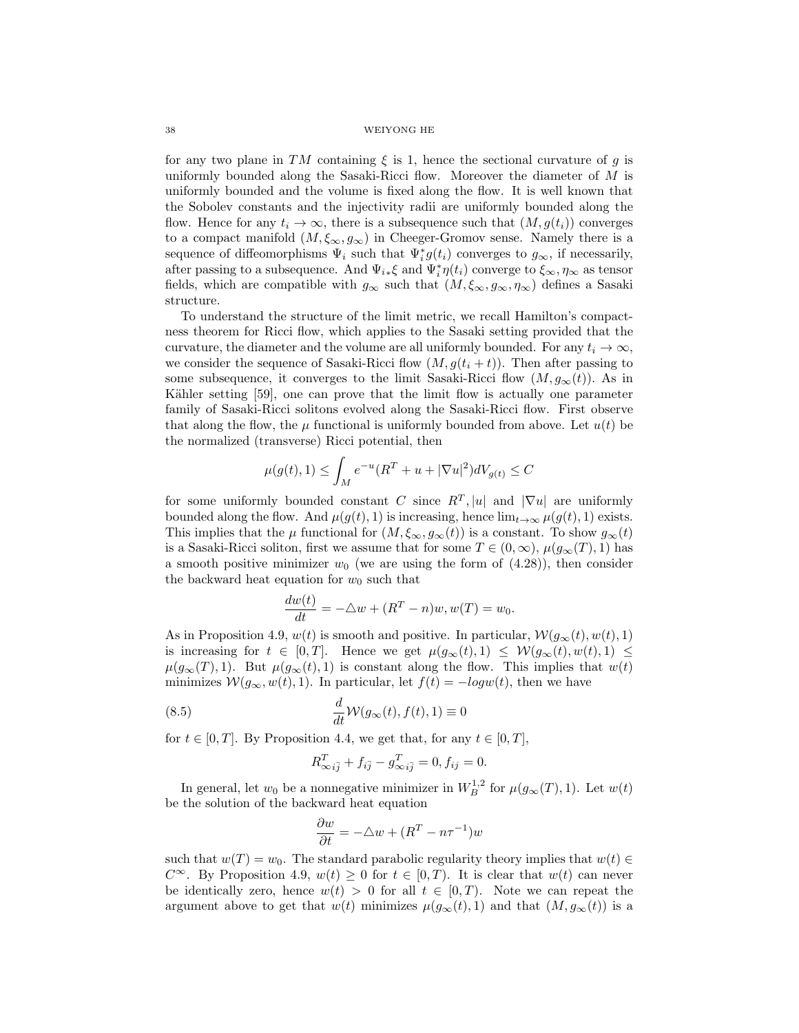for any two plane in TM containing  $\xi$  is 1, hence the sectional curvature of g is uniformly bounded along the Sasaki-Ricci flow. Moreover the diameter of  $M$  is uniformly bounded and the volume is fixed along the flow. It is well known that the Sobolev constants and the injectivity radii are uniformly bounded along the flow. Hence for any  $t_i \to \infty$ , there is a subsequence such that  $(M, g(t_i))$  converges to a compact manifold  $(M, \xi_{\infty}, g_{\infty})$  in Cheeger-Gromov sense. Namely there is a sequence of diffeomorphisms  $\Psi_i$  such that  $\Psi_i^* g(t_i)$  converges to  $g_{\infty}$ , if necessarily, after passing to a subsequence. And  $\Psi_{i*}\xi$  and  $\Psi_i^*\eta(t_i)$  converge to  $\xi_\infty, \eta_\infty$  as tensor fields, which are compatible with  $g_{\infty}$  such that  $(M, \xi_{\infty}, g_{\infty}, \eta_{\infty})$  defines a Sasaki structure.

To understand the structure of the limit metric, we recall Hamilton's compactness theorem for Ricci flow, which applies to the Sasaki setting provided that the curvature, the diameter and the volume are all uniformly bounded. For any  $t_i \to \infty$ , we consider the sequence of Sasaki-Ricci flow  $(M, g(t_i + t))$ . Then after passing to some subsequence, it converges to the limit Sasaki-Ricci flow  $(M, g_{\infty}(t))$ . As in Kähler setting [59], one can prove that the limit flow is actually one parameter family of Sasaki-Ricci solitons evolved along the Sasaki-Ricci flow. First observe that along the flow, the  $\mu$  functional is uniformly bounded from above. Let  $u(t)$  be the normalized (transverse) Ricci potential, then

$$
\mu(g(t), 1) \le \int_M e^{-u} (R^T + u + |\nabla u|^2) dV_{g(t)} \le C
$$

for some uniformly bounded constant C since  $R^T$ , |u| and  $|\nabla u|$  are uniformly bounded along the flow. And  $\mu(g(t), 1)$  is increasing, hence  $\lim_{t\to\infty} \mu(g(t), 1)$  exists. This implies that the  $\mu$  functional for  $(M, \xi_{\infty}, g_{\infty}(t))$  is a constant. To show  $g_{\infty}(t)$ is a Sasaki-Ricci soliton, first we assume that for some  $T \in (0, \infty)$ ,  $\mu(g_{\infty}(T), 1)$  has a smooth positive minimizer  $w_0$  (we are using the form of  $(4.28)$ ), then consider the backward heat equation for  $w_0$  such that

$$
\frac{dw(t)}{dt} = -\triangle w + (R^T - n)w, w(T) = w_0.
$$

As in Proposition 4.9,  $w(t)$  is smooth and positive. In particular,  $\mathcal{W}(g_{\infty}(t), w(t), 1)$ is increasing for  $t \in [0, T]$ . Hence we get  $\mu(g_{\infty}(t), 1) \leq \mathcal{W}(g_{\infty}(t), w(t), 1) \leq$  $\mu(g_{\infty}(T), 1)$ . But  $\mu(g_{\infty}(t), 1)$  is constant along the flow. This implies that  $w(t)$ minimizes  $\mathcal{W}(g_{\infty}, w(t), 1)$ . In particular, let  $f(t) = -log w(t)$ , then we have

(8.5) 
$$
\frac{d}{dt}\mathcal{W}(g_{\infty}(t), f(t), 1) \equiv 0
$$

for  $t \in [0, T]$ . By Proposition 4.4, we get that, for any  $t \in [0, T]$ ,

$$
R_{\infty i\bar{j}}^T + f_{i\bar{j}} - g_{\infty i\bar{j}}^T = 0, f_{ij} = 0.
$$

In general, let  $w_0$  be a nonnegative minimizer in  $W_B^{1,2}$  for  $\mu(g_\infty(T), 1)$ . Let  $w(t)$ be the solution of the backward heat equation

$$
\frac{\partial w}{\partial t} = -\triangle w + (R^T - n\tau^{-1})w
$$

such that  $w(T) = w_0$ . The standard parabolic regularity theory implies that  $w(t) \in$  $C^{\infty}$ . By Proposition 4.9,  $w(t) \geq 0$  for  $t \in [0, T)$ . It is clear that  $w(t)$  can never be identically zero, hence  $w(t) > 0$  for all  $t \in [0, T)$ . Note we can repeat the argument above to get that  $w(t)$  minimizes  $\mu(g_{\infty}(t), 1)$  and that  $(M, g_{\infty}(t))$  is a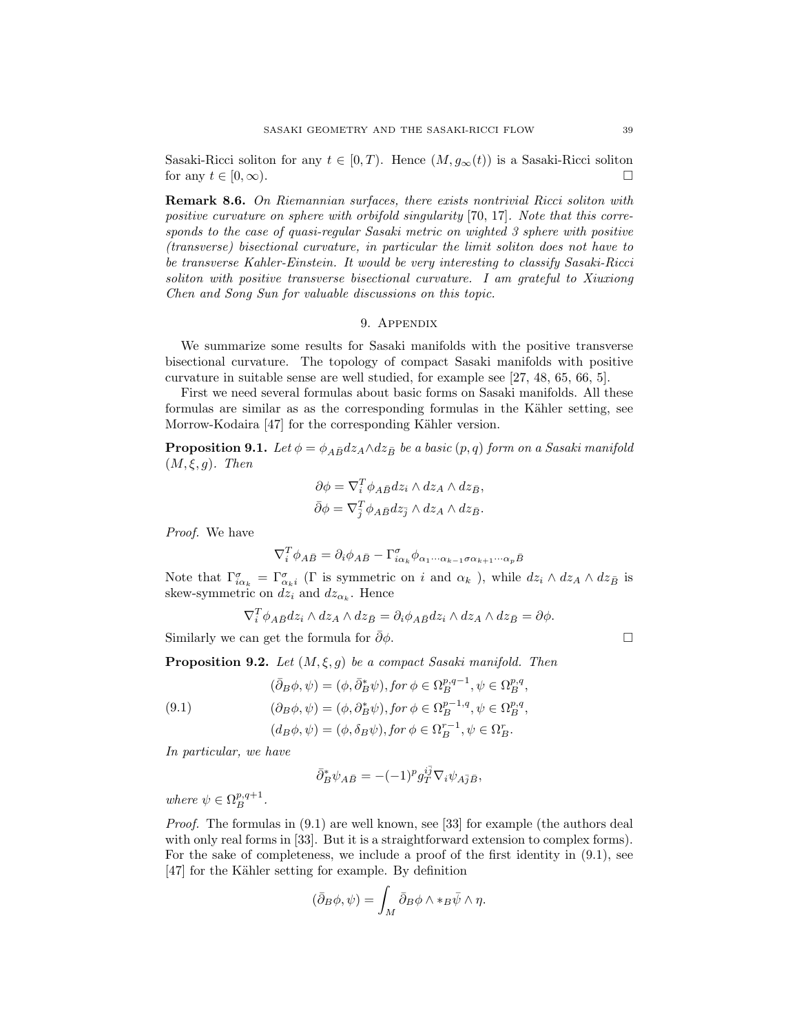Sasaki-Ricci soliton for any  $t \in [0, T)$ . Hence  $(M, g_{\infty}(t))$  is a Sasaki-Ricci soliton for any  $t \in [0, \infty)$ .

Remark 8.6. On Riemannian surfaces, there exists nontrivial Ricci soliton with positive curvature on sphere with orbifold singularity [70, 17]. Note that this corresponds to the case of quasi-regular Sasaki metric on wighted 3 sphere with positive (transverse) bisectional curvature, in particular the limit soliton does not have to be transverse Kahler-Einstein. It would be very interesting to classify Sasaki-Ricci soliton with positive transverse bisectional curvature. I am grateful to Xiuxiong Chen and Song Sun for valuable discussions on this topic.

# 9. Appendix

We summarize some results for Sasaki manifolds with the positive transverse bisectional curvature. The topology of compact Sasaki manifolds with positive curvature in suitable sense are well studied, for example see [27, 48, 65, 66, 5].

First we need several formulas about basic forms on Sasaki manifolds. All these formulas are similar as as the corresponding formulas in the Kähler setting, see Morrow-Kodaira [47] for the corresponding Kähler version.

**Proposition 9.1.** Let  $\phi = \phi_{A\bar{B}}dz_A \wedge dz_{\bar{B}}$  be a basic  $(p, q)$  form on a Sasaki manifold  $(M, \xi, q)$ . Then

$$
\partial \phi = \nabla_i^T \phi_{A\bar{B}} dz_i \wedge dz_A \wedge dz_{\bar{B}},
$$
  

$$
\bar{\partial} \phi = \nabla_{\bar{j}}^T \phi_{A\bar{B}} dz_{\bar{j}} \wedge dz_A \wedge dz_{\bar{B}}.
$$

Proof. We have

$$
\nabla_i^T \phi_{A\bar{B}} = \partial_i \phi_{A\bar{B}} - \Gamma_{i\alpha_k}^{\sigma} \phi_{\alpha_1 \cdots \alpha_{k-1} \sigma \alpha_{k+1} \cdots \alpha_p \bar{B}}
$$

Note that  $\Gamma^{\sigma}_{i\alpha_k} = \Gamma^{\sigma}_{\alpha_k i}$  (Γ is symmetric on *i* and  $\alpha_k$ ), while  $dz_i \wedge dz_A \wedge dz_{\bar{B}}$  is skew-symmetric on  $dz_i$  and  $dz_{\alpha_k}$ . Hence

$$
\nabla_i^T \phi_{A\bar{B}} dz_i \wedge dz_A \wedge dz_{\bar{B}} = \partial_i \phi_{A\bar{B}} dz_i \wedge dz_A \wedge dz_{\bar{B}} = \partial \phi.
$$

Similarly we can get the formula for  $\bar{\partial}\phi$ .  $\Box$ 

**Proposition 9.2.** Let  $(M, \xi, g)$  be a compact Sasaki manifold. Then

(9.1)  
\n
$$
(\bar{\partial}_B \phi, \psi) = (\phi, \bar{\partial}_B^* \psi), \text{for } \phi \in \Omega_B^{p,q-1}, \psi \in \Omega_B^{p,q},
$$
\n
$$
(\partial_B \phi, \psi) = (\phi, \partial_B^* \psi), \text{for } \phi \in \Omega_B^{p-1,q}, \psi \in \Omega_B^{p,q},
$$
\n
$$
(d_B \phi, \psi) = (\phi, \delta_B \psi), \text{for } \phi \in \Omega_B^{r-1}, \psi \in \Omega_B^r.
$$

In particular, we have

$$
\bar\partial^*_B\psi_{A\bar B}= -(-1)^pg_T^{i\bar j}\nabla_i\psi_{A\bar j\bar B},
$$

where  $\psi \in \Omega^{p,q+1}_B$ .

Proof. The formulas in  $(9.1)$  are well known, see [33] for example (the authors deal with only real forms in [33]. But it is a straightforward extension to complex forms). For the sake of completeness, we include a proof of the first identity in (9.1), see [47] for the Kähler setting for example. By definition

$$
(\bar{\partial}_B \phi, \psi) = \int_M \bar{\partial}_B \phi \wedge *_{B} \bar{\psi} \wedge \eta.
$$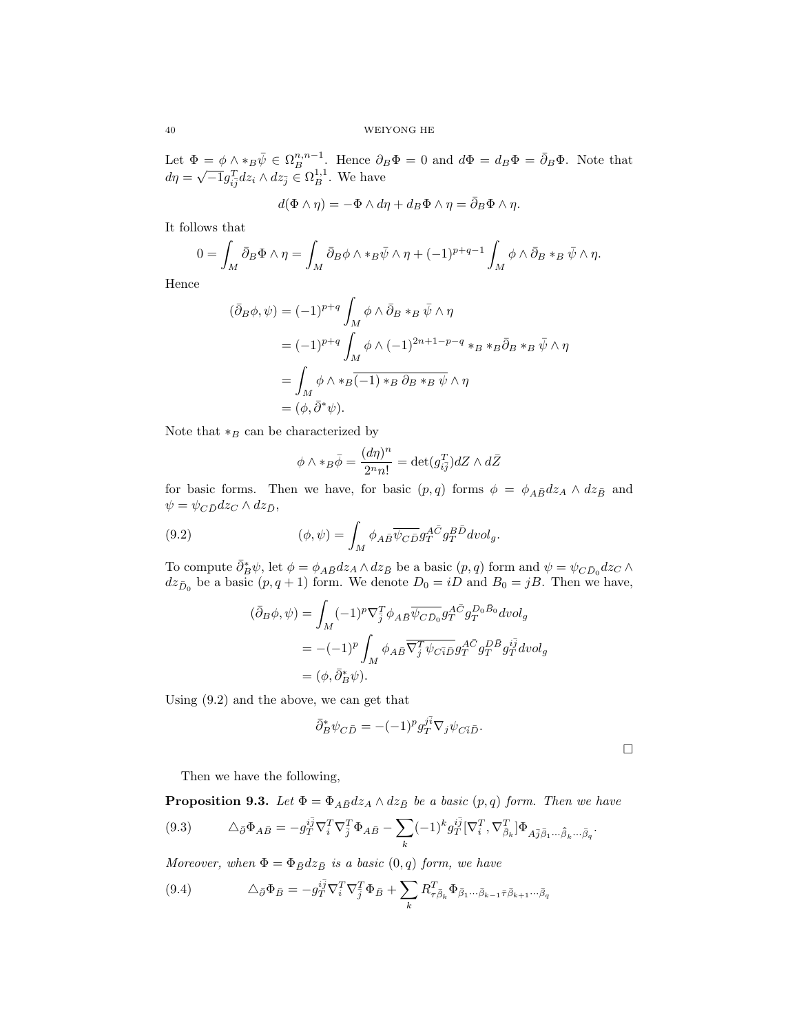Let  $\Phi = \phi \wedge *_B \bar{\psi} \in \Omega_B^{n,n-1}$ . Hence  $\partial_B \Phi = 0$  and  $d\Phi = d_B \Phi = \bar{\partial}_B \Phi$ . Note that Let  $\Psi = \psi \wedge * B \psi \in {}^{3L}B$  . Hence  $\partial_I$ <br>  $d\eta = \sqrt{-1} g_{i\overline{j}}^T dz_i \wedge dz_{\overline{j}} \in \Omega_B^{1,1}$ . We have

$$
d(\Phi \wedge \eta) = -\Phi \wedge d\eta + d_B \Phi \wedge \eta = \bar{\partial}_B \Phi \wedge \eta.
$$

It follows that

$$
0 = \int_M \bar{\partial}_B \Phi \wedge \eta = \int_M \bar{\partial}_B \phi \wedge \ast_B \bar{\psi} \wedge \eta + (-1)^{p+q-1} \int_M \phi \wedge \bar{\partial}_B \ast_B \bar{\psi} \wedge \eta.
$$

Hence

$$
(\bar{\partial}_B \phi, \psi) = (-1)^{p+q} \int_M \phi \wedge \bar{\partial}_B *_{B} \bar{\psi} \wedge \eta
$$
  

$$
= (-1)^{p+q} \int_M \phi \wedge (-1)^{2n+1-p-q} *_{B} *_{B} \bar{\partial}_B *_{B} \bar{\psi} \wedge \eta
$$
  

$$
= \int_M \phi \wedge *_{B} \overline{(-1) *_{B} \partial_B *_{B} \psi} \wedge \eta
$$
  

$$
= (\phi, \bar{\partial}^* \psi).
$$

Note that  $*_B$  can be characterized by

$$
\phi \wedge *_B \bar{\phi} = \frac{(d\eta)^n}{2^n n!} = \det(g_{i\bar{j}}^T) dZ \wedge d\bar{Z}
$$

for basic forms. Then we have, for basic  $(p, q)$  forms  $\phi = \phi_{A\bar{B}}dz_A \wedge dz_{\bar{B}}$  and  $\psi = \psi_{C\bar{D}}dz_C \wedge dz_{\bar{D}},$ 

(9.2) 
$$
(\phi, \psi) = \int_M \phi_{A\bar{B}} \overline{\psi_{C\bar{D}}} g_T^{A\bar{C}} g_T^{B\bar{D}} dvol_g.
$$

To compute  $\bar{\partial}_B^*\psi$ , let  $\phi = \phi_{A\bar{B}}dz_A \wedge dz_{\bar{B}}$  be a basic  $(p, q)$  form and  $\psi = \psi_{C\bar{D}_0}dz_C \wedge dz_{\bar{D}_0}$  $dz_{\bar{D}_0}$  be a basic  $(p, q + 1)$  form. We denote  $D_0 = iD$  and  $B_0 = jB$ . Then we have,

$$
(\bar{\partial}_B \phi, \psi) = \int_M (-1)^p \nabla_{\bar{j}}^T \phi_{A\bar{B}} \overline{\psi_{C\bar{D}_0}} g_T^{A\bar{C}} g_T^{D_0\bar{B}_0} dvol_g
$$
  
=  $-(-1)^p \int_M \phi_{A\bar{B}} \overline{\nabla_{\bar{j}}^T \psi_{C\bar{i}\bar{D}}} g_T^{A\bar{C}} g_T^{D\bar{B}} g_T^{i\bar{j}} dvol_g$   
=  $(\phi, \bar{\partial}_B^* \psi).$ 

Using (9.2) and the above, we can get that

$$
\bar{\partial}_B^* \psi_{C\bar{D}} = -(-1)^p g_T^{j\bar{i}} \nabla_j \psi_{C\bar{i}\bar{D}}.
$$

 $\Box$ 

Then we have the following,

**Proposition 9.3.** Let  $\Phi = \Phi_{A\bar{B}}dz_A \wedge dz_{\bar{B}}$  be a basic  $(p, q)$  form. Then we have

$$
(9.3) \qquad \Delta_{\bar{\partial}} \Phi_{A\bar{B}} = -g_T^{i\bar{j}} \nabla_i^T \nabla_{\bar{j}}^T \Phi_{A\bar{B}} - \sum_k (-1)^k g_T^{i\bar{j}} [\nabla_i^T, \nabla_{\bar{\beta}_k}^T] \Phi_{A\bar{j}\bar{\beta}_1 \cdots \bar{\beta}_k \cdots \bar{\beta}_q}.
$$

Moreover, when  $\Phi = \Phi_{\bar{B}} dz_{\bar{B}}$  is a basic  $(0, q)$  form, we have

(9.4) 
$$
\Delta_{\bar{\partial}} \Phi_{\bar{B}} = -g_{T}^{i\bar{j}} \nabla_{i}^{T} \nabla_{\bar{j}}^{T} \Phi_{\bar{B}} + \sum_{k} R_{\tau \bar{\beta}_{k}}^{T} \Phi_{\bar{\beta}_{1} \cdots \bar{\beta}_{k-1} \bar{\tau} \bar{\beta}_{k+1} \cdots \bar{\beta}_{q}}
$$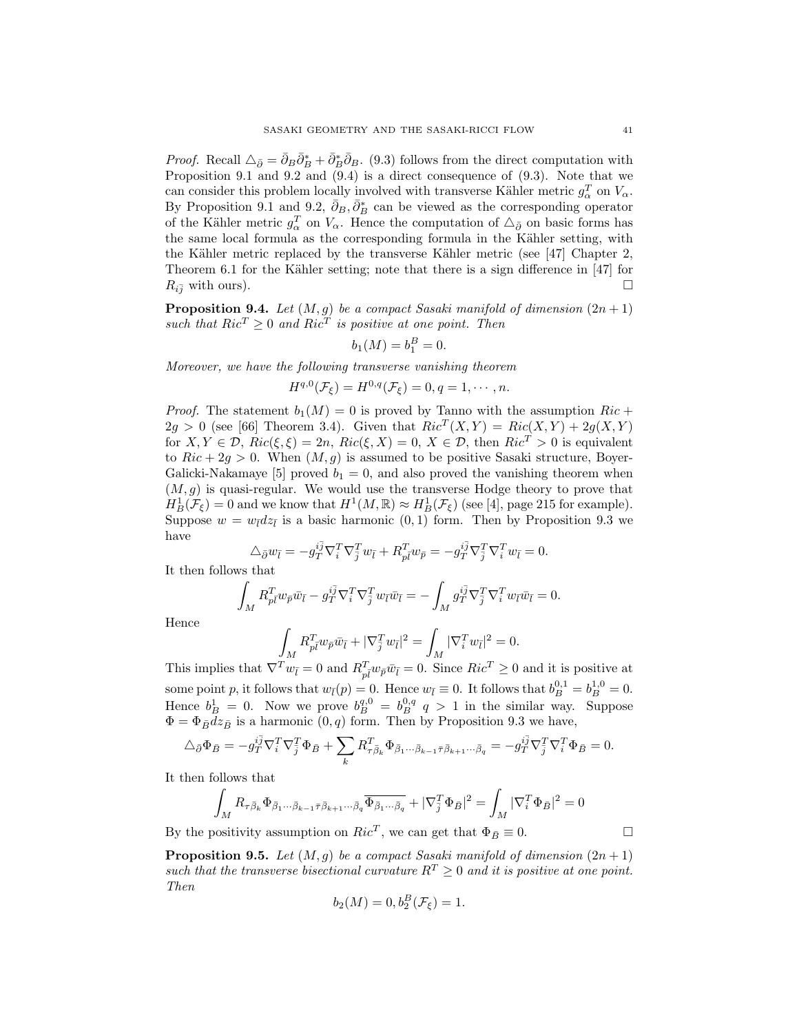*Proof.* Recall  $\Delta_{\bar{\partial}} = \bar{\partial}_B \bar{\partial}_B^* + \bar{\partial}_B^* \bar{\partial}_B$ . (9.3) follows from the direct computation with Proposition 9.1 and 9.2 and (9.4) is a direct consequence of (9.3). Note that we can consider this problem locally involved with transverse Kähler metric  $g_{\alpha}^T$  on  $V_{\alpha}$ . By Proposition 9.1 and 9.2,  $\bar{\partial}_B$ ,  $\bar{\partial}_B^*$  can be viewed as the corresponding operator of the Kähler metric  $g_{\alpha}^T$  on  $V_{\alpha}$ . Hence the computation of  $\Delta_{\bar{\partial}}$  on basic forms has the same local formula as the corresponding formula in the Kähler setting, with the Kähler metric replaced by the transverse Kähler metric (see [47] Chapter 2, Theorem 6.1 for the Kähler setting; note that there is a sign difference in  $[47]$  for  $R_{i\bar{j}}$  with ours).

**Proposition 9.4.** Let  $(M, g)$  be a compact Sasaki manifold of dimension  $(2n + 1)$ such that  $Ric^T \geq 0$  and  $Ric^T$  is positive at one point. Then

$$
b_1(M) = b_1^B = 0.
$$

Moreover, we have the following transverse vanishing theorem

$$
H^{q,0}(\mathcal{F}_{\xi})=H^{0,q}(\mathcal{F}_{\xi})=0,q=1,\cdots,n.
$$

*Proof.* The statement  $b_1(M) = 0$  is proved by Tanno with the assumption  $Ric$  +  $2g > 0$  (see [66] Theorem 3.4). Given that  $Ric^{T}(X,Y) = Ric(X,Y) + 2g(X,Y)$ for  $X, Y \in \mathcal{D}$ ,  $Ric(\xi, \xi) = 2n$ ,  $Ric(\xi, X) = 0$ ,  $X \in \mathcal{D}$ , then  $Ric^{T} > 0$  is equivalent to  $Ric + 2g > 0$ . When  $(M, g)$  is assumed to be positive Sasaki structure, Boyer-Galicki-Nakamaye [5] proved  $b_1 = 0$ , and also proved the vanishing theorem when  $(M, g)$  is quasi-regular. We would use the transverse Hodge theory to prove that  $H^1_B(\mathcal{F}_\xi) = 0$  and we know that  $H^1(M, \mathbb{R}) \approx H^1_B(\mathcal{F}_\xi)$  (see [4], page 215 for example). Suppose  $w = w_{\bar{l}} dz_{\bar{l}}$  is a basic harmonic  $(0, 1)$  form. Then by Proposition 9.3 we have

$$
\Delta_{\bar{\partial}} w_{\bar{l}} = -g_{\bar{T}}^{i\bar{j}} \nabla_{i}^{T} \nabla_{\bar{j}}^{T} w_{\bar{l}} + R_{\bar{p}\bar{l}}^{T} w_{\bar{p}} = -g_{\bar{T}}^{i\bar{j}} \nabla_{\bar{j}}^{T} \nabla_{i}^{T} w_{\bar{l}} = 0.
$$

It then follows that

$$
\int_M R^T_{p\bar l} w_{\bar p} \bar w_{\bar l} - g^{i\bar j}_T \nabla^T_i \nabla^T_{\bar j} w_{\bar l} \bar w_{\bar l} = - \int_M g^{i\bar j}_T \nabla^T_{\bar j} \nabla^T_i w_{\bar l} \bar w_{\bar l} = 0.
$$

Hence

$$
\int_M R_{\bar{p}\bar{l}}^T w_{\bar{p}} \bar{w}_{\bar{l}} + |\nabla_{\bar{j}}^T w_{\bar{l}}|^2 = \int_M |\nabla_i^T w_{\bar{l}}|^2 = 0.
$$

This implies that  $\nabla^T w_{\bar{l}} = 0$  and  $R_{\bar{p}\bar{l}}^T w_{\bar{p}} \bar{w}_{\bar{l}} = 0$ . Since  $Ric^T \geq 0$  and it is positive at some point p, it follows that  $w_{\bar{l}}(p) = 0$ . Hence  $w_{\bar{l}} \equiv 0$ . It follows that  $b_B^{0,1} = b_B^{1,0} = 0$ . Hence  $b_B^1 = 0$ . Now we prove  $b_B^{q,0} = b_B^{0,q} q > 1$  in the similar way. Suppose  $\Phi = \Phi_{\bar{B}} dz_{\bar{B}}$  is a harmonic  $(0, q)$  form. Then by Proposition 9.3 we have,

$$
\Delta_{\bar{\partial}} \Phi_{\bar{B}} = -g_{\bar{T}}^{i\bar{j}} \nabla_{i}^{T} \nabla_{\bar{j}}^{T} \Phi_{\bar{B}} + \sum_{k} R_{\tau \bar{\beta}_{k}}^{T} \Phi_{\bar{\beta}_{1} \cdots \bar{\beta}_{k-1} \bar{\tau} \bar{\beta}_{k+1} \cdots \bar{\beta}_{q}} = -g_{\bar{T}}^{i\bar{j}} \nabla_{\bar{j}}^{T} \nabla_{i}^{T} \Phi_{\bar{B}} = 0.
$$

It then follows that

$$
\int_M R_{\tau\bar{\beta}_k}\Phi_{\bar{\beta}_1\cdots\bar{\beta}_{k-1}\bar{\tau}\bar{\beta}_{k+1}\cdots\bar{\beta}_q}\overline{\Phi_{\bar{\beta}_1\cdots\bar{\beta}_q}}+|\nabla^T_{\bar{j}}\Phi_{\bar{B}}|^2=\int_M |\nabla^T_i\Phi_{\bar{B}}|^2=0
$$

By the positivity assumption on  $Ric^T$ , we can get that  $\Phi_{\bar{B}} \equiv 0$ .

**Proposition 9.5.** Let  $(M, g)$  be a compact Sasaki manifold of dimension  $(2n + 1)$ such that the transverse bisectional curvature  $R^T \geq 0$  and it is positive at one point. Then

$$
b_2(M) = 0, b_2^B(\mathcal{F}_\xi) = 1.
$$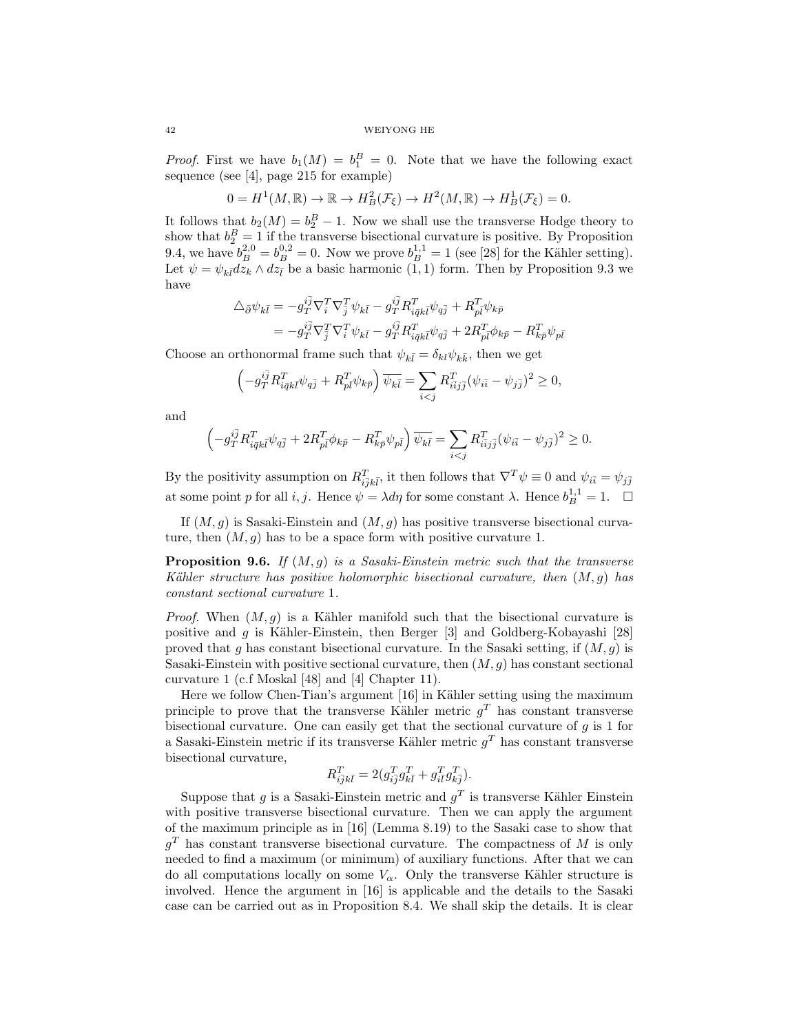*Proof.* First we have  $b_1(M) = b_1^B = 0$ . Note that we have the following exact sequence (see [4], page 215 for example)

$$
0 = H^1(M, \mathbb{R}) \to \mathbb{R} \to H^2_B(\mathcal{F}_\xi) \to H^2(M, \mathbb{R}) \to H^1_B(\mathcal{F}_\xi) = 0.
$$

It follows that  $b_2(M) = b_2^B - 1$ . Now we shall use the transverse Hodge theory to show that  $b_2^B = 1$  if the transverse bisectional curvature is positive. By Proposition 9.4, we have  $b_B^{2,0} = b_B^{0,2} = 0$ . Now we prove  $b_B^{1,1} = 1$  (see [28] for the Kähler setting). Let  $\psi = \psi_{k\bar{l}} dz_k \wedge dz_{\bar{l}}$  be a basic harmonic  $(1, 1)$  form. Then by Proposition 9.3 we have

$$
\begin{split} \triangle_{\bar{\partial}} \psi_{k\bar{l}} &= -g_{T}^{i\bar{j}} \nabla_{i}^{T} \nabla_{\bar{j}}^{T} \psi_{k\bar{l}} - g_{T}^{i\bar{j}} R_{i\bar{q}k\bar{l}}^{T} \psi_{q\bar{j}} + R_{pl}^{T} \psi_{k\bar{p}} \\ &= -g_{T}^{i\bar{j}} \nabla_{\bar{j}}^{T} \nabla_{i}^{T} \psi_{k\bar{l}} - g_{T}^{i\bar{j}} R_{i\bar{q}k\bar{l}}^{T} \psi_{q\bar{j}} + 2 R_{pl}^{T} \phi_{k\bar{p}} - R_{k\bar{p}}^{T} \psi_{p\bar{l}} \end{split}
$$

Choose an orthonormal frame such that  $\psi_{k\bar{l}} = \delta_{kl} \psi_{k\bar{k}}$ , then we get

$$
\left(-g_T^{i\bar{j}}R^T_{i\bar{q}k\bar{l}}\psi_{q\bar{j}}+R^T_{p\bar{l}}\psi_{k\bar{p}}\right)\overline{\psi_{k\bar{l}}}=\sum_{i
$$

and

$$
\left(-g_T^{i\bar{j}}R^T_{i\bar{q}k\bar{l}}\psi_{q\bar{j}}+2R^T_{p\bar{l}}\phi_{k\bar{p}}-R^T_{k\bar{p}}\psi_{p\bar{l}}\right)\overline{\psi_{k\bar{l}}}=\sum_{i
$$

By the positivity assumption on  $R_{i\bar{j}k\bar{l}}^T$ , it then follows that  $\nabla^T \psi \equiv 0$  and  $\psi_{i\bar{i}} = \psi_{j\bar{j}}$ at some point p for all i, j. Hence  $\psi = \lambda d\eta$  for some constant  $\lambda$ . Hence  $b_B^{1,1} = 1$ .  $\Box$ 

If  $(M, g)$  is Sasaki-Einstein and  $(M, g)$  has positive transverse bisectional curvature, then  $(M, g)$  has to be a space form with positive curvature 1.

**Proposition 9.6.** If  $(M, g)$  is a Sasaki-Einstein metric such that the transverse Kähler structure has positive holomorphic bisectional curvature, then  $(M, g)$  has constant sectional curvature 1.

*Proof.* When  $(M, g)$  is a Kähler manifold such that the bisectional curvature is positive and q is Kähler-Einstein, then Berger [3] and Goldberg-Kobayashi [28] proved that q has constant bisectional curvature. In the Sasaki setting, if  $(M, q)$  is Sasaki-Einstein with positive sectional curvature, then  $(M, q)$  has constant sectional curvature 1 (c.f Moskal [48] and [4] Chapter 11).

Here we follow Chen-Tian's argument [16] in Kähler setting using the maximum principle to prove that the transverse Kähler metric  $g<sup>T</sup>$  has constant transverse bisectional curvature. One can easily get that the sectional curvature of  $q$  is 1 for a Sasaki-Einstein metric if its transverse Kähler metric  $g<sup>T</sup>$  has constant transverse bisectional curvature,

$$
R_{i\overline{j}k\overline{l}}^T = 2(g_{i\overline{j}}^T g_{k\overline{l}}^T + g_{i\overline{l}}^T g_{k\overline{j}}^T).
$$

Suppose that g is a Sasaki-Einstein metric and  $g<sup>T</sup>$  is transverse Kähler Einstein with positive transverse bisectional curvature. Then we can apply the argument of the maximum principle as in [16] (Lemma 8.19) to the Sasaki case to show that  $g<sup>T</sup>$  has constant transverse bisectional curvature. The compactness of M is only needed to find a maximum (or minimum) of auxiliary functions. After that we can do all computations locally on some  $V_{\alpha}$ . Only the transverse Kähler structure is involved. Hence the argument in [16] is applicable and the details to the Sasaki case can be carried out as in Proposition 8.4. We shall skip the details. It is clear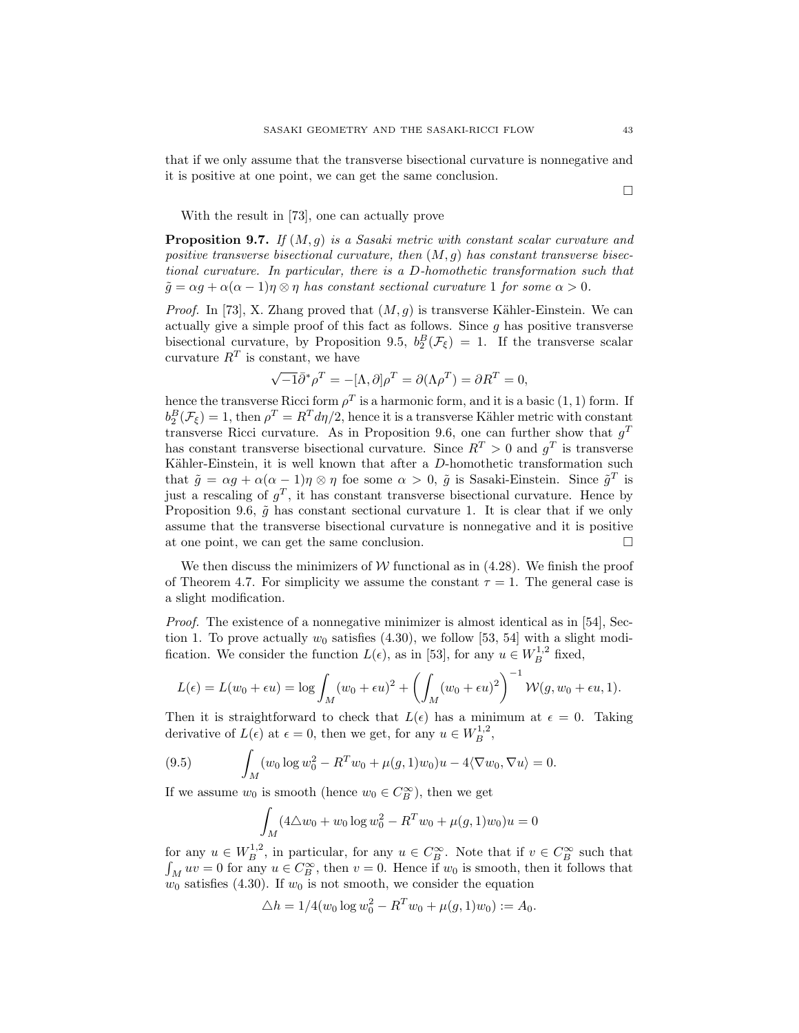that if we only assume that the transverse bisectional curvature is nonnegative and it is positive at one point, we can get the same conclusion.

 $\Box$ 

With the result in [73], one can actually prove

**Proposition 9.7.** If  $(M, q)$  is a Sasaki metric with constant scalar curvature and positive transverse bisectional curvature, then  $(M, q)$  has constant transverse bisectional curvature. In particular, there is a D-homothetic transformation such that  $\tilde{g} = \alpha g + \alpha(\alpha - 1)\eta \otimes \eta$  has constant sectional curvature 1 for some  $\alpha > 0$ .

*Proof.* In [73], X. Zhang proved that  $(M, g)$  is transverse Kähler-Einstein. We can actually give a simple proof of this fact as follows. Since  $g$  has positive transverse bisectional curvature, by Proposition 9.5,  $b_2^B(\mathcal{F}_{\xi}) = 1$ . If the transverse scalar curvature  $R^T$  is constant, we have

$$
\sqrt{-1}\overline{\partial}^* \rho^T = -[\Lambda, \partial] \rho^T = \partial(\Lambda \rho^T) = \partial R^T = 0,
$$

hence the transverse Ricci form  $\rho^T$  is a harmonic form, and it is a basic  $(1, 1)$  form. If  $b_2^B(\mathcal{F}_\xi) = 1$ , then  $\rho^T = R^T d\eta/2$ , hence it is a transverse Kähler metric with constant transverse Ricci curvature. As in Proposition 9.6, one can further show that  $g<sup>T</sup>$ has constant transverse bisectional curvature. Since  $R^T > 0$  and  $g^T$  is transverse Kähler-Einstein, it is well known that after a  $D$ -homothetic transformation such that  $\tilde{g} = \alpha g + \alpha(\alpha - 1)\eta \otimes \eta$  foe some  $\alpha > 0$ ,  $\tilde{g}$  is Sasaki-Einstein. Since  $\tilde{g}^T$  is just a rescaling of  $g^T$ , it has constant transverse bisectional curvature. Hence by Proposition 9.6,  $\tilde{g}$  has constant sectional curvature 1. It is clear that if we only assume that the transverse bisectional curvature is nonnegative and it is positive at one point, we can get the same conclusion.

We then discuss the minimizers of  $W$  functional as in (4.28). We finish the proof of Theorem 4.7. For simplicity we assume the constant  $\tau = 1$ . The general case is a slight modification.

Proof. The existence of a nonnegative minimizer is almost identical as in [54], Section 1. To prove actually  $w_0$  satisfies (4.30), we follow [53, 54] with a slight modification. We consider the function  $L(\epsilon)$ , as in [53], for any  $u \in W_B^{1,2}$  fixed,

$$
L(\epsilon) = L(w_0 + \epsilon u) = \log \int_M (w_0 + \epsilon u)^2 + \left( \int_M (w_0 + \epsilon u)^2 \right)^{-1} \mathcal{W}(g, w_0 + \epsilon u, 1).
$$

Then it is straightforward to check that  $L(\epsilon)$  has a minimum at  $\epsilon = 0$ . Taking derivative of  $L(\epsilon)$  at  $\epsilon = 0$ , then we get, for any  $u \in W_B^{1,2}$ ,

(9.5) 
$$
\int_M (w_0 \log w_0^2 - R^T w_0 + \mu(g, 1) w_0) u - 4 \langle \nabla w_0, \nabla u \rangle = 0.
$$

If we assume  $w_0$  is smooth (hence  $w_0 \in C_B^{\infty}$ ), then we get

$$
\int_M (4\triangle w_0 + w_0 \log w_0^2 - R^T w_0 + \mu(g, 1) w_0) u = 0
$$

for any  $u \in W_B^{1,2}$ , in particular, for any  $u \in C_B^{\infty}$ . Note that if  $v \in C_B^{\infty}$  such that  $\int_M uv = 0$  for any  $u \in C_B^{\infty}$ , then  $v = 0$ . Hence if  $w_0$  is smooth, then it follows that  $w_0$  satisfies (4.30). If  $w_0$  is not smooth, we consider the equation

$$
\triangle h = 1/4(w_0 \log w_0^2 - R^T w_0 + \mu(g, 1) w_0) := A_0.
$$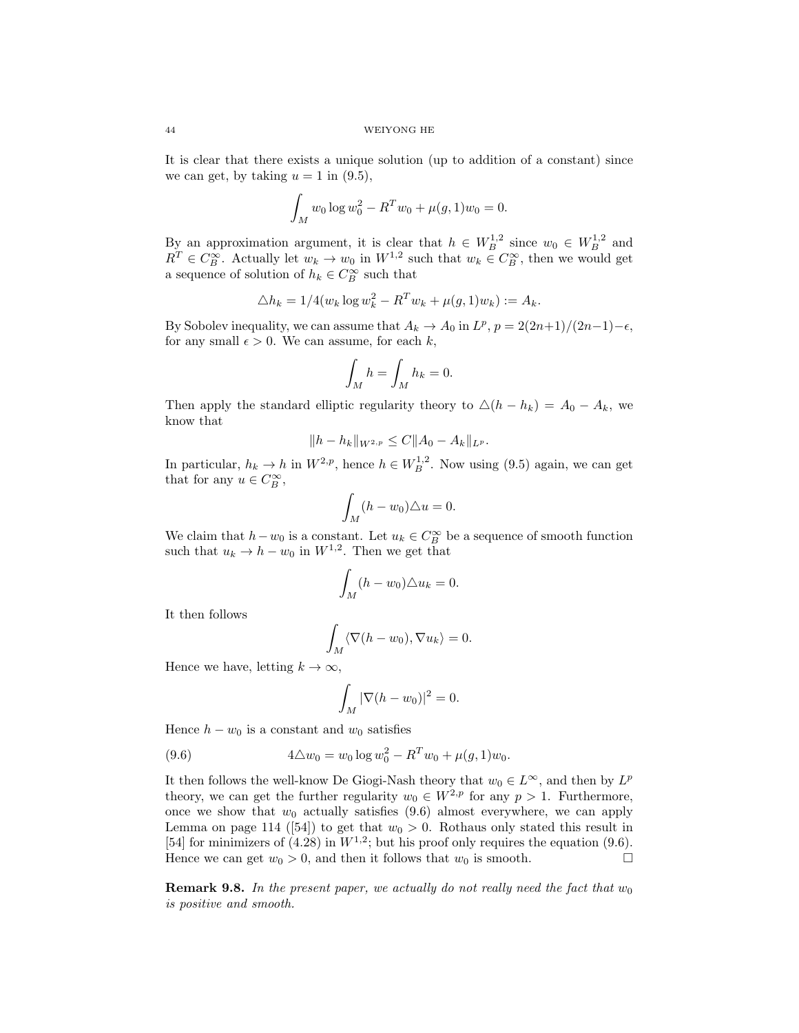It is clear that there exists a unique solution (up to addition of a constant) since we can get, by taking  $u = 1$  in (9.5),

$$
\int_M w_0 \log w_0^2 - R^T w_0 + \mu(g, 1) w_0 = 0.
$$

By an approximation argument, it is clear that  $h \in W_B^{1,2}$  since  $w_0 \in W_B^{1,2}$  and  $R^T \in C_B^{\infty}$ . Actually let  $w_k \to w_0$  in  $W^{1,2}$  such that  $w_k \in C_B^{\infty}$ , then we would get a sequence of solution of  $h_k \in C_B^{\infty}$  such that

$$
\triangle h_k = 1/4(w_k \log w_k^2 - R^T w_k + \mu(g, 1) w_k) := A_k.
$$

By Sobolev inequality, we can assume that  $A_k \to A_0$  in  $L^p$ ,  $p = 2(2n+1)/(2n-1)-\epsilon$ , for any small  $\epsilon > 0$ . We can assume, for each k,

$$
\int_M h = \int_M h_k = 0.
$$

Then apply the standard elliptic regularity theory to  $\Delta(h - h_k) = A_0 - A_k$ , we know that

$$
||h - h_k||_{W^{2,p}} \leq C||A_0 - A_k||_{L^p}.
$$

In particular,  $h_k \to h$  in  $W^{2,p}$ , hence  $h \in W^{1,2}_B$ . Now using (9.5) again, we can get that for any  $u \in C_B^{\infty}$ ,

$$
\int_M (h - w_0) \triangle u = 0.
$$

We claim that  $h - w_0$  is a constant. Let  $u_k \in C_B^{\infty}$  be a sequence of smooth function such that  $u_k \to h - w_0$  in  $W^{1,2}$ . Then we get that

$$
\int_M (h - w_0) \triangle u_k = 0.
$$

It then follows

$$
\int_M \langle \nabla (h - w_0), \nabla u_k \rangle = 0.
$$

Hence we have, letting  $k \to \infty$ ,

$$
\int_M |\nabla (h - w_0)|^2 = 0.
$$

Hence  $h - w_0$  is a constant and  $w_0$  satisfies

(9.6) 
$$
4\Delta w_0 = w_0 \log w_0^2 - R^T w_0 + \mu(g, 1) w_0.
$$

It then follows the well-know De Giogi-Nash theory that  $w_0 \in L^{\infty}$ , and then by  $L^p$ theory, we can get the further regularity  $w_0 \in W^{2,p}$  for any  $p > 1$ . Furthermore, once we show that  $w_0$  actually satisfies (9.6) almost everywhere, we can apply Lemma on page 114 ([54]) to get that  $w_0 > 0$ . Rothaus only stated this result in [54] for minimizers of (4.28) in  $W^{1,2}$ ; but his proof only requires the equation (9.6). Hence we can get  $w_0 > 0$ , and then it follows that  $w_0$  is smooth.

**Remark 9.8.** In the present paper, we actually do not really need the fact that  $w_0$ is positive and smooth.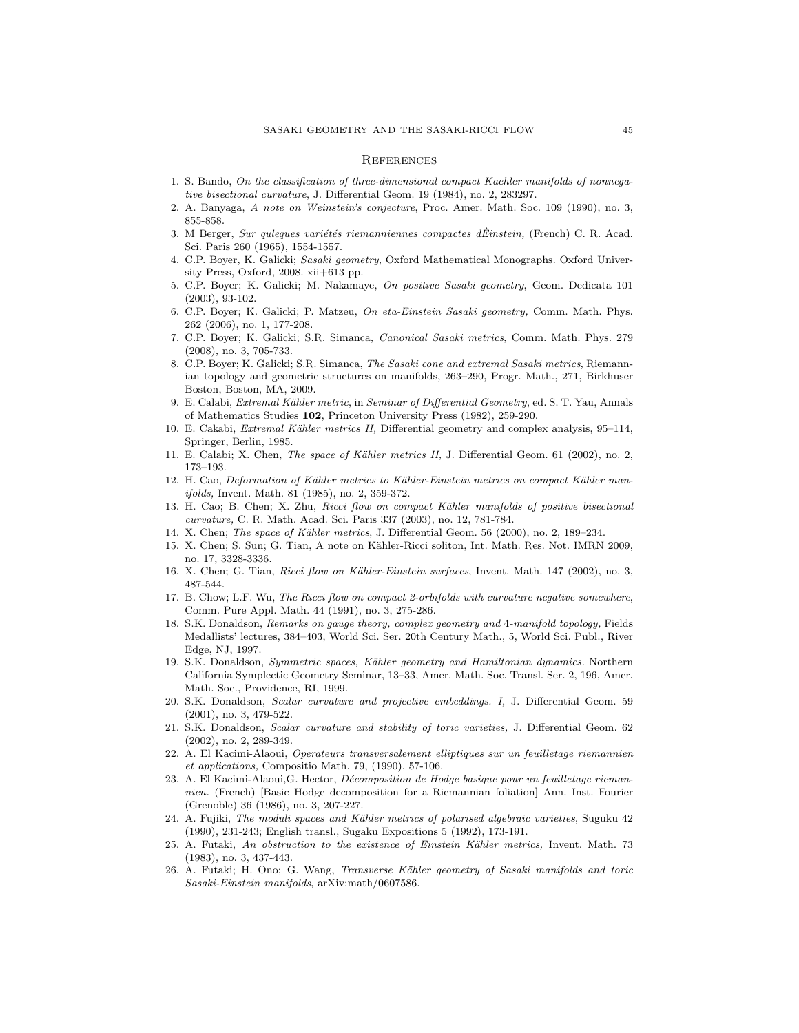### **REFERENCES**

- 1. S. Bando, On the classification of three-dimensional compact Kaehler manifolds of nonnegative bisectional curvature, J. Differential Geom. 19 (1984), no. 2, 283297.
- 2. A. Banyaga, A note on Weinstein's conjecture, Proc. Amer. Math. Soc. 109 (1990), no. 3, 855-858.
- 3. M Berger, Sur quleques variétés riemanniennes compactes dÉinstein, (French) C. R. Acad. Sci. Paris 260 (1965), 1554-1557.
- 4. C.P. Boyer, K. Galicki; Sasaki geometry, Oxford Mathematical Monographs. Oxford University Press, Oxford, 2008. xii+613 pp.
- 5. C.P. Boyer; K. Galicki; M. Nakamaye, On positive Sasaki geometry, Geom. Dedicata 101 (2003), 93-102.
- 6. C.P. Boyer; K. Galicki; P. Matzeu, On eta-Einstein Sasaki geometry, Comm. Math. Phys. 262 (2006), no. 1, 177-208.
- 7. C.P. Boyer; K. Galicki; S.R. Simanca, Canonical Sasaki metrics, Comm. Math. Phys. 279 (2008), no. 3, 705-733.
- 8. C.P. Boyer; K. Galicki; S.R. Simanca, The Sasaki cone and extremal Sasaki metrics, Riemannian topology and geometric structures on manifolds, 263–290, Progr. Math., 271, Birkhuser Boston, Boston, MA, 2009.
- 9. E. Calabi, Extremal Kähler metric, in Seminar of Differential Geometry, ed. S. T. Yau, Annals of Mathematics Studies 102, Princeton University Press (1982), 259-290.
- 10. E. Cakabi, *Extremal Kähler metrics II*, Differential geometry and complex analysis, 95–114, Springer, Berlin, 1985.
- 11. E. Calabi; X. Chen, *The space of Kähler metrics II*, J. Differential Geom. 61 (2002), no. 2, 173–193.
- 12. H. Cao, Deformation of Kähler metrics to Kähler-Einstein metrics on compact Kähler manifolds, Invent. Math. 81 (1985), no. 2, 359-372.
- 13. H. Cao; B. Chen; X. Zhu, Ricci flow on compact Kähler manifolds of positive bisectional curvature, C. R. Math. Acad. Sci. Paris 337 (2003), no. 12, 781-784.
- 14. X. Chen; The space of Kähler metrics, J. Differential Geom. 56 (2000), no. 2, 189–234.
- 15. X. Chen; S. Sun; G. Tian, A note on Kähler-Ricci soliton, Int. Math. Res. Not. IMRN 2009, no. 17, 3328-3336.
- 16. X. Chen; G. Tian, Ricci flow on Kähler-Einstein surfaces, Invent. Math. 147 (2002), no. 3, 487-544.
- 17. B. Chow; L.F. Wu, The Ricci flow on compact 2-orbifolds with curvature negative somewhere, Comm. Pure Appl. Math. 44 (1991), no. 3, 275-286.
- 18. S.K. Donaldson, Remarks on gauge theory, complex geometry and 4-manifold topology, Fields Medallists' lectures, 384–403, World Sci. Ser. 20th Century Math., 5, World Sci. Publ., River Edge, NJ, 1997.
- 19. S.K. Donaldson, Symmetric spaces, Kähler geometry and Hamiltonian dynamics. Northern California Symplectic Geometry Seminar, 13–33, Amer. Math. Soc. Transl. Ser. 2, 196, Amer. Math. Soc., Providence, RI, 1999.
- 20. S.K. Donaldson, Scalar curvature and projective embeddings. I, J. Differential Geom. 59 (2001), no. 3, 479-522.
- 21. S.K. Donaldson, Scalar curvature and stability of toric varieties, J. Differential Geom. 62 (2002), no. 2, 289-349.
- 22. A. El Kacimi-Alaoui, Operateurs transversalement elliptiques sur un feuilletage riemannien et applications, Compositio Math. 79, (1990), 57-106.
- 23. A. El Kacimi-Alaoui,G. Hector, *Décomposition de Hodge basique pour un feuilletage rieman*nien. (French) [Basic Hodge decomposition for a Riemannian foliation] Ann. Inst. Fourier (Grenoble) 36 (1986), no. 3, 207-227.
- 24. A. Fujiki, The moduli spaces and Kähler metrics of polarised algebraic varieties, Suguku 42 (1990), 231-243; English transl., Sugaku Expositions 5 (1992), 173-191.
- 25. A. Futaki, An obstruction to the existence of Einstein Kähler metrics, Invent. Math. 73 (1983), no. 3, 437-443.
- 26. A. Futaki; H. Ono; G. Wang, Transverse Kähler geometry of Sasaki manifolds and toric Sasaki-Einstein manifolds, arXiv:math/0607586.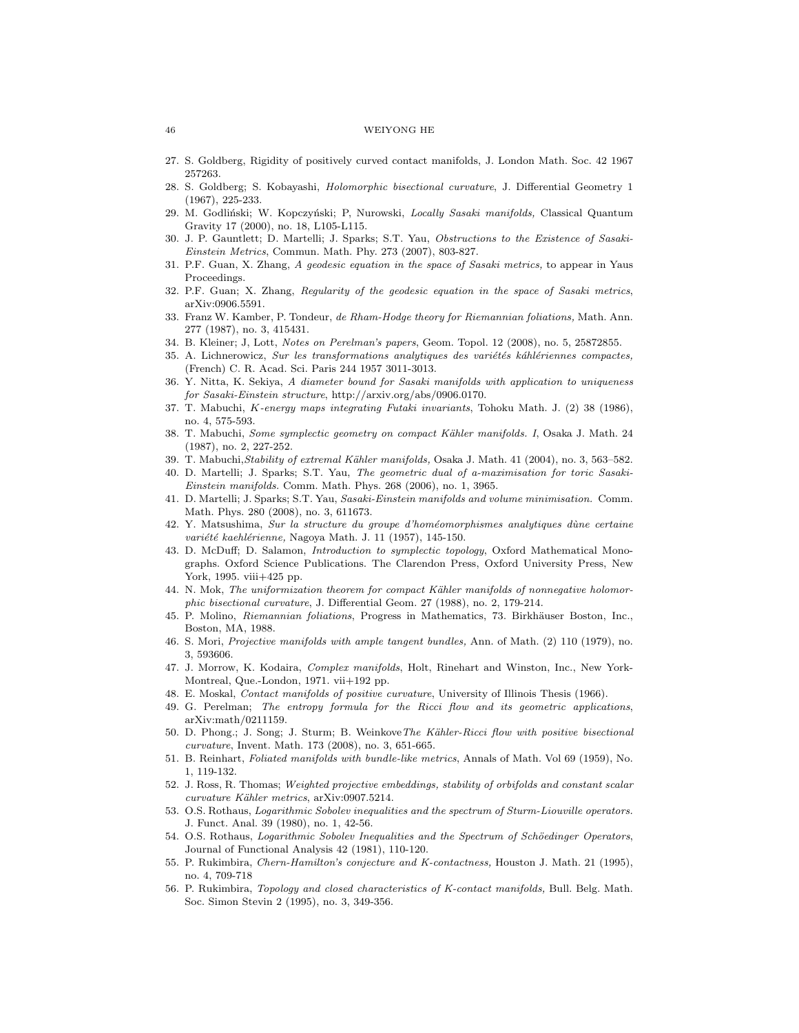- 27. S. Goldberg, Rigidity of positively curved contact manifolds, J. London Math. Soc. 42 1967 257263.
- 28. S. Goldberg; S. Kobayashi, Holomorphic bisectional curvature, J. Differential Geometry 1 (1967), 225-233.
- 29. M. Godliński; W. Kopczyński; P. Nurowski, Locally Sasaki manifolds, Classical Quantum Gravity 17 (2000), no. 18, L105-L115.
- 30. J. P. Gauntlett; D. Martelli; J. Sparks; S.T. Yau, Obstructions to the Existence of Sasaki-Einstein Metrics, Commun. Math. Phy. 273 (2007), 803-827.
- 31. P.F. Guan, X. Zhang, A geodesic equation in the space of Sasaki metrics, to appear in Yaus Proceedings.
- 32. P.F. Guan; X. Zhang, Regularity of the geodesic equation in the space of Sasaki metrics, arXiv:0906.5591.
- 33. Franz W. Kamber, P. Tondeur, de Rham-Hodge theory for Riemannian foliations, Math. Ann. 277 (1987), no. 3, 415431.
- 34. B. Kleiner; J, Lott, Notes on Perelman's papers, Geom. Topol. 12 (2008), no. 5, 25872855.
- 35. A. Lichnerowicz, Sur les transformations analytiques des variétés káhlériennes compactes, (French) C. R. Acad. Sci. Paris 244 1957 3011-3013.
- 36. Y. Nitta, K. Sekiya, A diameter bound for Sasaki manifolds with application to uniqueness for Sasaki-Einstein structure, http://arxiv.org/abs/0906.0170.
- 37. T. Mabuchi, K-energy maps integrating Futaki invariants, Tohoku Math. J. (2) 38 (1986), no. 4, 575-593.
- 38. T. Mabuchi, Some symplectic geometry on compact Kähler manifolds. I, Osaka J. Math. 24 (1987), no. 2, 227-252.
- 39. T. Mabuchi, Stability of extremal Kähler manifolds, Osaka J. Math. 41 (2004), no. 3, 563–582.
- 40. D. Martelli; J. Sparks; S.T. Yau, The geometric dual of a-maximisation for toric Sasaki-Einstein manifolds. Comm. Math. Phys. 268 (2006), no. 1, 3965.
- 41. D. Martelli; J. Sparks; S.T. Yau, Sasaki-Einstein manifolds and volume minimisation. Comm. Math. Phys. 280 (2008), no. 3, 611673.
- 42. Y. Matsushima, Sur la structure du groupe d'homéomorphismes analytiques dùne certaine variété kaehlérienne, Nagoya Math. J. 11 (1957), 145-150.
- 43. D. McDuff; D. Salamon, Introduction to symplectic topology, Oxford Mathematical Monographs. Oxford Science Publications. The Clarendon Press, Oxford University Press, New York, 1995. viii+425 pp.
- 44. N. Mok, The uniformization theorem for compact Kähler manifolds of nonnegative holomorphic bisectional curvature, J. Differential Geom. 27 (1988), no. 2, 179-214.
- 45. P. Molino, Riemannian foliations, Progress in Mathematics, 73. Birkhäuser Boston, Inc., Boston, MA, 1988.
- 46. S. Mori, Projective manifolds with ample tangent bundles, Ann. of Math. (2) 110 (1979), no. 3, 593606.
- 47. J. Morrow, K. Kodaira, Complex manifolds, Holt, Rinehart and Winston, Inc., New York-Montreal, Que.-London, 1971. vii+192 pp.
- 48. E. Moskal, Contact manifolds of positive curvature, University of Illinois Thesis (1966).
- 49. G. Perelman; The entropy formula for the Ricci flow and its geometric applications, arXiv:math/0211159.
- 50. D. Phong.; J. Song; J. Sturm; B. Weinkove The Kähler-Ricci flow with positive bisectional curvature, Invent. Math. 173 (2008), no. 3, 651-665.
- 51. B. Reinhart, Foliated manifolds with bundle-like metrics, Annals of Math. Vol 69 (1959), No. 1, 119-132.
- 52. J. Ross, R. Thomas; Weighted projective embeddings, stability of orbifolds and constant scalar curvature Kähler metrics, arXiv:0907.5214.
- 53. O.S. Rothaus, Logarithmic Sobolev inequalities and the spectrum of Sturm-Liouville operators. J. Funct. Anal. 39 (1980), no. 1, 42-56.
- 54. O.S. Rothaus, Logarithmic Sobolev Inequalities and the Spectrum of Schöedinger Operators, Journal of Functional Analysis 42 (1981), 110-120.
- 55. P. Rukimbira, Chern-Hamilton's conjecture and K-contactness, Houston J. Math. 21 (1995), no. 4, 709-718
- 56. P. Rukimbira, Topology and closed characteristics of K-contact manifolds, Bull. Belg. Math. Soc. Simon Stevin 2 (1995), no. 3, 349-356.